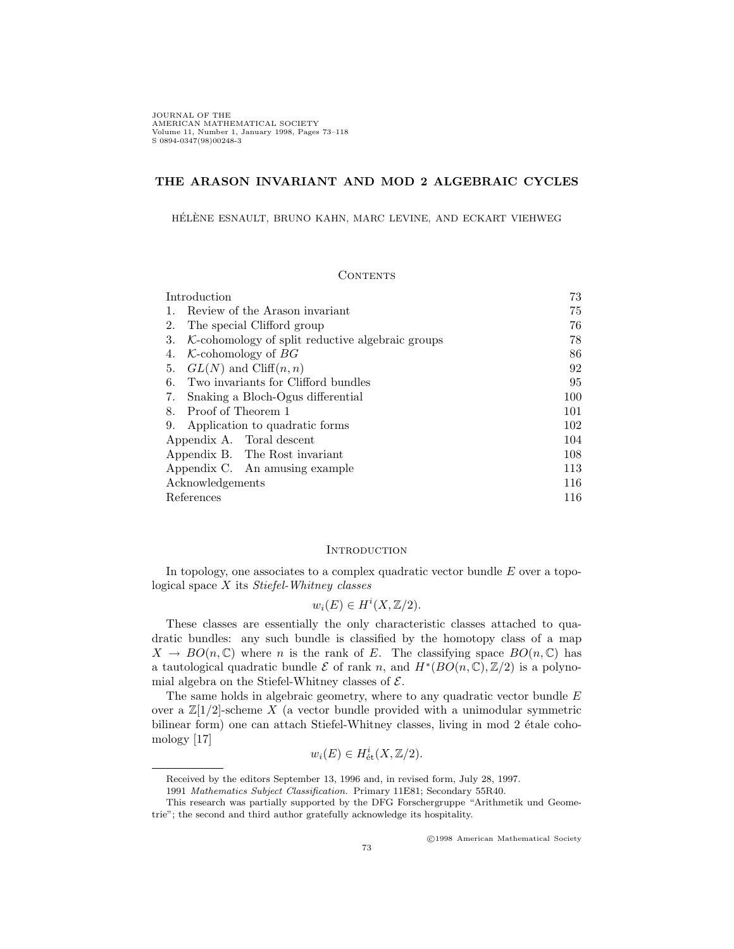JOURNAL OF THE <br>AMERICAN MATHEMATICAL SOCIETY Volume 11, Number 1, January 1998, Pages 73–118<br>S 0894-0347(98)00248-3

# **THE ARASON INVARIANT AND MOD 2 ALGEBRAIC CYCLES**

HÉLÈNE ESNAULT, BRUNO KAHN, MARC LEVINE, AND ECKART VIEHWEG

## **CONTENTS**

| Introduction                                              | 73  |
|-----------------------------------------------------------|-----|
| Review of the Arason invariant                            | 75  |
| The special Clifford group<br>2.                          | 76  |
| $K$ -cohomology of split reductive algebraic groups<br>3. | 78  |
| $K$ -cohomology of $BG$<br>4.                             | 86  |
| $GL(N)$ and $Cliff(n, n)$<br>5.                           | 92  |
| Two invariants for Clifford bundles<br>6.                 | 95  |
| Snaking a Bloch-Ogus differential<br>7.                   | 100 |
| Proof of Theorem 1<br>8.                                  | 101 |
| 9.<br>Application to quadratic forms                      | 102 |
| Appendix A. Toral descent                                 | 104 |
| Appendix B. The Rost invariant                            | 108 |
| Appendix C. An amusing example                            | 113 |
| Acknowledgements                                          | 116 |
| References                                                | 116 |
|                                                           |     |

#### **INTRODUCTION**

In topology, one associates to a complex quadratic vector bundle *E* over a topological space *X* its *Stiefel-Whitney classes*

$$
w_i(E) \in H^i(X, \mathbb{Z}/2).
$$

These classes are essentially the only characteristic classes attached to quadratic bundles: any such bundle is classified by the homotopy class of a map  $X \to BO(n,\mathbb{C})$  where *n* is the rank of *E*. The classifying space  $BO(n,\mathbb{C})$  has a tautological quadratic bundle  $\mathcal E$  of rank *n*, and  $H^*(BO(n, \mathbb C), \mathbb Z/2)$  is a polynomial algebra on the Stiefel-Whitney classes of *E*.

The same holds in algebraic geometry, where to any quadratic vector bundle *E* over a  $\mathbb{Z}[1/2]$ -scheme X (a vector bundle provided with a unimodular symmetric bilinear form) one can attach Stiefel-Whitney classes, living in mod 2 étale cohomology [17]

$$
w_i(E) \in H^i_{\text{\'et}}(X, \mathbb{Z}/2).
$$

<sup>c</sup> 1998 American Mathematical Society

Received by the editors September 13, 1996 and, in revised form, July 28, 1997.

<sup>1991</sup> Mathematics Subject Classification. Primary 11E81; Secondary 55R40.

This research was partially supported by the DFG Forschergruppe "Arithmetik und Geometrie"; the second and third author gratefully acknowledge its hospitality.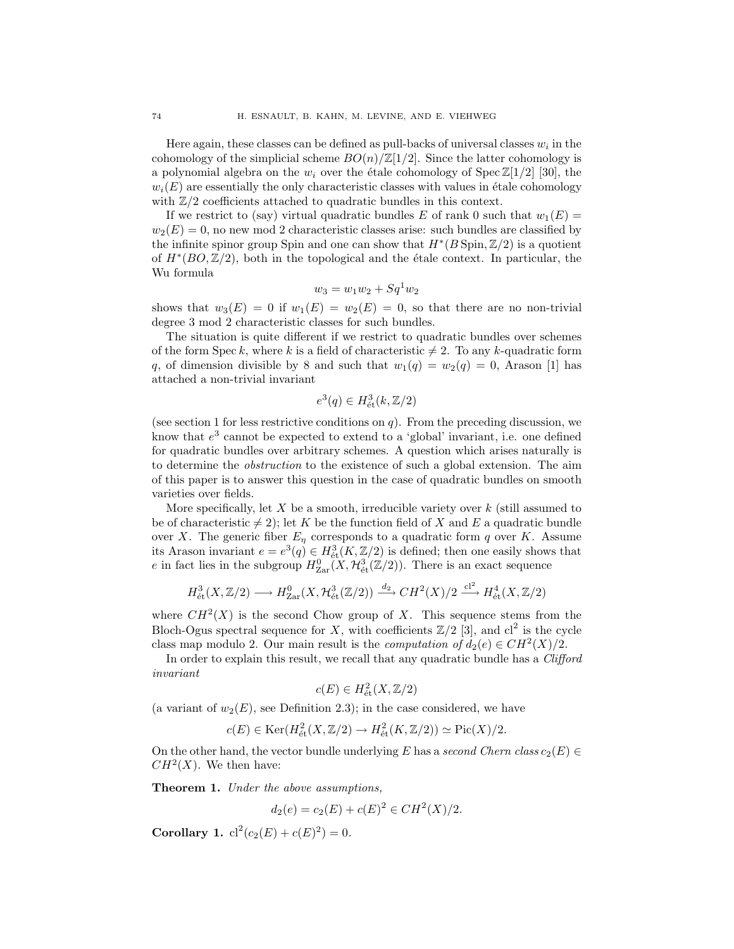Here again, these classes can be defined as pull-backs of universal classes  $w_i$  in the cohomology of the simplicial scheme  $BO(n)/\mathbb{Z}[1/2]$ . Since the latter cohomology is a polynomial algebra on the  $w_i$  over the étale cohomology of Spec  $\mathbb{Z}[1/2]$  [30], the  $w_i(E)$  are essentially the only characteristic classes with values in étale cohomology with  $\mathbb{Z}/2$  coefficients attached to quadratic bundles in this context.

If we restrict to (say) virtual quadratic bundles *E* of rank 0 such that  $w_1(E)$  =  $w_2(E) = 0$ , no new mod 2 characteristic classes arise: such bundles are classified by the infinite spinor group Spin and one can show that  $H^*(B \text{Spin}, \mathbb{Z}/2)$  is a quotient of *H∗*(*BO,* Z*/*2), both in the topological and the ´etale context. In particular, the Wu formula

$$
w_3 = w_1 w_2 + S q^1 w_2
$$

shows that  $w_3(E) = 0$  if  $w_1(E) = w_2(E) = 0$ , so that there are no non-trivial degree 3 mod 2 characteristic classes for such bundles.

The situation is quite different if we restrict to quadratic bundles over schemes of the form Spec k, where k is a field of characteristic  $\neq 2$ . To any k-quadratic form *q*, of dimension divisible by 8 and such that  $w_1(q) = w_2(q) = 0$ , Arason [1] has attached a non-trivial invariant

$$
e^3(q) \in H^3_{\text{\'et}}(k, \mathbb{Z}/2)
$$

(see section 1 for less restrictive conditions on  $q$ ). From the preceding discussion, we know that *e*<sup>3</sup> cannot be expected to extend to a 'global' invariant, i.e. one defined for quadratic bundles over arbitrary schemes. A question which arises naturally is to determine the *obstruction* to the existence of such a global extension. The aim of this paper is to answer this question in the case of quadratic bundles on smooth varieties over fields.

More specifically, let *X* be a smooth, irreducible variety over *k* (still assumed to be of characteristic  $\neq$  2); let *K* be the function field of *X* and *E* a quadratic bundle over *X*. The generic fiber  $E_{\eta}$  corresponds to a quadratic form *q* over *K*. Assume its Arason invariant  $e = e^3(q) \in H^3_{\text{\'et}}(K, \mathbb{Z}/2)$  is defined; then one easily shows that *e* in fact lies in the subgroup  $H_{\text{Zar}}^0(X, \mathcal{H}_{\text{\'et}}^3(\mathbb{Z}/2))$ . There is an exact sequence

$$
H^3_{\text{\'et}}(X, \mathbb{Z}/2) \longrightarrow H^0_{\text{Zar}}(X, \mathcal{H}^3_{\text{\'et}}(\mathbb{Z}/2)) \xrightarrow{d_2} CH^2(X)/2 \xrightarrow{cl^2} H^4_{\text{\'et}}(X, \mathbb{Z}/2)
$$

where  $CH^2(X)$  is the second Chow group of X. This sequence stems from the Bloch-Ogus spectral sequence for *X*, with coefficients  $\mathbb{Z}/2$  [3], and cl<sup>2</sup> is the cycle class map modulo 2. Our main result is the *computation of*  $d_2(e) \in CH^2(X)/2$ .

In order to explain this result, we recall that any quadratic bundle has a *Clifford invariant*

$$
c(E) \in H^2_{\text{\'et}}(X, \mathbb{Z}/2)
$$

(a variant of  $w_2(E)$ , see Definition 2.3); in the case considered, we have

$$
c(E) \in \text{Ker}(H_{\text{\'et}}^2(X, \mathbb{Z}/2) \to H_{\text{\'et}}^2(K, \mathbb{Z}/2)) \simeq \text{Pic}(X)/2.
$$

On the other hand, the vector bundle underlying *E* has a *second Chern class*  $c_2(E) \in$  $CH<sup>2</sup>(X)$ . We then have:

**Theorem 1.** *Under the above assumptions,*

$$
d_2(e) = c_2(E) + c(E)^2 \in CH^2(X)/2.
$$

**Corollary 1.**  $cl^2(c_2(E) + c(E)^2) = 0$ .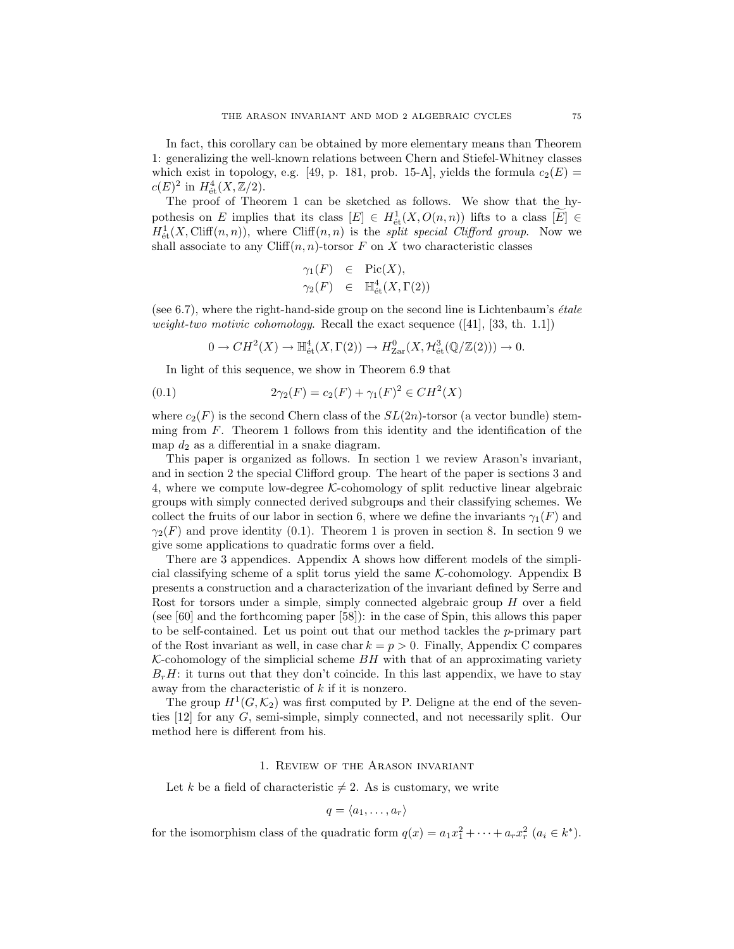In fact, this corollary can be obtained by more elementary means than Theorem 1: generalizing the well-known relations between Chern and Stiefel-Whitney classes which exist in topology, e.g. [49, p. 181, prob. 15-A], yields the formula  $c_2(E)$  =  $c(E)^2$  in  $H^4_{\text{\'et}}(X, \mathbb{Z}/2)$ .

The proof of Theorem 1 can be sketched as follows. We show that the hypothesis on *E* implies that its class  $[E] \in H^1_{\text{\'et}}(X, O(n,n))$  lifts to a class  $[E] \in$  $H^1_{\text{\'et}}(X,\text{Cliff}(n,n))$ , where  $\text{Cliff}(n,n)$  is the *split special Clifford group*. Now we shall associate to any  $Cliff(n, n)$ -torsor  $F$  on  $X$  two characteristic classes

$$
\gamma_1(F) \in Pic(X),
$$
  

$$
\gamma_2(F) \in \mathbb{H}_{\text{\'et}}^4(X,\Gamma(2))
$$

(see 6.7), where the right-hand-side group on the second line is Lichtenbaum's *´etale weight-two motivic cohomology*. Recall the exact sequence ([41], [33, th. 1.1])

$$
0 \to CH^2(X) \to \mathbb{H}^4_{\text{\'et}}(X,\Gamma(2)) \to H^0_{\text{Zar}}(X,\mathcal{H}^3_{\text{\'et}}(\mathbb{Q}/\mathbb{Z}(2))) \to 0.
$$

In light of this sequence, we show in Theorem 6.9 that

(0.1) 
$$
2\gamma_2(F) = c_2(F) + \gamma_1(F)^2 \in CH^2(X)
$$

where  $c_2(F)$  is the second Chern class of the  $SL(2n)$ -torsor (a vector bundle) stemming from *F*. Theorem 1 follows from this identity and the identification of the map  $d_2$  as a differential in a snake diagram.

This paper is organized as follows. In section 1 we review Arason's invariant, and in section 2 the special Clifford group. The heart of the paper is sections 3 and 4, where we compute low-degree *K*-cohomology of split reductive linear algebraic groups with simply connected derived subgroups and their classifying schemes. We collect the fruits of our labor in section 6, where we define the invariants  $\gamma_1(F)$  and  $\gamma_2(F)$  and prove identity (0.1). Theorem 1 is proven in section 8. In section 9 we give some applications to quadratic forms over a field.

There are 3 appendices. Appendix A shows how different models of the simplicial classifying scheme of a split torus yield the same *K*-cohomology. Appendix B presents a construction and a characterization of the invariant defined by Serre and Rost for torsors under a simple, simply connected algebraic group *H* over a field (see [60] and the forthcoming paper [58]): in the case of Spin, this allows this paper to be self-contained. Let us point out that our method tackles the *p*-primary part of the Rost invariant as well, in case char  $k = p > 0$ . Finally, Appendix C compares  $K$ -cohomology of the simplicial scheme  $BH$  with that of an approximating variety  $B<sub>r</sub>H$ : it turns out that they don't coincide. In this last appendix, we have to stay away from the characteristic of *k* if it is nonzero.

The group  $H^1(G,\mathcal{K}_2)$  was first computed by P. Deligne at the end of the seventies [12] for any *G*, semi-simple, simply connected, and not necessarily split. Our method here is different from his.

### 1. Review of the Arason invariant

Let *k* be a field of characteristic  $\neq$  2. As is customary, we write

$$
q=\langle a_1,\ldots,a_r\rangle
$$

for the isomorphism class of the quadratic form  $q(x) = a_1 x_1^2 + \cdots + a_r x_r^2$   $(a_i \in k^*)$ .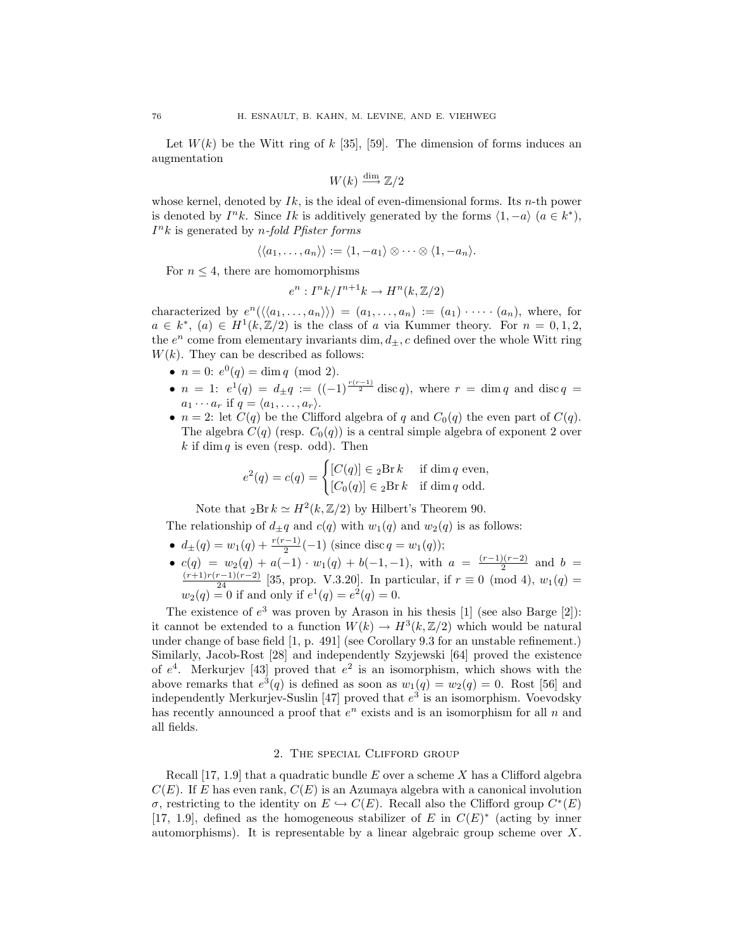Let  $W(k)$  be the Witt ring of  $k$  [35], [59]. The dimension of forms induces an augmentation

$$
W(k) \xrightarrow{\dim} \mathbb{Z}/2
$$

whose kernel, denoted by *Ik*, is the ideal of even-dimensional forms. Its *n*-th power is denoted by  $I^n k$ . Since *Ik* is additively generated by the forms  $\langle 1, -a \rangle$  ( $a \in k^*$ ), *I*<sup>n</sup>*k* is generated by *n-fold Pfister forms*

$$
\langle \langle a_1, \ldots, a_n \rangle \rangle := \langle 1, -a_1 \rangle \otimes \cdots \otimes \langle 1, -a_n \rangle.
$$

For  $n \leq 4$ , there are homomorphisms

$$
e^n: I^n k / I^{n+1} k \to H^n(k, \mathbb{Z}/2)
$$

characterized by  $e^{n}(\langle\langle a_1,\ldots,a_n\rangle\rangle)=(a_1,\ldots,a_n):=(a_1)\cdot\cdots\cdot(a_n),$  where, for  $a \in k^*$ ,  $(a) \in H^1(k, \mathbb{Z}/2)$  is the class of *a* via Kummer theory. For  $n = 0, 1, 2$ , the  $e^n$  come from elementary invariants dim,  $d_{\pm}$ , c defined over the whole Witt ring  $W(k)$ . They can be described as follows:

- $n = 0$ :  $e^{0}(q) = \dim q \pmod{2}$ .
- *n* = 1:  $e^{1}(q) = d_{\pm}q := ((-1)^{\frac{r(r-1)}{2}} \operatorname{disc} q)$ , where  $r = \dim q$  and  $\operatorname{disc} q =$  $a_1 \cdots a_r$  if  $q = \langle a_1, \ldots, a_r \rangle$ .
- $n = 2$ : let  $C(q)$  be the Clifford algebra of *q* and  $C_0(q)$  the even part of  $C(q)$ . The algebra  $C(q)$  (resp.  $C_0(q)$ ) is a central simple algebra of exponent 2 over  $k$  if dim  $q$  is even (resp. odd). Then

$$
e^{2}(q) = c(q) = \begin{cases} [C(q)] \in {}_{2}\text{Br } k & \text{if } \dim q \text{ even,} \\ [C_{0}(q)] \in {}_{2}\text{Br } k & \text{if } \dim q \text{ odd.} \end{cases}
$$

Note that  ${}_{2}Br\ k \simeq H^{2}(k, \mathbb{Z}/2)$  by Hilbert's Theorem 90.

The relationship of  $d_{\pm}q$  and  $c(q)$  with  $w_1(q)$  and  $w_2(q)$  is as follows:

- $\bullet$  *d*<sub>±</sub>(*q*) = *w*<sub>1</sub>(*q*) +  $\frac{r(r-1)}{2}(-1)$  (since disc *q* = *w*<sub>1</sub>(*q*));
- $c(q) = w_2(q) + a(-1) \cdot w_1(q) + b(-1, -1)$ , with  $a = \frac{(r-1)(r-2)}{2}$  and  $b = \frac{(r+1)r(r-1)(r-2)}{24}$  [35, prop. V.3.20]. In particular, if  $r \equiv 0 \pmod{4}$ ,  $w_1(q) =$  $w_2(q) = 0$  if and only if  $e^1(q) = e^2(q) = 0$ .

The existence of  $e^3$  was proven by Arason in his thesis  $[1]$  (see also Barge  $[2]$ ): it cannot be extended to a function  $W(k) \to H^3(k, \mathbb{Z}/2)$  which would be natural under change of base field [1, p. 491] (see Corollary 9.3 for an unstable refinement.) Similarly, Jacob-Rost [28] and independently Szyjewski [64] proved the existence of  $e^4$ . Merkurjev [43] proved that  $e^2$  is an isomorphism, which shows with the above remarks that  $e^3(q)$  is defined as soon as  $w_1(q) = w_2(q) = 0$ . Rost [56] and independently Merkurjev-Suslin [47] proved that  $e^3$  is an isomorphism. Voevodsky has recently announced a proof that  $e^n$  exists and is an isomorphism for all  $n$  and all fields.

## 2. The special Clifford group

Recall [17, 1.9] that a quadratic bundle *E* over a scheme *X* has a Clifford algebra  $C(E)$ . If *E* has even rank,  $C(E)$  is an Azumaya algebra with a canonical involution *σ*, restricting to the identity on  $E \hookrightarrow C(E)$ . Recall also the Clifford group  $C^*(E)$ [17, 1.9], defined as the homogeneous stabilizer of *E* in  $C(E)^*$  (acting by inner automorphisms). It is representable by a linear algebraic group scheme over *X*.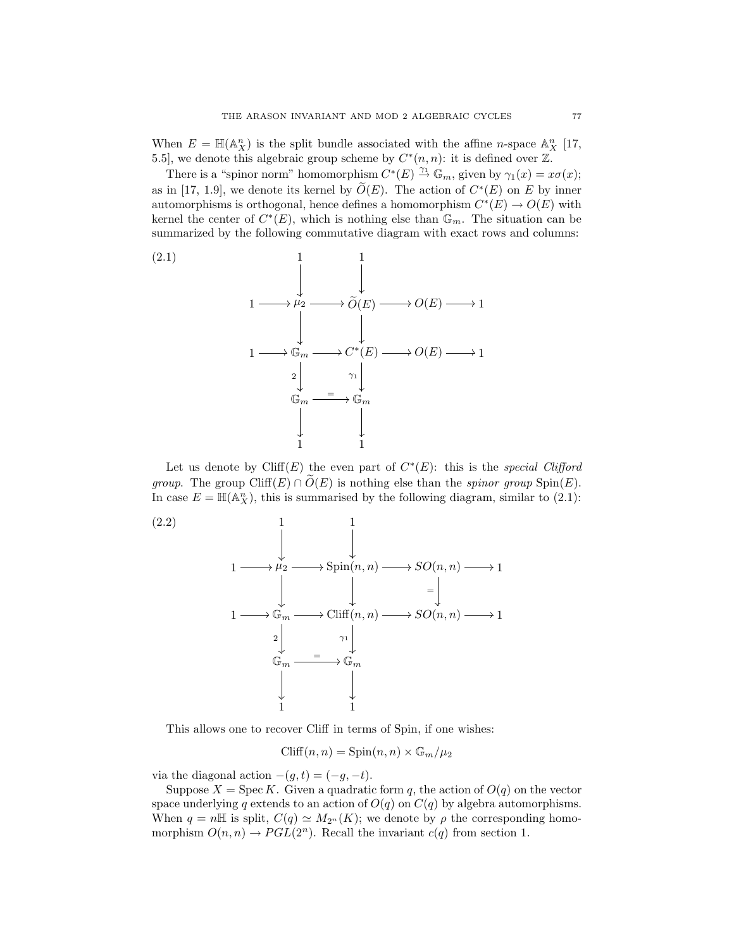When  $E = \mathbb{H}(\mathbb{A}_{X}^{n})$  is the split bundle associated with the affine *n*-space  $\mathbb{A}_{X}^{n}$  [17, 5.5], we denote this algebraic group scheme by  $C^*(n, n)$ : it is defined over  $\mathbb{Z}$ .

There is a "spinor norm" homomorphism  $C^*(E) \stackrel{\gamma_1}{\rightarrow} \mathbb{G}_m$ , given by  $\gamma_1(x) = x\sigma(x)$ ; as in [17, 1.9], we denote its kernel by  $\tilde{O}(E)$ . The action of  $C^*(E)$  on *E* by inner automorphisms is orthogonal, hence defines a homomorphism  $C^*(E) \to O(E)$  with kernel the center of  $C^*(E)$ , which is nothing else than  $\mathbb{G}_m$ . The situation can be summarized by the following commutative diagram with exact rows and columns:

(2.1)  
\n
$$
1 \longrightarrow \mu_2 \longrightarrow \widetilde{O}(E) \longrightarrow O(E) \longrightarrow 1
$$
\n
$$
1 \longrightarrow \mathbb{G}_m \longrightarrow C^*(E) \longrightarrow O(E) \longrightarrow 1
$$
\n
$$
2 \downarrow \qquad \qquad \mathbb{G}_m \longrightarrow \mathbb{G}_m
$$
\n
$$
\downarrow \qquad \qquad \downarrow
$$
\n
$$
1 \longrightarrow 1
$$

Let us denote by Cliff(*E*) the even part of  $C^*(E)$ : this is the *special Clifford group*. The group  $\text{Cliff}(E) \cap O(E)$  is nothing else than the *spinor group*  $\text{Spin}(E)$ . In case  $E = \mathbb{H}(\mathbb{A}_{X}^{n})$ , this is summarised by the following diagram, similar to (2.1):



This allows one to recover Cliff in terms of Spin, if one wishes:

$$
\text{Cliff}(n, n) = \text{Spin}(n, n) \times \mathbb{G}_m / \mu_2
$$

via the diagonal action  $-(g, t) = (-g, -t)$ .

Suppose  $X = \text{Spec } K$ . Given a quadratic form q, the action of  $O(q)$  on the vector space underlying *q* extends to an action of  $O(q)$  on  $C(q)$  by algebra automorphisms. When  $q = n\mathbb{H}$  is split,  $C(q) \simeq M_{2^n}(K)$ ; we denote by  $\rho$  the corresponding homomorphism  $O(n, n) \to PGL(2^n)$ . Recall the invariant  $c(q)$  from section 1.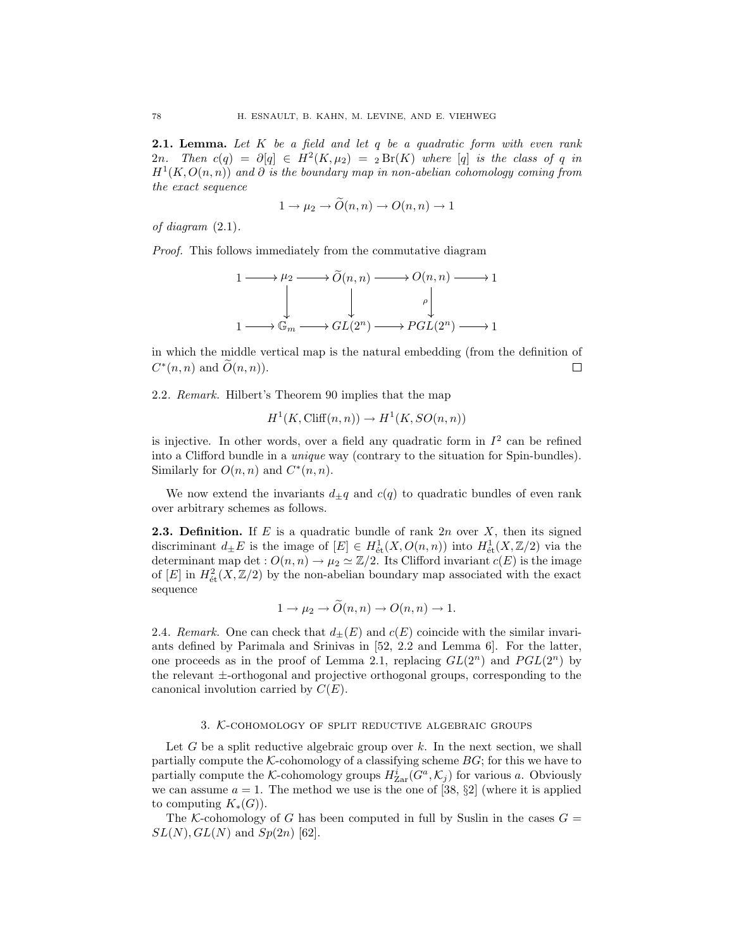**2.1. Lemma.** *Let K be a field and let q be a quadratic form with even rank* 2*n.* Then  $c(q) = \partial[q] \in H^2(K, \mu_2) = {}_2\text{Br}(K)$  where [q] is the class of q in *H*<sup>1</sup>(*K, O*(*n, n*)) *and ∂ is the boundary map in non-abelian cohomology coming from the exact sequence*

$$
1 \to \mu_2 \to O(n,n) \to O(n,n) \to 1
$$

*of diagram* (2.1)*.*

*Proof.* This follows immediately from the commutative diagram

$$
1 \longrightarrow \mu_2 \longrightarrow \widetilde{O}(n, n) \longrightarrow O(n, n) \longrightarrow 1
$$
  
\n
$$
\downarrow \qquad \qquad \downarrow \qquad \qquad \rho
$$
  
\n
$$
1 \longrightarrow \mathbb{G}_m \longrightarrow GL(2^n) \longrightarrow PGL(2^n) \longrightarrow 1
$$

in which the middle vertical map is the natural embedding (from the definition of  $C^*(n, n)$  and  $O(n, n)$ .  $\Box$ 

2.2*. Remark.* Hilbert's Theorem 90 implies that the map

$$
H^1(K, \text{Cliff}(n, n)) \to H^1(K, SO(n, n))
$$

is injective. In other words, over a field any quadratic form in  $I<sup>2</sup>$  can be refined into a Clifford bundle in a *unique* way (contrary to the situation for Spin-bundles). Similarly for  $O(n, n)$  and  $C^*(n, n)$ .

We now extend the invariants  $d_{\pm}q$  and  $c(q)$  to quadratic bundles of even rank over arbitrary schemes as follows.

**2.3. Definition.** If *E* is a quadratic bundle of rank 2*n* over *X*, then its signed discriminant  $d_{\pm}E$  is the image of  $[E] \in H^1_{\text{\'et}}(X, O(n, n))$  into  $H^1_{\text{\'et}}(X, \mathbb{Z}/2)$  via the determinant map det :  $O(n, n) \to \mu_2 \simeq \mathbb{Z}/2$ . Its Clifford invariant  $c(E)$  is the image of  $[E]$  in  $H^2_{\text{\'et}}(X,\mathbb{Z}/2)$  by the non-abelian boundary map associated with the exact sequence

$$
1 \to \mu_2 \to O(n,n) \to O(n,n) \to 1.
$$

2.4*. Remark.* One can check that  $d_{\pm}(E)$  and  $c(E)$  coincide with the similar invariants defined by Parimala and Srinivas in [52, 2.2 and Lemma 6]. For the latter, one proceeds as in the proof of Lemma 2.1, replacing  $GL(2^n)$  and  $PGL(2^n)$  by the relevant *±*-orthogonal and projective orthogonal groups, corresponding to the canonical involution carried by *C*(*E*).

### 3. *K*-cohomology of split reductive algebraic groups

Let *G* be a split reductive algebraic group over *k*. In the next section, we shall partially compute the  $K$ -cohomology of a classifying scheme  $BG$ ; for this we have to partially compute the *K*-cohomology groups  $H^i_{\text{Zar}}(G^a, \mathcal{K}_j)$  for various *a*. Obviously we can assume  $a = 1$ . The method we use is the one of [38,  $\S2$ ] (where it is applied to computing  $K_*(G)$ ).

The *K*-cohomology of *G* has been computed in full by Suslin in the cases  $G =$  $SL(N)$ *, GL*(*N*) and *Sp*(2*n*) [62].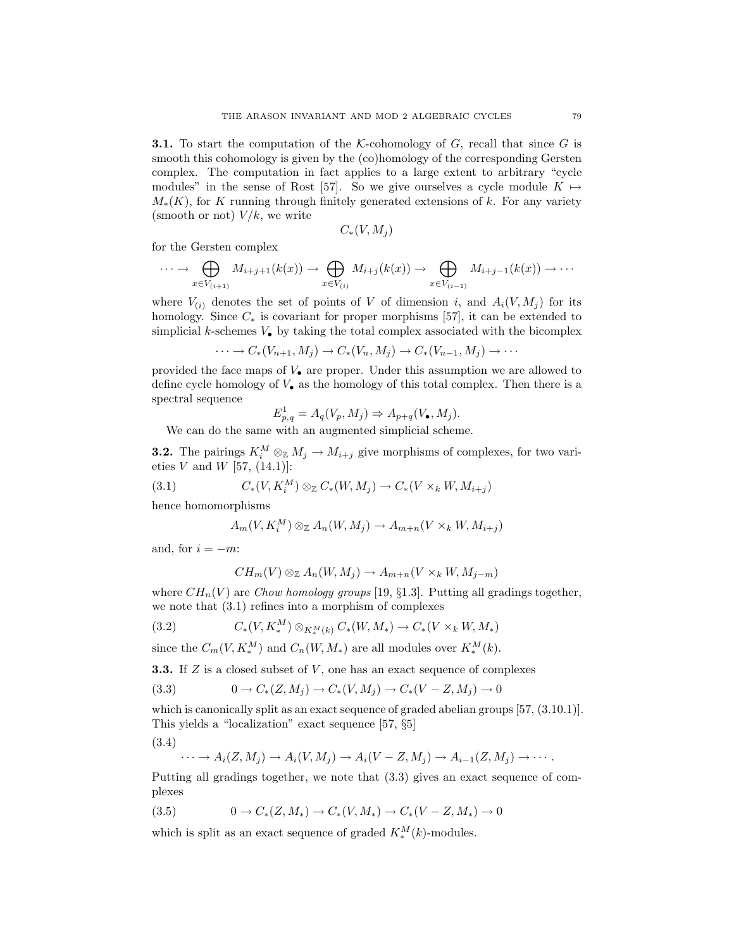**3.1.** To start the computation of the *K*-cohomology of *G*, recall that since *G* is smooth this cohomology is given by the (co)homology of the corresponding Gersten complex. The computation in fact applies to a large extent to arbitrary "cycle modules" in the sense of Rost [57]. So we give ourselves a cycle module  $K \mapsto$  $M_*(K)$ , for *K* running through finitely generated extensions of *k*. For any variety (smooth or not) *V/k*, we write

$$
C_*(V,M_j)
$$

for the Gersten complex

$$
\cdots \to \bigoplus_{x \in V_{(i+1)}} M_{i+j+1}(k(x)) \to \bigoplus_{x \in V_{(i)}} M_{i+j}(k(x)) \to \bigoplus_{x \in V_{(i-1)}} M_{i+j-1}(k(x)) \to \cdots
$$

where  $V_{(i)}$  denotes the set of points of *V* of dimension *i*, and  $A_i(V, M_j)$  for its homology. Since *C<sup>∗</sup>* is covariant for proper morphisms [57], it can be extended to simplicial *k*-schemes *V•* by taking the total complex associated with the bicomplex

$$
\cdots \to C_*(V_{n+1}, M_j) \to C_*(V_n, M_j) \to C_*(V_{n-1}, M_j) \to \cdots
$$

provided the face maps of *V•* are proper. Under this assumption we are allowed to define cycle homology of  $V_{\bullet}$  as the homology of this total complex. Then there is a spectral sequence

$$
E_{p,q}^1 = A_q(V_p, M_j) \Rightarrow A_{p+q}(V_\bullet, M_j).
$$

We can do the same with an augmented simplicial scheme.

**3.2.** The pairings  $K_i^M \otimes_{\mathbb{Z}} M_j \to M_{i+j}$  give morphisms of complexes, for two varieties *V* and *W* [57,  $(14.1)$ ]:

(3.1) 
$$
C_*(V, K_i^M) \otimes_{\mathbb{Z}} C_*(W, M_j) \to C_*(V \times_k W, M_{i+j})
$$

hence homomorphisms

$$
A_m(V, K_i^M) \otimes_{\mathbb{Z}} A_n(W, M_j) \to A_{m+n}(V \times_k W, M_{i+j})
$$

and, for  $i = -m$ :

$$
CH_m(V) \otimes_{\mathbb{Z}} A_n(W, M_j) \to A_{m+n}(V \times_k W, M_{j-m})
$$

where  $CH_n(V)$  are *Chow homology groups* [19,  $\S1.3$ ]. Putting all gradings together, we note that (3.1) refines into a morphism of complexes

(3.2) 
$$
C_*(V, K_*^M) \otimes_{K_*^M(k)} C_*(W, M_*) \to C_*(V \times_k W, M_*)
$$

since the  $C_m(V, K_*^M)$  and  $C_n(W, M_*)$  are all modules over  $K_*^M(k)$ .

**3.3.** If *Z* is a closed subset of *V* , one has an exact sequence of complexes

$$
(3.3) \t 0 \to C_*(Z, M_j) \to C_*(V, M_j) \to C_*(V - Z, M_j) \to 0
$$

which is canonically split as an exact sequence of graded abelian groups  $[57, (3.10.1)]$ . This yields a "localization" exact sequence [57, *§*5]

$$
(3.4)
$$

$$
\cdots \to A_i(Z,M_j) \to A_i(V,M_j) \to A_i(V-Z,M_j) \to A_{i-1}(Z,M_j) \to \cdots.
$$

Putting all gradings together, we note that (3.3) gives an exact sequence of complexes

$$
(3.5) \t 0 \to C_*(Z, M_*) \to C_*(V, M_*) \to C_*(V - Z, M_*) \to 0
$$

which is split as an exact sequence of graded  $K_*^M(k)$ -modules.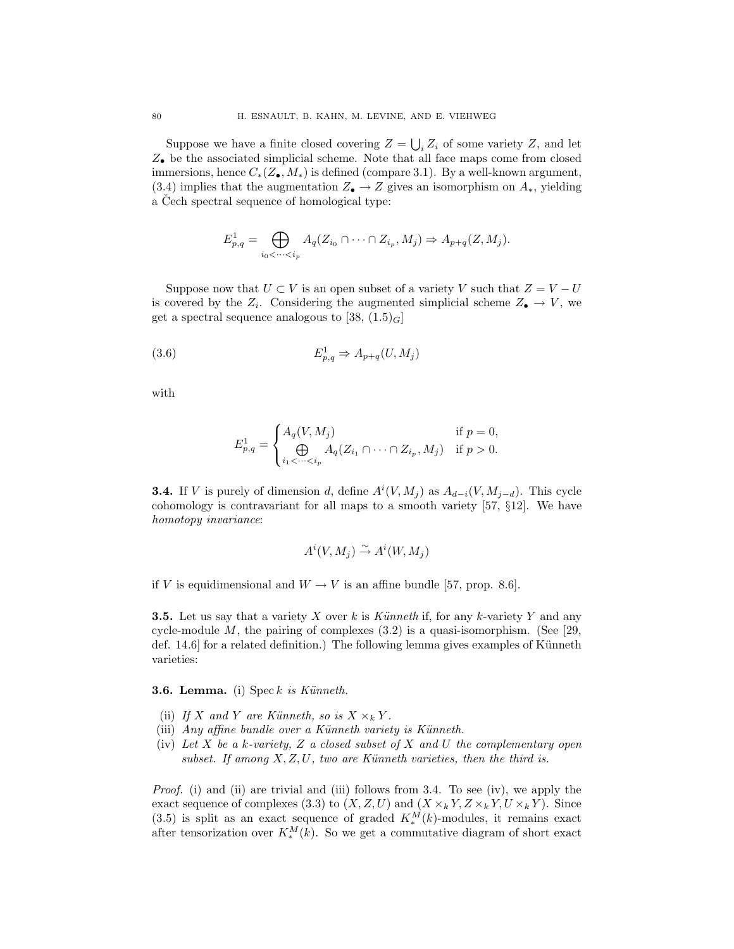Suppose we have a finite closed covering  $Z = \bigcup_i Z_i$  of some variety  $Z$ , and let *Z•* be the associated simplicial scheme. Note that all face maps come from closed immersions, hence *C∗*(*Z•, M∗*) is defined (compare 3.1). By a well-known argument, (3.4) implies that the augmentation  $Z_{\bullet} \rightarrow Z$  gives an isomorphism on  $A_{*}$ , yielding a Cech spectral sequence of homological type:

$$
E_{p,q}^1 = \bigoplus_{i_0 < \cdots < i_p} A_q(Z_{i_0} \cap \cdots \cap Z_{i_p}, M_j) \Rightarrow A_{p+q}(Z, M_j).
$$

Suppose now that  $U \subset V$  is an open subset of a variety  $V$  such that  $Z = V - U$ is covered by the  $Z_i$ . Considering the augmented simplicial scheme  $Z_{\bullet} \to V$ , we get a spectral sequence analogous to [38,  $(1.5)<sub>G</sub>$ ]

$$
(3.6) \t\t E_{p,q}^1 \Rightarrow A_{p+q}(U, M_j)
$$

with

$$
E_{p,q}^1 = \begin{cases} A_q(V, M_j) & \text{if } p = 0, \\ \bigoplus_{i_1 < \dots < i_p} A_q(Z_{i_1} \cap \dots \cap Z_{i_p}, M_j) & \text{if } p > 0. \end{cases}
$$

**3.4.** If *V* is purely of dimension *d*, define  $A^{i}(V, M_{j})$  as  $A_{d-i}(V, M_{j-d})$ . This cycle cohomology is contravariant for all maps to a smooth variety [57, *§*12]. We have *homotopy invariance*:

$$
A^i(V, M_j) \xrightarrow{\sim} A^i(W, M_j)
$$

if *V* is equidimensional and  $W \rightarrow V$  is an affine bundle [57, prop. 8.6].

**3.5.** Let us say that a variety *X* over *k* is *K¨unneth* if, for any *k*-variety *Y* and any cycle-module  $M$ , the pairing of complexes  $(3.2)$  is a quasi-isomorphism. (See [29, def.  $14.6$  for a related definition.) The following lemma gives examples of Künneth varieties:

## **3.6. Lemma.** (i) Spec *k is K¨unneth.*

- (ii) If X and Y are Künneth, so is  $X \times_k Y$ .
- (iii) *Any affine bundle over a Künneth variety is Künneth.*
- (iv) *Let X be a k-variety, Z a closed subset of X and U the complementary open*  $subset.$  If among  $X, Z, U$ , two are Künneth varieties, then the third is.

*Proof.* (i) and (ii) are trivial and (iii) follows from 3.4. To see (iv), we apply the exact sequence of complexes (3.3) to  $(X, Z, U)$  and  $(X \times_k Y, Z \times_k Y, U \times_k Y)$ . Since (3.5) is split as an exact sequence of graded  $K_*^M(k)$ -modules, it remains exact after tensorization over  $K_*^M(k)$ . So we get a commutative diagram of short exact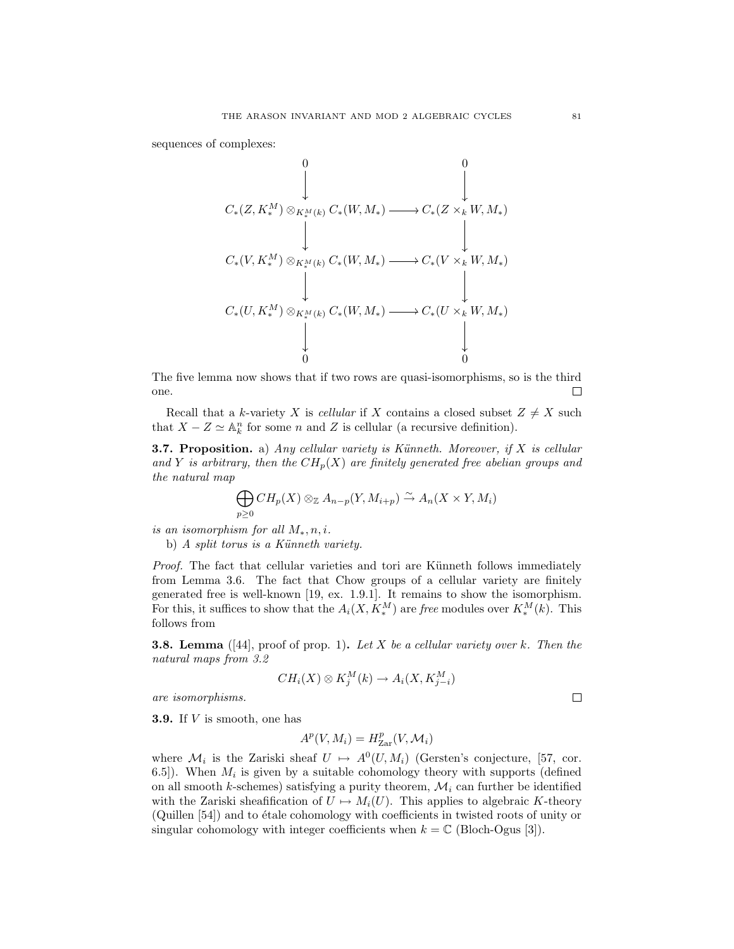sequences of complexes:

$$
C_{*}(Z, K_{*}^{M}) \otimes_{K_{*}^{M}(k)} C_{*}(W, M_{*}) \longrightarrow C_{*}(Z \times_{k} W, M_{*})
$$
  
\n
$$
C_{*}(V, K_{*}^{M}) \otimes_{K_{*}^{M}(k)} C_{*}(W, M_{*}) \longrightarrow C_{*}(V \times_{k} W, M_{*})
$$
  
\n
$$
C_{*}(U, K_{*}^{M}) \otimes_{K_{*}^{M}(k)} C_{*}(W, M_{*}) \longrightarrow C_{*}(U \times_{k} W, M_{*})
$$
  
\n
$$
\downarrow
$$
  
\n0

The five lemma now shows that if two rows are quasi-isomorphisms, so is the third one. П

Recall that a *k*-variety *X* is *cellular* if *X* contains a closed subset  $Z \neq X$  such that  $X - Z \simeq \mathbb{A}_k^n$  for some *n* and *Z* is cellular (a recursive definition).

**3.7. Proposition.** a) *Any cellular variety is Künneth. Moreover, if X is cellular* and *Y* is arbitrary, then the  $CH_p(X)$  are finitely generated free abelian groups and *the natural map*

$$
\bigoplus_{p\geq 0} CH_p(X) \otimes_{\mathbb{Z}} A_{n-p}(Y, M_{i+p}) \stackrel{\sim}{\to} A_n(X \times Y, M_i)
$$

*is an isomorphism for all M∗, n, i.*

b) *A split torus is a Künneth variety.* 

*Proof.* The fact that cellular varieties and tori are Künneth follows immediately from Lemma 3.6. The fact that Chow groups of a cellular variety are finitely generated free is well-known [19, ex. 1.9.1]. It remains to show the isomorphism. For this, it suffices to show that the  $A_i(X, K_*^M)$  are *free* modules over  $K_*^M(k)$ . This follows from

**3.8. Lemma** ([44], proof of prop. 1)**.** *Let X be a cellular variety over k. Then the natural maps from 3.2*

$$
CH_i(X) \otimes K_j^M(k) \to A_i(X, K_{j-i}^M)
$$

*are isomorphisms.*

**3.9.** If *V* is smooth, one has

$$
A^p(V, M_i) = H^p_{\text{Zar}}(V, \mathcal{M}_i)
$$

where  $\mathcal{M}_i$  is the Zariski sheaf  $U \mapsto A^0(U, M_i)$  (Gersten's conjecture, [57, cor. 6.5]). When  $M_i$  is given by a suitable cohomology theory with supports (defined on all smooth *k*-schemes) satisfying a purity theorem,  $\mathcal{M}_i$  can further be identified with the Zariski sheafification of  $U \mapsto M_i(U)$ . This applies to algebraic *K*-theory (Quillen [54]) and to étale cohomology with coefficients in twisted roots of unity or singular cohomology with integer coefficients when  $k = \mathbb{C}$  (Bloch-Ogus [3]).

 $\Box$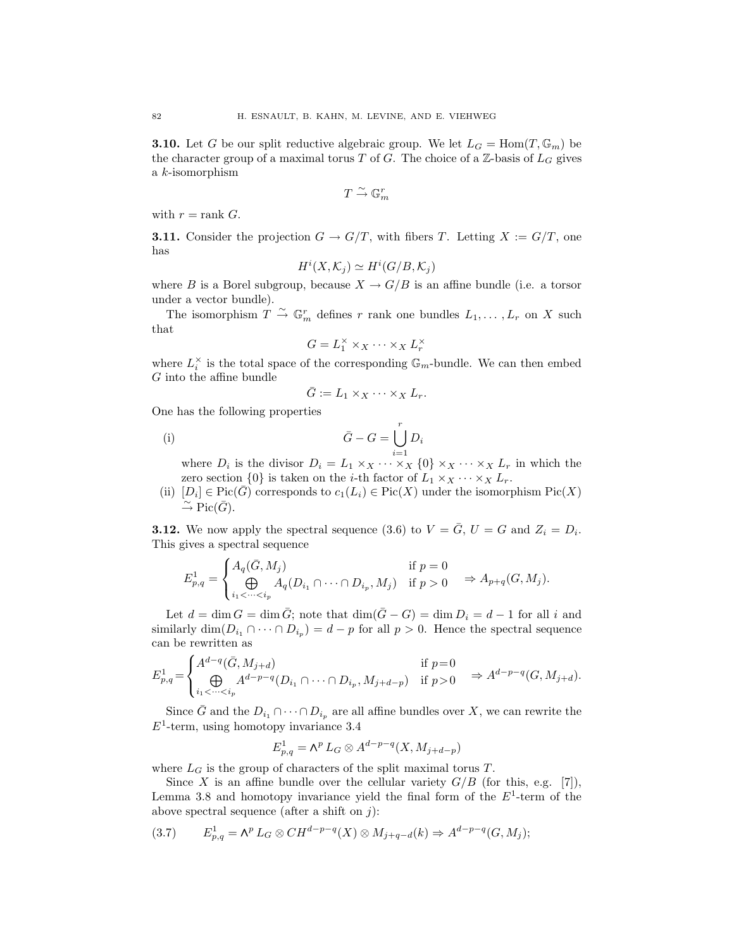**3.10.** Let *G* be our split reductive algebraic group. We let  $L_G = \text{Hom}(T, \mathbb{G}_m)$  be the character group of a maximal torus *T* of *G*. The choice of a  $\mathbb{Z}$ -basis of  $L_G$  gives a *k*-isomorphism

$$
T\stackrel{\sim}{\rightarrow} \mathbb{G}_m^r
$$

with  $r = \text{rank } G$ .

**3.11.** Consider the projection  $G \to G/T$ , with fibers *T*. Letting  $X := G/T$ , one has

$$
H^i(X, \mathcal{K}_j) \simeq H^i(G/B, \mathcal{K}_j)
$$

where *B* is a Borel subgroup, because  $X \to G/B$  is an affine bundle (i.e. a torsor under a vector bundle).

The isomorphism  $T \stackrel{\sim}{\to} \mathbb{G}_m^r$  defines  $r$  rank one bundles  $L_1, \ldots, L_r$  on  $X$  such that

$$
G = L_1^\times \times_X \cdots \times_X L_r^\times
$$

where  $L_i^{\times}$  is the total space of the corresponding  $\mathbb{G}_m$ -bundle. We can then embed *G* into the affine bundle

$$
\bar{G} := L_1 \times_X \cdots \times_X L_r.
$$

One has the following properties

$$
\bar{G} - G = \bigcup_{i=1}^{r} D_i
$$

where  $D_i$  is the divisor  $D_i = L_1 \times_X \cdots \times_X \{0\} \times_X \cdots \times_X L_r$  in which the zero section  $\{0\}$  is taken on the *i*-th factor of  $L_1 \times_X \cdots \times_X L_r$ .

(ii)  $[D_i] \in Pic(\overline{G})$  corresponds to  $c_1(L_i) \in Pic(X)$  under the isomorphism  $Pic(X)$  $\stackrel{\sim}{\rightarrow}$  Pic( $\bar{G}$ ).

**3.12.** We now apply the spectral sequence (3.6) to  $V = \overline{G}$ ,  $U = G$  and  $Z_i = D_i$ . This gives a spectral sequence

$$
E_{p,q}^1 = \begin{cases} A_q(\bar{G}, M_j) & \text{if } p = 0\\ \bigoplus_{i_1 < \dots < i_p} A_q(D_{i_1} \cap \dots \cap D_{i_p}, M_j) & \text{if } p > 0 \end{cases} \Rightarrow A_{p+q}(G, M_j).
$$

Let  $d = \dim G = \dim \overline{G}$ ; note that  $\dim(\overline{G} - G) = \dim D_i = d - 1$  for all *i* and similarly  $\dim(D_{i_1} \cap \cdots \cap D_{i_p}) = d - p$  for all  $p > 0$ . Hence the spectral sequence can be rewritten as

$$
E_{p,q}^1 = \begin{cases} A^{d-q}(\bar{G}, M_{j+d}) & \text{if } p = 0\\ \bigoplus_{i_1 < \dots < i_p} A^{d-p-q}(D_{i_1} \cap \dots \cap D_{i_p}, M_{j+d-p}) & \text{if } p > 0 \end{cases} \Rightarrow A^{d-p-q}(G, M_{j+d}).
$$

Since  $\bar{G}$  and the  $D_{i_1} \cap \cdots \cap D_{i_p}$  are all affine bundles over *X*, we can rewrite the  $E<sup>1</sup>$ -term, using homotopy invariance 3.4

$$
E_{p,q}^1 = \mathsf{\Lambda}^p L_G \otimes A^{d-p-q}(X,M_{j+d-p})
$$

where  $L_G$  is the group of characters of the split maximal torus  $T$ .

Since *X* is an affine bundle over the cellular variety  $G/B$  (for this, e.g. [7]), Lemma 3.8 and homotopy invariance yield the final form of the *E*<sup>1</sup>-term of the above spectral sequence (after a shift on *j*):

$$
(3.7) \qquad E_{p,q}^1 = \mathsf{\Lambda}^p L_G \otimes CH^{d-p-q}(X) \otimes M_{j+q-d}(k) \Rightarrow A^{d-p-q}(G, M_j);
$$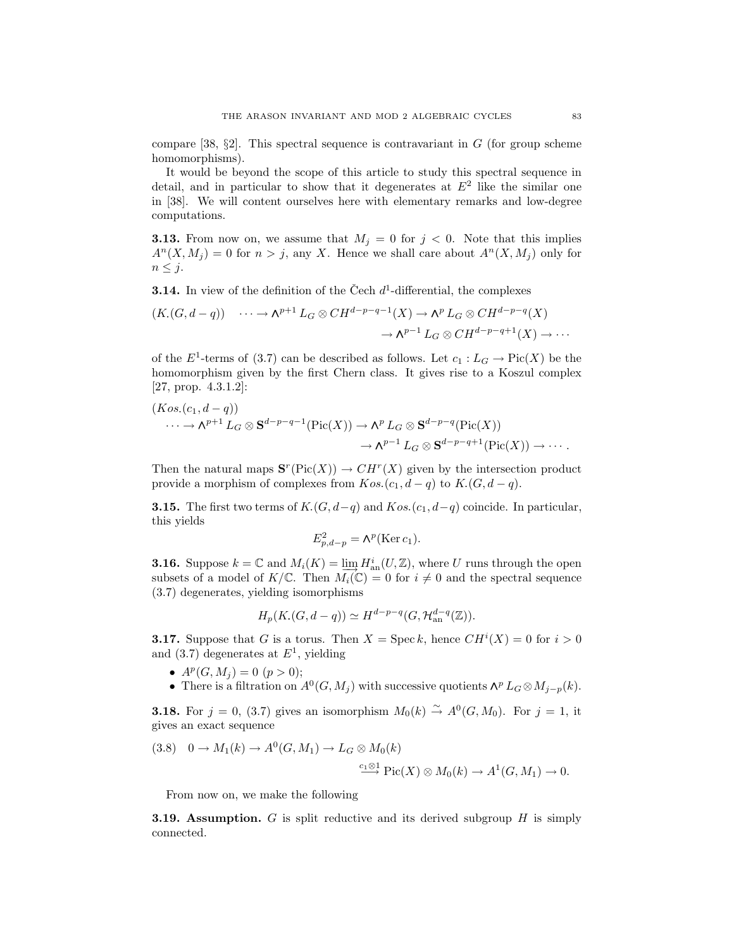compare [38,  $\S$ 2]. This spectral sequence is contravariant in *G* (for group scheme homomorphisms).

It would be beyond the scope of this article to study this spectral sequence in detail, and in particular to show that it degenerates at  $E<sup>2</sup>$  like the similar one in [38]. We will content ourselves here with elementary remarks and low-degree computations.

**3.13.** From now on, we assume that  $M_j = 0$  for  $j < 0$ . Note that this implies  $A<sup>n</sup>(X, M<sub>j</sub>) = 0$  for  $n > j$ , any *X*. Hence we shall care about  $A<sup>n</sup>(X, M<sub>j</sub>)$  only for  $n \leq j$ .

**3.14.** In view of the definition of the Čech  $d^1$ -differential, the complexes

$$
(K(G, d-q)) \quad \cdots \to \Lambda^{p+1} L_G \otimes CH^{d-p-q-1}(X) \to \Lambda^p L_G \otimes CH^{d-p-q}(X) \\
\to \Lambda^{p-1} L_G \otimes CH^{d-p-q+1}(X) \to \cdots
$$

of the  $E^1$ -terms of (3.7) can be described as follows. Let  $c_1 : L_G \to Pic(X)$  be the homomorphism given by the first Chern class. It gives rise to a Koszul complex [27, prop. 4.3.1.2]:

$$
(Kos.(c_1, d-q))
$$
  
\n
$$
\cdots \to \Lambda^{p+1} L_G \otimes \mathbf{S}^{d-p-q-1}(\text{Pic}(X)) \to \Lambda^p L_G \otimes \mathbf{S}^{d-p-q}(\text{Pic}(X))
$$
  
\n
$$
\to \Lambda^{p-1} L_G \otimes \mathbf{S}^{d-p-q+1}(\text{Pic}(X)) \to \cdots.
$$

Then the natural maps  $\mathbf{S}^r(\text{Pic}(X)) \to CH^r(X)$  given by the intersection product provide a morphism of complexes from  $Kos.(c_1, d - q)$  to  $K.(G, d - q)$ .

**3.15.** The first two terms of  $K$ *(G, d-q)* and  $Kos$ *(c<sub>1</sub>, d-q)* coincide. In particular, this yields

$$
E_{p,d-p}^2 = \mathsf{\Lambda}^p(\text{Ker }c_1).
$$

**3.16.** Suppose  $k = \mathbb{C}$  and  $M_i(K) = \varinjlim_{\alpha} H_{\text{an}}^i(U, \mathbb{Z})$ , where *U* runs through the open subsets of a model of  $K/\mathbb{C}$ . Then  $M_i(\mathbb{C}) = 0$  for  $i \neq 0$  and the spectral sequence (3.7) degenerates, yielding isomorphisms

$$
H_p(K_1(G, d-q)) \simeq H^{d-p-q}(G, \mathcal{H}_{\mathrm{an}}^{d-q}(\mathbb{Z})).
$$

**3.17.** Suppose that *G* is a torus. Then  $X = \text{Spec } k$ , hence  $CH^i(X) = 0$  for  $i > 0$ and (3.7) degenerates at *E*<sup>1</sup>, yielding

- $A^p(G, M_i) = 0$   $(p > 0);$
- There is a filtration on  $A^0(G, M_j)$  with successive quotients  $\Lambda^p L_G \otimes M_{j-p}(k)$ .

**3.18.** For  $j = 0$ , (3.7) gives an isomorphism  $M_0(k) \stackrel{\sim}{\rightarrow} A^0(G, M_0)$ . For  $j = 1$ , it gives an exact sequence

$$
(3.8) \quad 0 \to M_1(k) \to A^0(G, M_1) \to L_G \otimes M_0(k)
$$

$$
\xrightarrow{c_1 \otimes 1} \text{Pic}(X) \otimes M_0(k) \to A^1(G, M_1) \to 0.
$$

From now on, we make the following

**3.19. Assumption.** *G* is split reductive and its derived subgroup *H* is simply connected.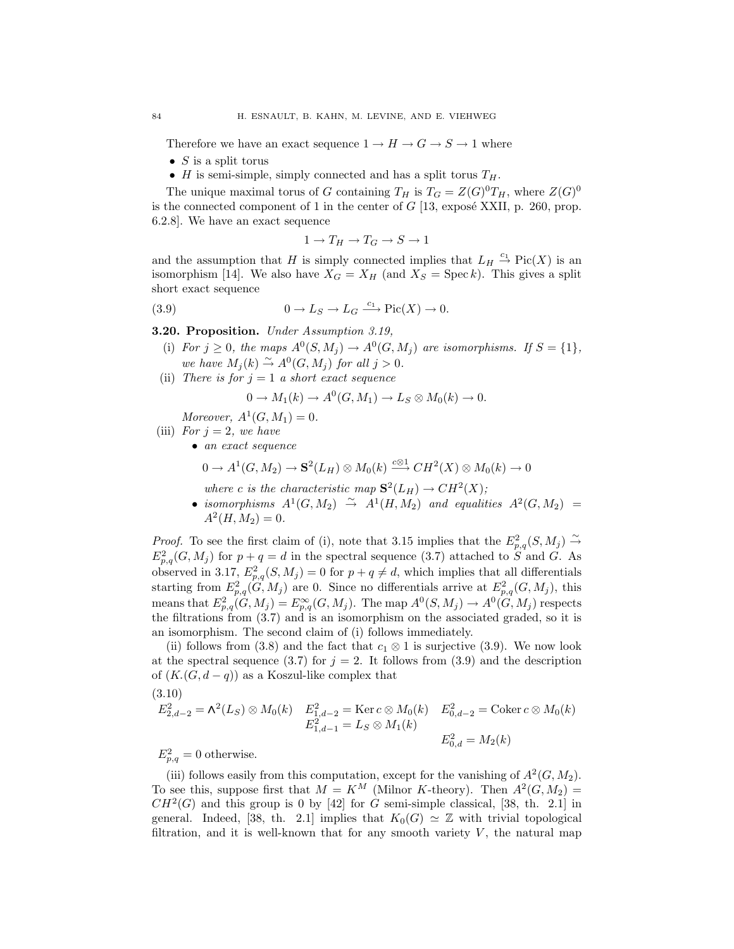Therefore we have an exact sequence  $1 \rightarrow H \rightarrow G \rightarrow S \rightarrow 1$  where

- *• S* is a split torus
- *H* is semi-simple, simply connected and has a split torus  $T_H$ .

The unique maximal torus of *G* containing  $T_H$  is  $T_G = Z(G)^0 T_H$ , where  $Z(G)^0$ is the connected component of 1 in the center of  $G$  [13, exposé XXII, p. 260, prop. 6.2.8]. We have an exact sequence

$$
1 \to T_H \to T_G \to S \to 1
$$

and the assumption that *H* is simply connected implies that  $L_H \stackrel{c_1}{\rightarrow} Pic(X)$  is an isomorphism [14]. We also have  $X_G = X_H$  (and  $X_S = \text{Spec } k$ ). This gives a split short exact sequence

(3.9)  $0 \to L_S \to L_G \xrightarrow{c_1} \text{Pic}(X) \to 0.$ 

**3.20. Proposition.** *Under Assumption 3.19,*

- (i) For  $j \geq 0$ , the maps  $A^0(S, M_j) \rightarrow A^0(G, M_j)$  are isomorphisms. If  $S = \{1\}$ , *we have*  $M_j(k) \stackrel{\sim}{\rightarrow} A^0(G, M_j)$  *for all*  $j > 0$ *.*
- (ii) *There is for*  $j = 1$  *a short exact sequence*

$$
0 \to M_1(k) \to A^0(G, M_1) \to L_S \otimes M_0(k) \to 0.
$$

*Moreover,*  $A^1(G, M_1) = 0$ .

- (iii) *For*  $j = 2$ *, we have* 
	- *• an exact sequence*

$$
0 \to A^1(G, M_2) \to \mathbf{S}^2(L_H) \otimes M_0(k) \xrightarrow{c \otimes 1} CH^2(X) \otimes M_0(k) \to 0
$$

*where c is the characteristic map*  $S^2(L_H) \rightarrow CH^2(X)$ ;

• *isomorphisms*  $A^1(G, M_2) \stackrel{\sim}{\rightarrow} A^1(H, M_2)$  and equalities  $A^2(G, M_2) =$  $A^2(H,M_2)=0$ .

*Proof.* To see the first claim of (i), note that 3.15 implies that the  $E_{p,q}^2(S,M_j) \stackrel{\sim}{\rightarrow}$  $E_{p,q}^2(G, M_j)$  for  $p+q=d$  in the spectral sequence (3.7) attached to *S* and *G*. As observed in 3.17,  $E_{p,q}^2(S, M_j) = 0$  for  $p + q \neq d$ , which implies that all differentials starting from  $E_{p,q}^2(G, M_j)$  are 0. Since no differentials arrive at  $E_{p,q}^2(G, M_j)$ , this means that  $E_{p,q}^2(\tilde{G}, M_j) = E_{p,q}^{\infty}(G, M_j)$ . The map  $A^0(S, M_j) \to A^0(\tilde{G}, M_j)$  respects the filtrations from (3.7) and is an isomorphism on the associated graded, so it is an isomorphism. The second claim of (i) follows immediately.

(ii) follows from (3.8) and the fact that  $c_1 \otimes 1$  is surjective (3.9). We now look at the spectral sequence (3.7) for  $j = 2$ . It follows from (3.9) and the description of  $(K(G, d-q))$  as a Koszul-like complex that  $(3.10)$ 

$$
3.10)
$$

$$
E_{2,d-2}^2 = \Lambda^2(L_S) \otimes M_0(k) \quad E_{1,d-2}^2 = \text{Ker } c \otimes M_0(k) \quad E_{0,d-2}^2 = \text{Coker } c \otimes M_0(k)
$$
  

$$
E_{1,d-1}^2 = L_S \otimes M_1(k)
$$
  

$$
E_{0,d}^2 = M_2(k)
$$

 $E_{p,q}^2 = 0$  otherwise.

(iii) follows easily from this computation, except for the vanishing of  $A^2(G, M_2)$ . To see this, suppose first that  $M = K^M$  (Milnor *K*-theory). Then  $A^2(G, M_2) =$  $CH<sup>2</sup>(G)$  and this group is 0 by [42] for *G* semi-simple classical, [38, th. 2.1] in general. Indeed, [38, th. 2.1] implies that  $K_0(G) \simeq \mathbb{Z}$  with trivial topological filtration, and it is well-known that for any smooth variety  $V$ , the natural map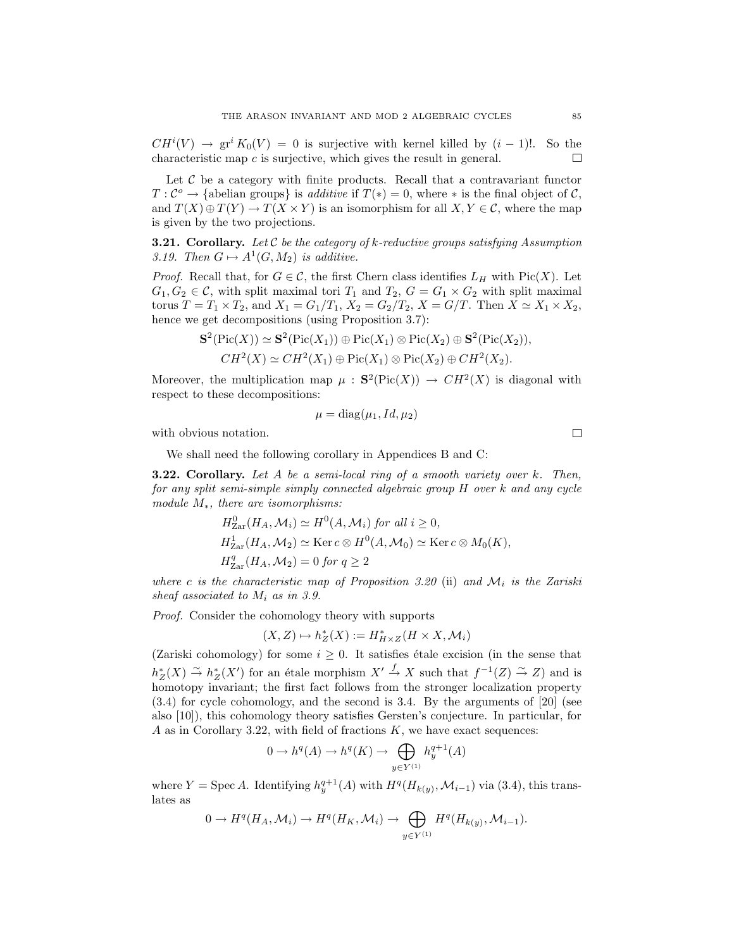$CH^{i}(V) \rightarrow \text{gr}^{i} K_{0}(V) = 0$  is surjective with kernel killed by  $(i-1)!$ . So the characteristic map *c* is surjective, which gives the result in general. 口

Let  $C$  be a category with finite products. Recall that a contravariant functor *T* :  $\mathcal{C}^{\circ} \to$  {abelian groups} is *additive* if  $T(*) = 0$ , where  $*$  is the final object of  $\mathcal{C}$ , and  $T(X) \oplus T(Y) \rightarrow T(X \times Y)$  is an isomorphism for all  $X, Y \in \mathcal{C}$ , where the map is given by the two projections.

**3.21. Corollary.** *Let C be the category of k-reductive groups satisfying Assumption 3.19. Then*  $G \mapsto A^1(G, M_2)$  *is additive.* 

*Proof.* Recall that, for  $G \in \mathcal{C}$ , the first Chern class identifies  $L_H$  with Pic(*X*). Let  $G_1, G_2 \in \mathcal{C}$ , with split maximal tori  $T_1$  and  $T_2, G = G_1 \times G_2$  with split maximal torus  $T = T_1 \times T_2$ , and  $X_1 = G_1/T_1$ ,  $X_2 = G_2/T_2$ ,  $X = G/T$ . Then  $X \simeq X_1 \times X_2$ , hence we get decompositions (using Proposition 3.7):

$$
\mathbf{S}^2(\mathrm{Pic}(X)) \simeq \mathbf{S}^2(\mathrm{Pic}(X_1)) \oplus \mathrm{Pic}(X_1) \otimes \mathrm{Pic}(X_2) \oplus \mathbf{S}^2(\mathrm{Pic}(X_2)),
$$
  
\n
$$
CH^2(X) \simeq CH^2(X_1) \oplus \mathrm{Pic}(X_1) \otimes \mathrm{Pic}(X_2) \oplus CH^2(X_2).
$$

Moreover, the multiplication map  $\mu$ :  $S^2(Pic(X)) \rightarrow CH^2(X)$  is diagonal with respect to these decompositions:

$$
\mu = \text{diag}(\mu_1, Id, \mu_2)
$$

with obvious notation.

We shall need the following corollary in Appendices B and C:

**3.22. Corollary.** *Let A be a semi-local ring of a smooth variety over k. Then, for any split semi-simple simply connected algebraic group H over k and any cycle module M∗, there are isomorphisms:*

$$
H_{\text{Zar}}^{0}(H_{A}, \mathcal{M}_{i}) \simeq H^{0}(A, \mathcal{M}_{i}) \text{ for all } i \geq 0,
$$
  
\n
$$
H_{\text{Zar}}^{1}(H_{A}, \mathcal{M}_{2}) \simeq \text{Ker } c \otimes H^{0}(A, \mathcal{M}_{0}) \simeq \text{Ker } c \otimes M_{0}(K),
$$
  
\n
$$
H_{\text{Zar}}^{q}(H_{A}, \mathcal{M}_{2}) = 0 \text{ for } q \geq 2
$$

*where c is the characteristic map of Proposition 3.20* (ii) and  $M_i$  *is the Zariski sheaf associated to M*<sup>i</sup> *as in 3.9.*

*Proof.* Consider the cohomology theory with supports

$$
(X,Z)\mapsto h_Z^*(X):=H^*_{H\times Z}(H\times X,\mathcal{M}_i)
$$

(Zariski cohomology) for some  $i \geq 0$ . It satisfies étale excision (in the sense that  $h_Z^*(X) \stackrel{\sim}{\to} h_Z^*(X')$  for an étale morphism  $X' \stackrel{f}{\to} X$  such that  $f^{-1}(Z) \stackrel{\sim}{\to} Z$ ) and is homotopy invariant; the first fact follows from the stronger localization property (3.4) for cycle cohomology, and the second is 3.4. By the arguments of [20] (see also [10]), this cohomology theory satisfies Gersten's conjecture. In particular, for *A* as in Corollary 3.22, with field of fractions *K*, we have exact sequences:

$$
0 \to h^q(A) \to h^q(K) \to \bigoplus_{y \in Y^{(1)}} h_y^{q+1}(A)
$$

where  $Y = \text{Spec } A$ . Identifying  $h_y^{q+1}(A)$  with  $H^q(H_{k(y)}, \mathcal{M}_{i-1})$  via (3.4), this translates as

$$
0 \to H^q(H_A, \mathcal{M}_i) \to H^q(H_K, \mathcal{M}_i) \to \bigoplus_{y \in Y^{(1)}} H^q(H_{k(y)}, \mathcal{M}_{i-1}).
$$

 $\Box$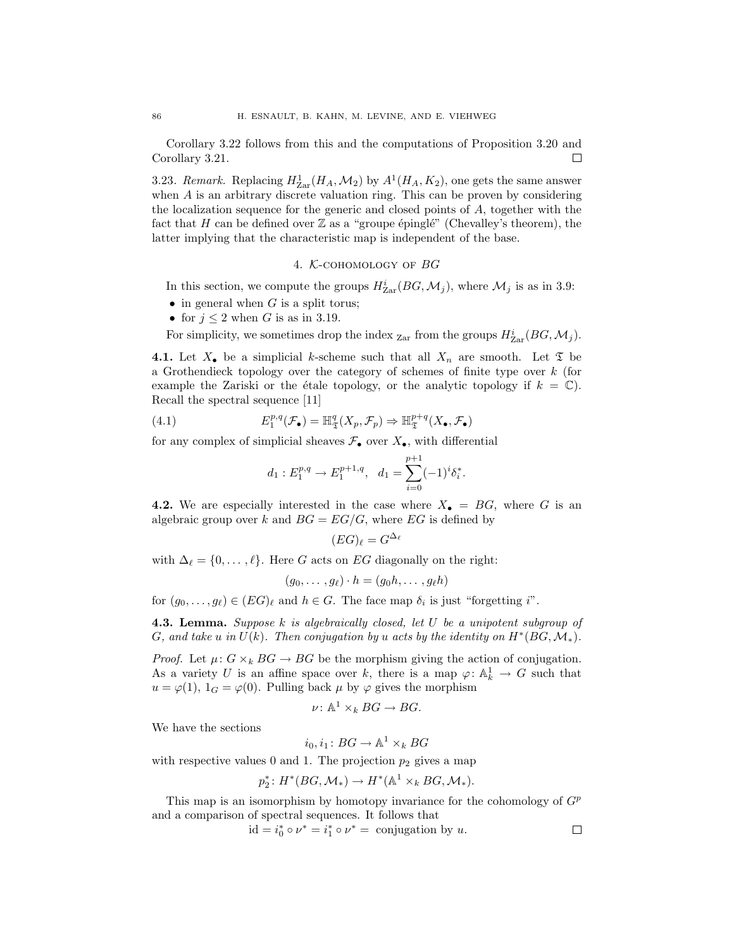Corollary 3.22 follows from this and the computations of Proposition 3.20 and Corollary 3.21. 口

3.23*. Remark.* Replacing  $H_{\text{Zar}}^1(H_A, \mathcal{M}_2)$  by  $A^1(H_A, K_2)$ , one gets the same answer when *A* is an arbitrary discrete valuation ring. This can be proven by considering the localization sequence for the generic and closed points of *A*, together with the fact that *H* can be defined over  $\mathbb Z$  as a "groupe épinglé" (Chevalley's theorem), the latter implying that the characteristic map is independent of the base.

## 4. *K*-cohomology of *BG*

In this section, we compute the groups  $H^i_{\text{Zar}}(BG, \mathcal{M}_j)$ , where  $\mathcal{M}_j$  is as in 3.9:

- *•* in general when *G* is a split torus;
- for  $j < 2$  when *G* is as in 3.19.

For simplicity, we sometimes drop the index  $_{\text{Zar}}$  from the groups  $H^i_{\text{Zar}}(BG, \mathcal{M}_j)$ .

**4.1.** Let  $X_{\bullet}$  be a simplicial *k*-scheme such that all  $X_n$  are smooth. Let  $\mathfrak{T}$  be a Grothendieck topology over the category of schemes of finite type over *k* (for example the Zariski or the étale topology, or the analytic topology if  $k = \mathbb{C}$ ). Recall the spectral sequence [11]

(4.1) 
$$
E_1^{p,q}(\mathcal{F}_{\bullet}) = \mathbb{H}^q_{\mathfrak{T}}(X_p, \mathcal{F}_p) \Rightarrow \mathbb{H}^{p+q}_{\mathfrak{T}}(X_{\bullet}, \mathcal{F}_{\bullet})
$$

for any complex of simplicial sheaves  $\mathcal{F}_{\bullet}$  over  $X_{\bullet}$ , with differential

$$
d_1: E_1^{p,q} \to E_1^{p+1,q}, \quad d_1 = \sum_{i=0}^{p+1} (-1)^i \delta_i^*.
$$

**4.2.** We are especially interested in the case where  $X_{\bullet} = BG$ , where G is an algebraic group over *k* and  $BG = EG/G$ , where  $EG$  is defined by

$$
(EG)_{\ell} = G^{\Delta_{\ell}}
$$

with  $\Delta_{\ell} = \{0, \ldots, \ell\}$ . Here *G* acts on *EG* diagonally on the right:

$$
(g_0,\ldots,g_\ell)\cdot h=(g_0h,\ldots,g_\ell h)
$$

for  $(g_0, \ldots, g_\ell) \in (EG)_\ell$  and  $h \in G$ . The face map  $\delta_i$  is just "forgetting *i*".

**4.3. Lemma.** *Suppose k is algebraically closed, let U be a unipotent subgroup of G*, and take *u* in  $U(k)$ *. Then conjugation by <i>u* acts by the identity on  $H^*(BG, \mathcal{M}_*)$ *.* 

*Proof.* Let  $\mu: G \times_k BG \to BG$  be the morphism giving the action of conjugation. As a variety *U* is an affine space over *k*, there is a map  $\varphi: \mathbb{A}^1_k \to G$  such that  $u = \varphi(1)$ ,  $1_G = \varphi(0)$ . Pulling back  $\mu$  by  $\varphi$  gives the morphism

$$
\nu\colon \mathbb{A}^1\times_k BG\to BG.
$$

We have the sections

$$
i_0, i_1 \colon BG \to \mathbb{A}^1 \times_k BG
$$

with respective values 0 and 1. The projection  $p_2$  gives a map

$$
p_2^*: H^*(BG, \mathcal{M}_*) \to H^*(\mathbb{A}^1 \times_k BG, \mathcal{M}_*).
$$

This map is an isomorphism by homotopy invariance for the cohomology of *G*<sup>p</sup> and a comparison of spectral sequences. It follows that

$$
id = i_0^* \circ \nu^* = i_1^* \circ \nu^* = \text{conjugation by } u.
$$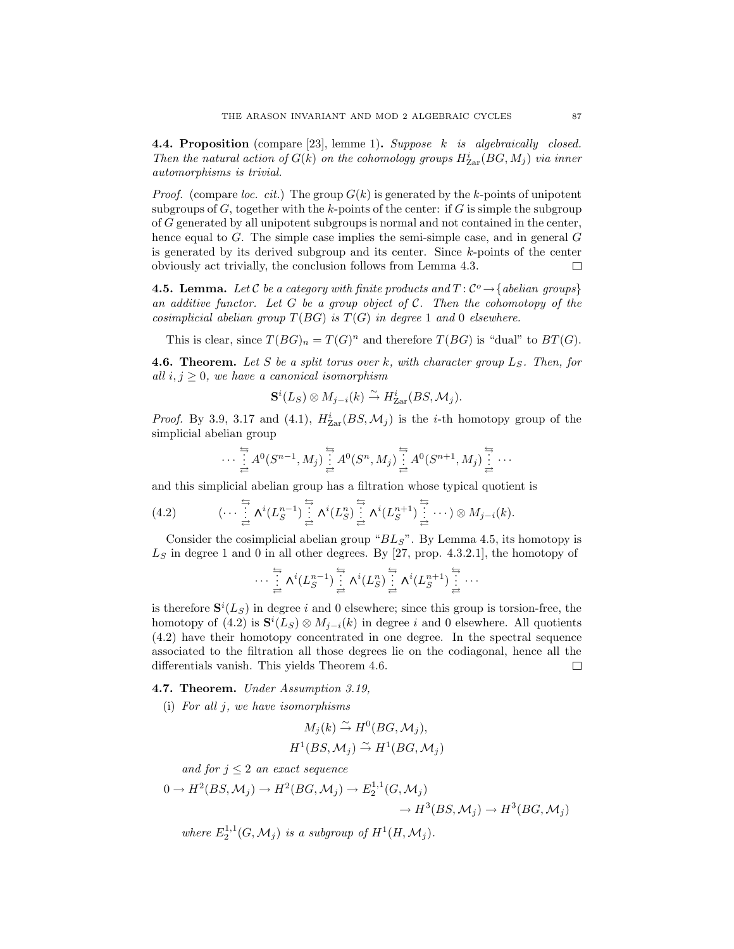**4.4. Proposition** (compare [23], lemme 1)**.** *Suppose k is algebraically closed. Then the natural action of*  $G(k)$  *on the cohomology groups*  $H^i_{\text{Zar}}(BG, M_j)$  *via inner automorphisms is trivial.*

*Proof.* (compare *loc. cit.*) The group *G*(*k*) is generated by the *k*-points of unipotent subgroups of  $G$ , together with the  $k$ -points of the center: if  $G$  is simple the subgroup of *G* generated by all unipotent subgroups is normal and not contained in the center, hence equal to *G*. The simple case implies the semi-simple case, and in general *G* is generated by its derived subgroup and its center. Since *k*-points of the center obviously act trivially, the conclusion follows from Lemma 4.3.  $\Box$ 

**4.5. Lemma.** Let  $\mathcal{C}$  be a category with finite products and  $T: \mathcal{C}^o \rightarrow \{abelian\ groups\}$ *an additive functor. Let G be a group object of C. Then the cohomotopy of the cosimplicial abelian group*  $T(BG)$  *is*  $T(G)$  *in degree* 1 *and* 0 *elsewhere.* 

This is clear, since  $T(BG)_n = T(G)^n$  and therefore  $T(BG)$  is "dual" to  $BT(G)$ .

**4.6. Theorem.** Let  $S$  be a split torus over  $k$ , with character group  $L_S$ . Then, for *all*  $i, j \geq 0$ *, we have a canonical isomorphism* 

$$
\mathbf{S}^i(L_S) \otimes M_{j-i}(k) \xrightarrow{\sim} H_{\text{Zar}}^i(BS, \mathcal{M}_j).
$$

*Proof.* By 3.9, 3.17 and (4.1),  $H_{\text{Zar}}^{i}(BS, \mathcal{M}_{j})$  is the *i*-th homotopy group of the simplicial abelian group

$$
\cdots \stackrel{\stackrel{\scriptscriptstyle{\leftarrow}}{\scriptscriptstyle{\rightarrow}}}{\rightleftarrows} A^0(S^{n-1}, M_j) \stackrel{\stackrel{\scriptscriptstyle{\leftarrow}}{\scriptscriptstyle{\rightarrow}}}{\rightleftarrows} A^0(S^n, M_j) \stackrel{\stackrel{\scriptscriptstyle{\leftarrow}}{\scriptscriptstyle{\rightarrow}}}{\rightleftarrows} A^0(S^{n+1}, M_j) \stackrel{\stackrel{\scriptscriptstyle{\leftarrow}}{\scriptscriptstyle{\rightarrow}}}{\rightleftarrows} \cdots
$$

and this simplicial abelian group has a filtration whose typical quotient is

$$
(4.2) \qquad (\cdots \stackrel{\stackrel{\leftarrow}{\rightarrow}}{\underset{\rightleftarrow}{\rightleftarrows}} \Lambda^{i}(L_{S}^{n-1}) \stackrel{\stackrel{\leftarrow}{\rightarrow}}{\underset{\rightleftarrow}{\rightleftarrows}} \Lambda^{i}(L_{S}^{n}) \stackrel{\stackrel{\leftarrow}{\rightarrow}}{\underset{\rightleftarrow}{\rightleftarrows}} \Lambda^{i}(L_{S}^{n+1}) \stackrel{\stackrel{\leftarrow}{\rightarrow}}{\underset{\rightleftarrow}{\rightleftarrows}} \cdots) \otimes M_{j-i}(k).
$$

Consider the cosimplicial abelian group " $BL<sub>S</sub>$ ". By Lemma 4.5, its homotopy is  $L<sub>S</sub>$  in degree 1 and 0 in all other degrees. By [27, prop. 4.3.2.1], the homotopy of

$$
\cdots \overset{\stackrel{\scriptscriptstyle\longleftarrow}{\scriptscriptstyle\rightarrow}}{\rightleftarrows} \Lambda^i(L_S^{n-1}) \overset{\stackrel{\scriptscriptstyle\longleftarrow}{\scriptscriptstyle\rightarrow}}{\rightleftarrows} \Lambda^i(L_S^n) \overset{\stackrel{\scriptscriptstyle\longleftarrow}{\scriptscriptstyle\rightarrow}}{\rightleftarrows} \Lambda^i(L_S^{n+1}) \overset{\stackrel{\scriptscriptstyle\longleftarrow}{\scriptscriptstyle\rightarrow}}{\rightleftarrows} \cdots
$$

is therefore  $S^{i}(L_{S})$  in degree *i* and 0 elsewhere; since this group is torsion-free, the homotopy of  $(4.2)$  is  $\mathbf{S}^i(L_S) \otimes M_{j-i}(k)$  in degree *i* and 0 elsewhere. All quotients (4.2) have their homotopy concentrated in one degree. In the spectral sequence associated to the filtration all those degrees lie on the codiagonal, hence all the differentials vanish. This yields Theorem 4.6. 口

#### **4.7. Theorem.** *Under Assumption 3.19,*

(i) *For all j, we have isomorphisms*

$$
M_j(k) \stackrel{\sim}{\rightarrow} H^0(BG, \mathcal{M}_j),
$$
  

$$
H^1(BS, \mathcal{M}_j) \stackrel{\sim}{\rightarrow} H^1(BG, \mathcal{M}_j)
$$

*and for*  $j \leq 2$  *an exact sequence* 

$$
0 \to H^2(BS, \mathcal{M}_j) \to H^2(BG, \mathcal{M}_j) \to E_2^{1,1}(G, \mathcal{M}_j) \to H^3(BS, \mathcal{M}_j) \to H^3(BG, \mathcal{M}_j)
$$

where  $E_2^{1,1}(G, \mathcal{M}_j)$  is a subgroup of  $H^1(H, \mathcal{M}_j)$ .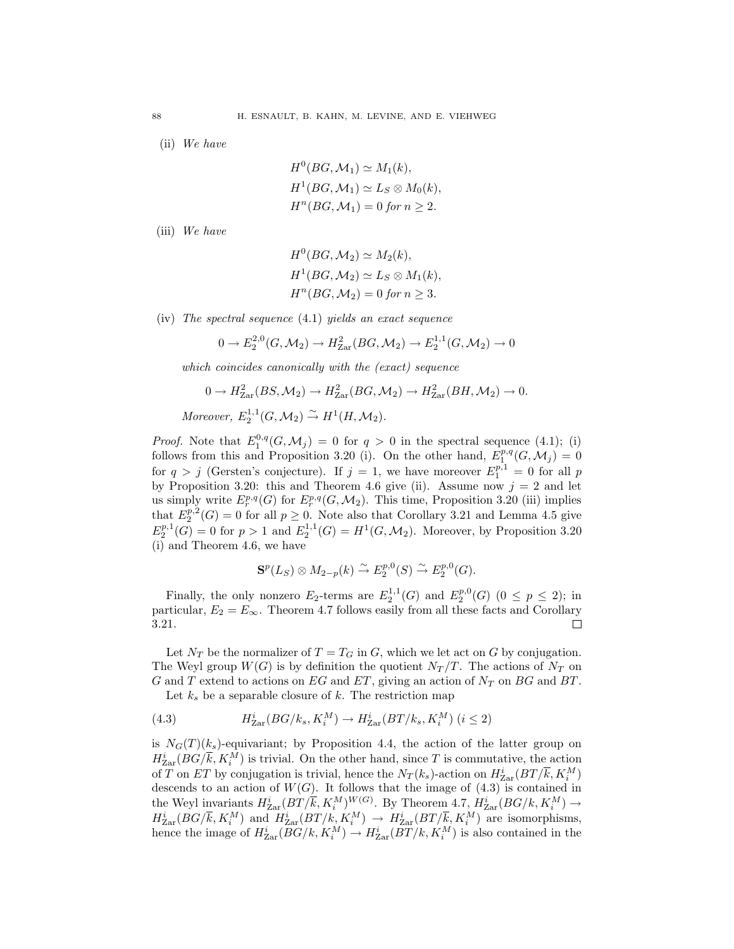(ii) *We have*

$$
H^0(BG, \mathcal{M}_1) \simeq M_1(k),
$$
  
\n
$$
H^1(BG, \mathcal{M}_1) \simeq L_S \otimes M_0(k),
$$
  
\n
$$
H^n(BG, \mathcal{M}_1) = 0 \text{ for } n \ge 2.
$$

(iii) *We have*

$$
H0(BG, M2) \simeq M2(k),
$$
  
\n
$$
H1(BG, M2) \simeq LS \otimes M1(k),
$$
  
\n
$$
Hn(BG, M2) = 0 \text{ for } n \geq 3.
$$

(iv) *The spectral sequence* (4.1) *yields an exact sequence*

$$
0 \to E_2^{2,0}(G,\mathcal{M}_2) \to H^2_{\text{Zar}}(BG,\mathcal{M}_2) \to E_2^{1,1}(G,\mathcal{M}_2) \to 0
$$

*which coincides canonically with the (exact) sequence*

$$
0 \to H_{\text{Zar}}^2(BS, \mathcal{M}_2) \to H_{\text{Zar}}^2(BG, \mathcal{M}_2) \to H_{\text{Zar}}^2(BH, \mathcal{M}_2) \to 0.
$$

 $Moreover, E_2^{1,1}(G, \mathcal{M}_2) \overset{\sim}{\rightarrow} H^1(H, \mathcal{M}_2).$ 

*Proof.* Note that  $E_1^{0,q}(G, \mathcal{M}_j) = 0$  for  $q > 0$  in the spectral sequence (4.1); (i) follows from this and Proposition 3.20 (i). On the other hand,  $E_1^{p,q}(G, \mathcal{M}_j) = 0$ for  $q > j$  (Gersten's conjecture). If  $j = 1$ , we have moreover  $E_1^{p,1} = 0$  for all *p* by Proposition 3.20: this and Theorem 4.6 give (ii). Assume now  $j = 2$  and let us simply write  $E_r^{p,q}(G)$  for  $E_r^{p,q}(G,\mathcal{M}_2)$ . This time, Proposition 3.20 (iii) implies that  $E_2^{p,2}(G) = 0$  for all  $p \ge 0$ . Note also that Corollary 3.21 and Lemma 4.5 give  $E_2^{p,1}(G) = 0$  for  $p > 1$  and  $E_2^{1,1}(G) = H^1(G, \mathcal{M}_2)$ . Moreover, by Proposition 3.20 (i) and Theorem 4.6, we have

$$
\mathbf{S}^p(L_S) \otimes M_{2-p}(k) \xrightarrow{\sim} E_2^{p,0}(S) \xrightarrow{\sim} E_2^{p,0}(G).
$$

Finally, the only nonzero  $E_2$ -terms are  $E_2^{1,1}(G)$  and  $E_2^{p,0}(G)$  ( $0 \le p \le 2$ ); in particular,  $E_2 = E_\infty$ . Theorem 4.7 follows easily from all these facts and Corollary 3.21 3.21.

Let  $N_T$  be the normalizer of  $T = T_G$  in  $G$ , which we let act on  $G$  by conjugation. The Weyl group  $W(G)$  is by definition the quotient  $N_T/T$ . The actions of  $N_T$  on *G* and *T* extend to actions on *EG* and *ET*, giving an action of  $N_T$  on *BG* and *BT*.

Let  $k_s$  be a separable closure of k. The restriction map

(4.3) 
$$
H_{\text{Zar}}^i(BG/k_s, K_i^M) \to H_{\text{Zar}}^i(BT/k_s, K_i^M) \ (i \le 2)
$$

is  $N_G(T)(k_s)$ -equivariant; by Proposition 4.4, the action of the latter group on  $H_{\text{Zar}}^{i}(BG/\overline{k}, K_{i}^{M})$  is trivial. On the other hand, since *T* is commutative, the action of *T* on *ET* by conjugation is trivial, hence the  $N_T(k_s)$ -action on  $H^i_{\text{Zar}}(BT/\overline{k}, K_i^M)$ descends to an action of  $W(G)$ . It follows that the image of  $(4.3)$  is contained in the Weyl invariants  $H^i_{\text{Zar}}(BT/\overline{k}, K_i^M)^{W(G)}$ . By Theorem 4.7,  $H^i_{\text{Zar}}(BG/k, K_i^M) \rightarrow$  $H_{\text{Zar}}^i(BG/\overline{k}, K_i^M)$  and  $H_{\text{Zar}}^i(BT/k, K_i^M) \rightarrow H_{\text{Zar}}^i(BT/\overline{k}, K_i^M)$  are isomorphisms, hence the image of  $H_{\text{Zar}}^{i}(BG/k, K_i^M) \to H_{\text{Zar}}^{i}(BT/k, K_i^M)$  is also contained in the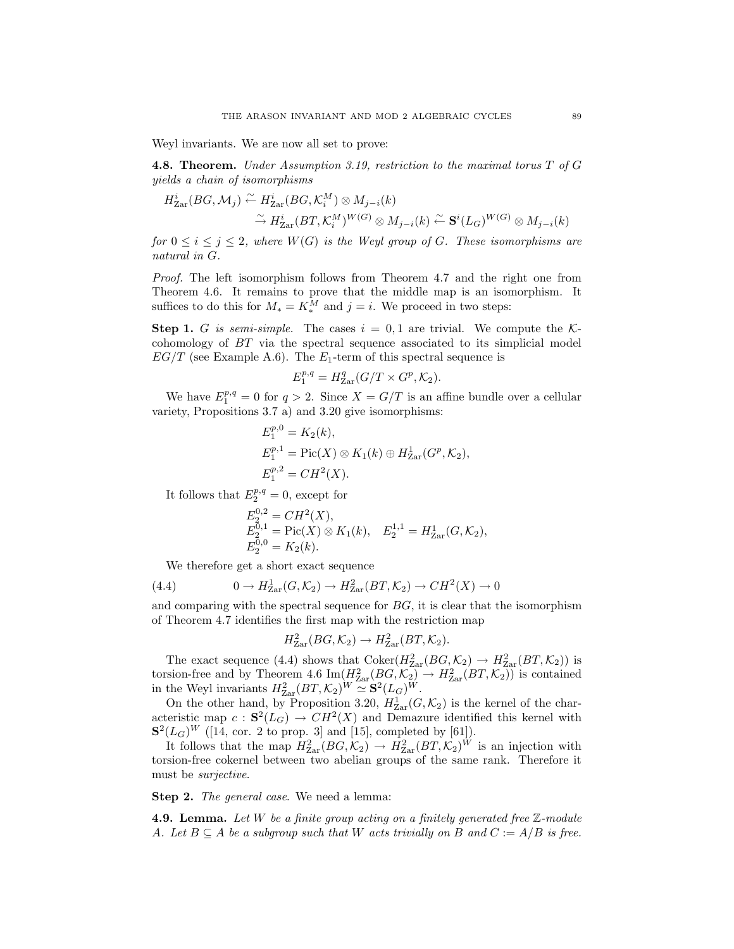Weyl invariants. We are now all set to prove:

**4.8. Theorem.** *Under Assumption 3.19, restriction to the maximal torus T of G yields a chain of isomorphisms*

$$
H_{\text{Zar}}^i(BG, \mathcal{M}_j) \xrightarrow{\sim} H_{\text{Zar}}^i(BG, \mathcal{K}_i^M) \otimes M_{j-i}(k)
$$
  
\n
$$
\xrightarrow{\sim} H_{\text{Zar}}^i(BT, \mathcal{K}_i^M)^{W(G)} \otimes M_{j-i}(k) \xleftarrow{\sim} \mathbf{S}^i(L_G)^{W(G)} \otimes M_{j-i}(k)
$$

*for*  $0 \leq i \leq j \leq 2$ , where  $W(G)$  *is the Weyl group of G. These isomorphisms are natural in G.*

*Proof.* The left isomorphism follows from Theorem 4.7 and the right one from Theorem 4.6. It remains to prove that the middle map is an isomorphism. It suffices to do this for  $M_* = K_*^M$  and  $j = i$ . We proceed in two steps:

**Step 1.** *G* is semi-simple. The cases  $i = 0, 1$  are trivial. We compute the *K*cohomology of *BT* via the spectral sequence associated to its simplicial model  $EG/T$  (see Example A.6). The  $E_1$ -term of this spectral sequence is

$$
E_1^{p,q} = H_{\text{Zar}}^q(G/T \times G^p, \mathcal{K}_2).
$$

We have  $E_1^{p,q} = 0$  for  $q > 2$ . Since  $X = G/T$  is an affine bundle over a cellular variety, Propositions 3.7 a) and 3.20 give isomorphisms:

$$
E_1^{p,0} = K_2(k),
$$
  
\n
$$
E_1^{p,1} = \text{Pic}(X) \otimes K_1(k) \oplus H_{\text{Zar}}^1(G^p, \mathcal{K}_2),
$$
  
\n
$$
E_1^{p,2} = CH^2(X).
$$

It follows that  $E_2^{p,q} = 0$ , except for

$$
E_2^{0,2} = CH^2(X),
$$
  
\n
$$
E_2^{0,1} = Pic(X) \otimes K_1(k), \quad E_2^{1,1} = H_{\text{Zar}}^1(G, \mathcal{K}_2),
$$
  
\n
$$
E_2^{0,0} = K_2(k).
$$

We therefore get a short exact sequence

(4.4) 
$$
0 \to H^1_{\text{Zar}}(G, \mathcal{K}_2) \to H^2_{\text{Zar}}(BT, \mathcal{K}_2) \to CH^2(X) \to 0
$$

and comparing with the spectral sequence for *BG*, it is clear that the isomorphism of Theorem 4.7 identifies the first map with the restriction map

$$
H_{\text{Zar}}^2(BG, \mathcal{K}_2) \to H_{\text{Zar}}^2(BT, \mathcal{K}_2).
$$

The exact sequence (4.4) shows that  $Coker(H_{Zar}^2(BG, \mathcal{K}_2) \rightarrow H_{Zar}^2(BT, \mathcal{K}_2))$  is torsion-free and by Theorem 4.6  $\text{Im}(H_{\text{Zar}}^2(BG,\mathcal{K}_2) \rightarrow H_{\text{Zar}}^2(BT,\mathcal{K}_2))$  is contained in the Weyl invariants  $H_{\text{Zar}}^2(BT, \mathcal{K}_2)^W \simeq \mathbf{S}^2(L_G)^W$ .

On the other hand, by Proposition 3.20,  $H_{\text{Zar}}^1(G,\mathcal{K}_2)$  is the kernel of the characteristic map  $c : S^2(L_G) \to CH^2(X)$  and Demazure identified this kernel with  $S^{2}(L_{G})^{W}$  ([14, cor. 2 to prop. 3] and [15], completed by [61]).

It follows that the map  $H_{\text{Zar}}^2(BG, \mathcal{K}_2) \to H_{\text{Zar}}^2(BT, \mathcal{K}_2)^W$  is an injection with torsion-free cokernel between two abelian groups of the same rank. Therefore it must be *surjective*.

**Step 2.** *The general case*. We need a lemma:

**4.9. Lemma.** *Let W be a finite group acting on a finitely generated free* Z*-module A.* Let  $B \subseteq A$  be a subgroup such that *W* acts trivially on *B* and  $C := A/B$  is free.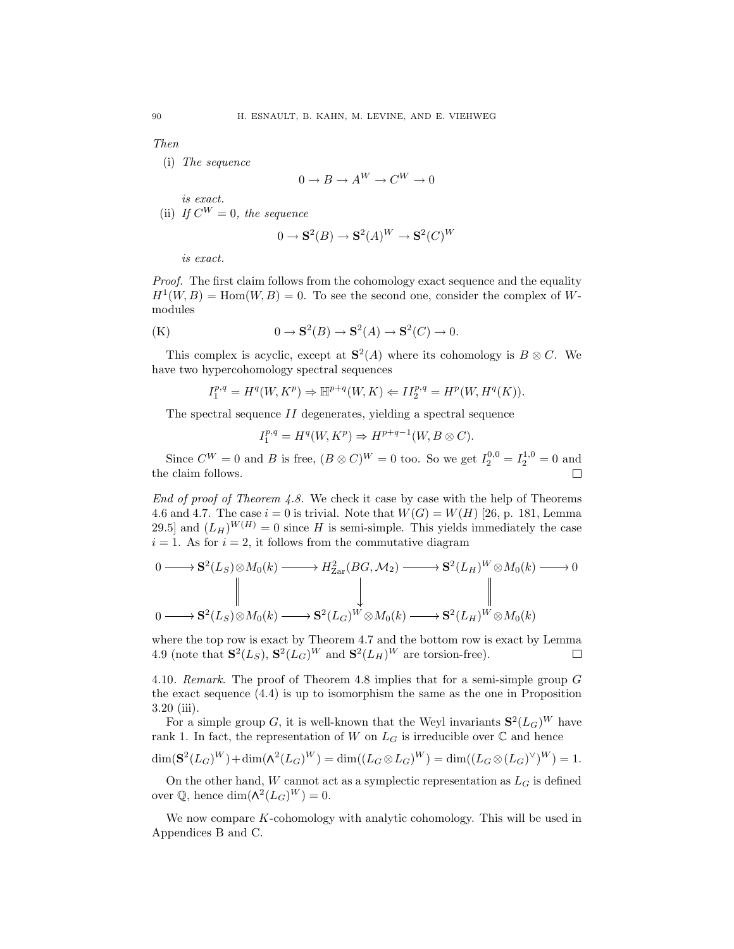*Then*

(i) *The sequence*

$$
0 \to B \to A^W \to C^W \to 0
$$

*is exact.* (ii) *If*  $C^W = 0$ *, the sequence* 

$$
0 \to \mathbf{S}^2(B) \to \mathbf{S}^2(A)^W \to \mathbf{S}^2(C)^W
$$

*is exact.*

*Proof.* The first claim follows from the cohomology exact sequence and the equality  $H^1(W, B) = \text{Hom}(W, B) = 0$ . To see the second one, consider the complex of Wmodules

(K) 
$$
0 \to \mathbf{S}^2(B) \to \mathbf{S}^2(A) \to \mathbf{S}^2(C) \to 0.
$$

This complex is acyclic, except at  $S^2(A)$  where its cohomology is  $B \otimes C$ . We have two hypercohomology spectral sequences

$$
I_1^{p,q} = H^q(W, K^p) \Rightarrow \mathbb{H}^{p+q}(W, K) \Leftarrow II_2^{p,q} = H^p(W, H^q(K)).
$$

The spectral sequence *II* degenerates, yielding a spectral sequence

 $I_1^{p,q} = H^q(W, K^p) \Rightarrow H^{p+q-1}(W, B \otimes C).$ 

Since  $C^{W} = 0$  and *B* is free,  $(B \otimes C)^{W} = 0$  too. So we get  $I_2^{0,0} = I_2^{1,0} = 0$  and the claim follows.

*End of proof of Theorem 4.8.* We check it case by case with the help of Theorems 4.6 and 4.7. The case  $i = 0$  is trivial. Note that  $W(G) = W(H)$  [26, p. 181, Lemma 29.5] and  $(L_H)^{W(H)} = 0$  since *H* is semi-simple. This yields immediately the case  $i = 1$ . As for  $i = 2$ , it follows from the commutative diagram

$$
0 \longrightarrow S^{2}(L_{S}) \otimes M_{0}(k) \longrightarrow H^{2}_{\text{Zar}}(BG, \mathcal{M}_{2}) \longrightarrow S^{2}(L_{H})^{W} \otimes M_{0}(k) \longrightarrow 0
$$
  
\n
$$
\parallel \qquad \qquad \downarrow \qquad \qquad \parallel
$$
  
\n
$$
0 \longrightarrow S^{2}(L_{S}) \otimes M_{0}(k) \longrightarrow S^{2}(L_{G})^{W} \otimes M_{0}(k) \longrightarrow S^{2}(L_{H})^{W} \otimes M_{0}(k)
$$

where the top row is exact by Theorem 4.7 and the bottom row is exact by Lemma 4.9 (note that  $\mathbf{S}^2(L_S)$ ,  $\mathbf{S}^2(L_G)^W$  and  $\mathbf{S}^2(L_H)^W$  are torsion-free).  $\Box$ 

4.10*. Remark.* The proof of Theorem 4.8 implies that for a semi-simple group *G* the exact sequence (4.4) is up to isomorphism the same as the one in Proposition 3.20 (iii).

For a simple group *G*, it is well-known that the Weyl invariants  $S^2(L_G)^W$  have rank 1. In fact, the representation of *W* on  $L_G$  is irreducible over  $\mathbb C$  and hence

$$
\dim(\mathbf{S}^{2}(L_{G})^{W})+\dim(\mathbf{\Lambda}^{2}(L_{G})^{W})=\dim((L_{G}\otimes L_{G})^{W})=\dim((L_{G}\otimes (L_{G})^{\vee})^{W})=1.
$$

On the other hand,  $W$  cannot act as a symplectic representation as  $L_G$  is defined over  $\mathbb{O}$ , hence dim $(\Lambda^2(L_G)^W) = 0$ .

We now compare *K*-cohomology with analytic cohomology. This will be used in Appendices B and C.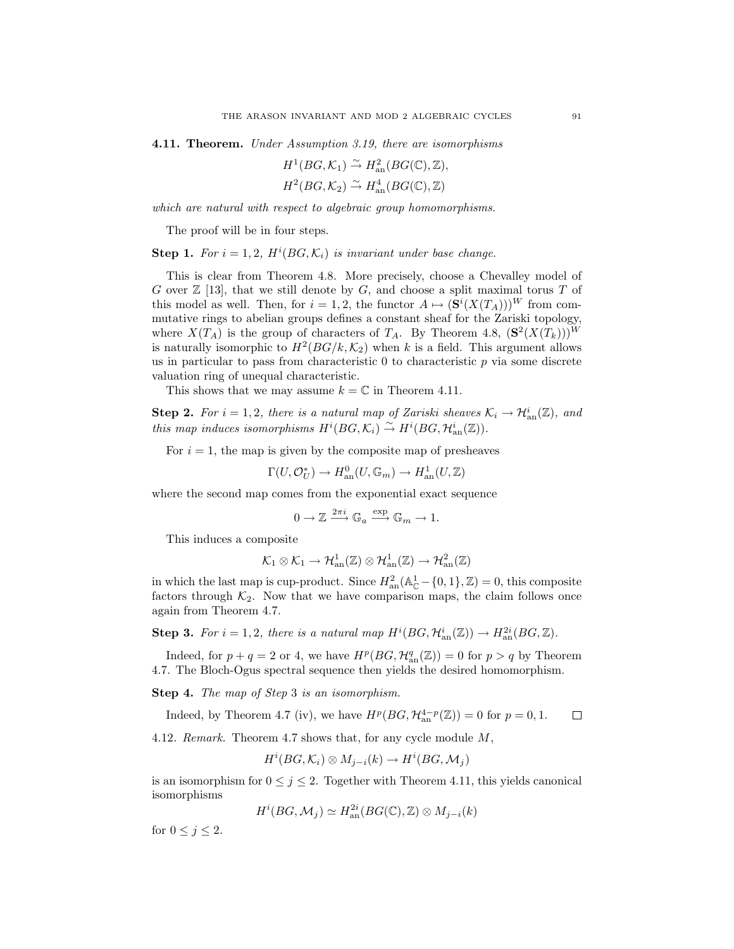**4.11. Theorem.** *Under Assumption 3.19, there are isomorphisms*

$$
H^1(BG, \mathcal{K}_1) \xrightarrow{\sim} H^2_{\text{an}}(BG(\mathbb{C}), \mathbb{Z}),
$$
  

$$
H^2(BG, \mathcal{K}_2) \xrightarrow{\sim} H^4_{\text{an}}(BG(\mathbb{C}), \mathbb{Z})
$$

*which are natural with respect to algebraic group homomorphisms.*

The proof will be in four steps.

**Step 1.** For  $i = 1, 2$ ,  $H^{i}(BG, \mathcal{K}_{i})$  is invariant under base change.

This is clear from Theorem 4.8. More precisely, choose a Chevalley model of *G* over Z [13], that we still denote by *G*, and choose a split maximal torus *T* of this model as well. Then, for  $i = 1, 2$ , the functor  $A \mapsto (\mathbf{S}^i(X(T_A)))^W$  from commutative rings to abelian groups defines a constant sheaf for the Zariski topology, where  $X(T_A)$  is the group of characters of  $T_A$ . By Theorem 4.8,  $(\mathbf{S}^2(X(T_k)))^W$ is naturally isomorphic to  $H^2(BG/k, \mathcal{K}_2)$  when k is a field. This argument allows us in particular to pass from characteristic 0 to characteristic *p* via some discrete valuation ring of unequal characteristic.

This shows that we may assume  $k = \mathbb{C}$  in Theorem 4.11.

**Step 2.** For  $i = 1, 2$ , there is a natural map of Zariski sheaves  $\mathcal{K}_i \to \mathcal{H}_{an}^i(\mathbb{Z})$ , and *this map induces isomorphisms*  $H^i(BG, \mathcal{K}_i) \stackrel{\sim}{\rightarrow} H^i(BG, \mathcal{H}_{an}^i(\mathbb{Z}))$ *.* 

For  $i = 1$ , the map is given by the composite map of presheaves

$$
\Gamma(U, \mathcal{O}_U^*) \to H^0_{\text{an}}(U, \mathbb{G}_m) \to H^1_{\text{an}}(U, \mathbb{Z})
$$

where the second map comes from the exponential exact sequence

$$
0 \to \mathbb{Z} \xrightarrow{2\pi i} \mathbb{G}_a \xrightarrow{\exp} \mathbb{G}_m \to 1.
$$

This induces a composite

$$
\mathcal{K}_1\otimes\mathcal{K}_1\to\mathcal{H}^1_{\rm an}(\mathbb{Z})\otimes\mathcal{H}^1_{\rm an}(\mathbb{Z})\to\mathcal{H}^2_{\rm an}(\mathbb{Z})
$$

in which the last map is cup-product. Since  $H_{an}^2(\mathbb{A}_{\mathbb{C}}^1 - \{0,1\}, \mathbb{Z}) = 0$ , this composite factors through  $K_2$ . Now that we have comparison maps, the claim follows once again from Theorem 4.7.

**Step 3.** For  $i = 1, 2$ , there is a natural map  $H^{i}(BG, \mathcal{H}_{an}^{i}(\mathbb{Z})) \rightarrow H_{an}^{2i}(BG, \mathbb{Z})$ .

Indeed, for  $p + q = 2$  or 4, we have  $H^p(BG, \mathcal{H}_{\text{an}}^q(\mathbb{Z})) = 0$  for  $p > q$  by Theorem 4.7. The Bloch-Ogus spectral sequence then yields the desired homomorphism.

**Step 4.** *The map of Step* 3 *is an isomorphism.*

Indeed, by Theorem 4.7 (iv), we have  $H^p(BG, \mathcal{H}_{an}^{4-p}(\mathbb{Z})) = 0$  for  $p = 0, 1$ .  $\Box$ 

4.12*. Remark.* Theorem 4.7 shows that, for any cycle module *M*,

$$
H^i(BG, \mathcal{K}_i) \otimes M_{j-i}(k) \to H^i(BG, \mathcal{M}_j)
$$

is an isomorphism for  $0 \leq j \leq 2$ . Together with Theorem 4.11, this yields canonical isomorphisms

$$
H^i(BG, \mathcal{M}_j) \simeq H_{\text{an}}^{2i}(BG(\mathbb{C}), \mathbb{Z}) \otimes M_{j-i}(k)
$$

for  $0 \leq j \leq 2$ .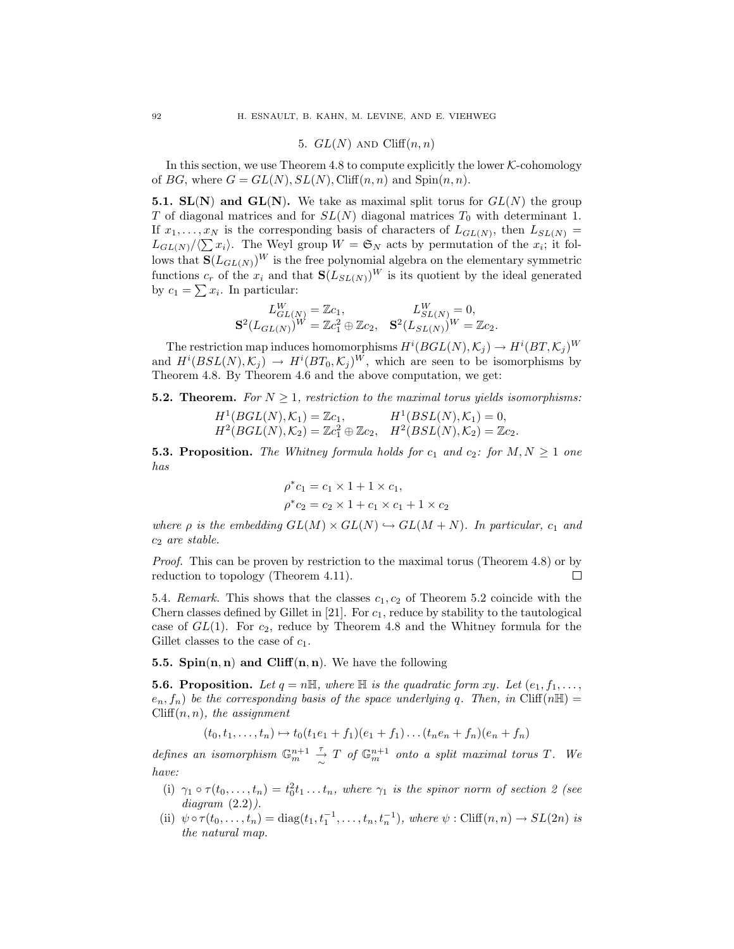### 5.  $GL(N)$  AND Cliff $(n, n)$

In this section, we use Theorem  $4.8$  to compute explicitly the lower  $K$ -cohomology of *BG*, where  $G = GL(N), SL(N), Cliff(n, n)$  and  $Spin(n, n)$ .

**5.1. SL(N)** and **GL(N)**. We take as maximal split torus for  $GL(N)$  the group *T* of diagonal matrices and for  $SL(N)$  diagonal matrices  $T_0$  with determinant 1. If  $x_1, \ldots, x_N$  is the corresponding basis of characters of  $L_{GL(N)}$ , then  $L_{SL(N)} =$  $L_{GL(N)}/\langle \sum x_i \rangle$ . The Weyl group  $W = \mathfrak{S}_N$  acts by permutation of the  $x_i$ ; it follows that  $\mathbf{S}(L_{GL(N)})^W$  is the free polynomial algebra on the elementary symmetric functions  $c_r$  of the  $x_i$  and that  $\mathbf{S}(L_{SL(N)})^W$  is its quotient by the ideal generated by  $c_1 = \sum x_i$ . In particular:

$$
L_{GL(N)}^W = \mathbb{Z}c_1, \qquad L_{SL(N)}^W = 0, \mathbf{S}^2(L_{GL(N)})^W = \mathbb{Z}c_1^2 \oplus \mathbb{Z}c_2, \quad \mathbf{S}^2(L_{SL(N)})^W = \mathbb{Z}c_2.
$$

The restriction map induces homomorphisms  $H^{i}(BGL(N), K_j) \to H^{i}(BT, K_j)^W$ and  $H^{i}(BSL(N), \mathcal{K}_{j}) \rightarrow H^{i}(BT_0, \mathcal{K}_{j})^W$ , which are seen to be isomorphisms by Theorem 4.8. By Theorem 4.6 and the above computation, we get:

**5.2. Theorem.** For  $N \geq 1$ , restriction to the maximal torus yields isomorphisms:

$$
H^1(BGL(N), \mathcal{K}_1) = \mathbb{Z}c_1, \qquad H^1(BSL(N), \mathcal{K}_1) = 0,
$$
  

$$
H^2(BGL(N), \mathcal{K}_2) = \mathbb{Z}c_1^2 \oplus \mathbb{Z}c_2, \quad H^2(BSL(N), \mathcal{K}_2) = \mathbb{Z}c_2.
$$

**5.3. Proposition.** The Whitney formula holds for  $c_1$  and  $c_2$ : for  $M, N \geq 1$  one *has*

$$
\rho^* c_1 = c_1 \times 1 + 1 \times c_1, \n\rho^* c_2 = c_2 \times 1 + c_1 \times c_1 + 1 \times c_2
$$

*where*  $\rho$  *is the embedding*  $GL(M) \times GL(N) \hookrightarrow GL(M+N)$ *. In particular,*  $c_1$  *and c*<sup>2</sup> *are stable.*

*Proof.* This can be proven by restriction to the maximal torus (Theorem 4.8) or by  $\Box$ reduction to topology (Theorem 4.11).

5.4*. Remark.* This shows that the classes *c*1*, c*<sup>2</sup> of Theorem 5.2 coincide with the Chern classes defined by Gillet in [21]. For *c*1, reduce by stability to the tautological case of *GL*(1). For *c*2, reduce by Theorem 4.8 and the Whitney formula for the Gillet classes to the case of *c*1.

**5.5. Spin**(**n***,* **n**) **and Cliff**(**n***,* **n**). We have the following

**5.6. Proposition.** Let  $q = n\mathbb{H}$ , where  $\mathbb{H}$  is the quadratic form  $xy$ *.* Let  $(e_1, f_1, \ldots, f_n)$  $e_n, f_n$ ) *be the corresponding basis of the space underlying q. Then, in* Cliff( $n\mathbb{H}$ ) = Cliff(*n, n*)*, the assignment*

$$
(t_0, t_1, \ldots, t_n) \mapsto t_0(t_1e_1 + f_1)(e_1 + f_1) \ldots (t_ne_n + f_n)(e_n + f_n)
$$

*defines an isomorphism*  $\mathbb{G}_m^{n+1}$  $\frac{\tau}{\sim}$  *T* of  $\mathbb{G}_m^{n+1}$  onto a split maximal torus *T*. We *have:*

- (i)  $\gamma_1 \circ \tau(t_0,\ldots,t_n) = t_0^2 t_1 \ldots t_n$ , where  $\gamma_1$  is the spinor norm of section 2 (see *diagram* (2.2)*).*
- (ii)  $\psi \circ \tau(t_0, \ldots, t_n) = \text{diag}(t_1, t_1^{-1}, \ldots, t_n, t_n^{-1}), \text{ where } \psi : \text{Cliff}(n, n) \to SL(2n) \text{ is }$ *the natural map.*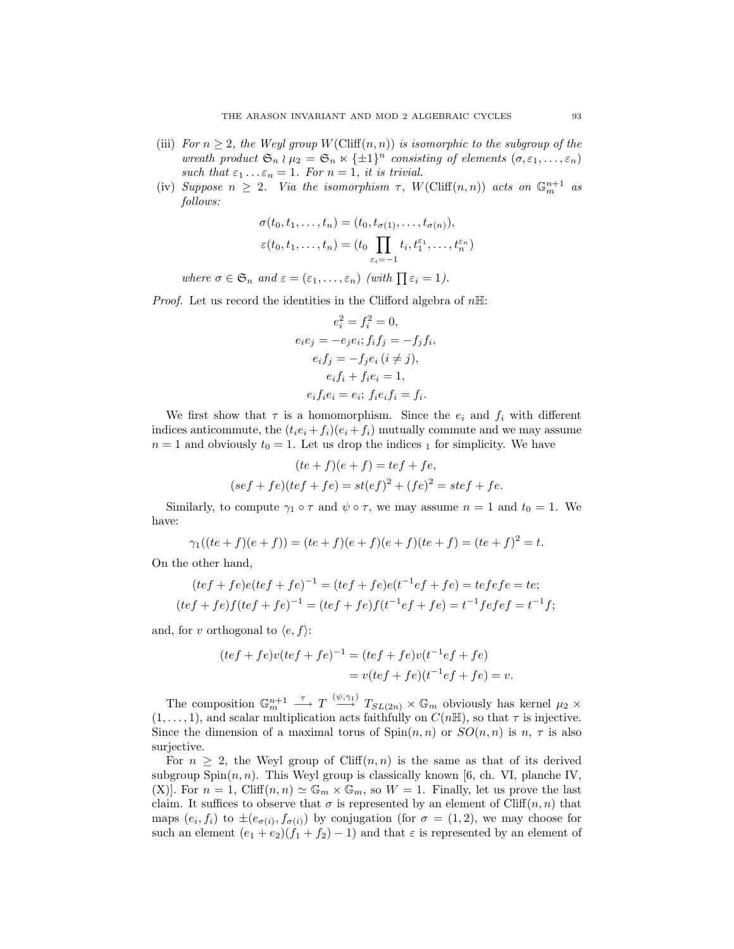- (iii) *For*  $n \geq 2$ *, the Weyl group W*(Cliff $(n, n)$ ) *is isomorphic to the subgroup of the wreath product*  $\mathfrak{S}_n \wr \mu_2 = \mathfrak{S}_n \times {\pm 1}^n$  *consisting of elements*  $(\sigma, \varepsilon_1, \ldots, \varepsilon_n)$ *such that*  $\varepsilon_1 \ldots \varepsilon_n = 1$ *. For*  $n = 1$ *, it is trivial.*
- (iv) *Suppose*  $n \geq 2$ . *Via the isomorphism*  $\tau$ ,  $W(\text{Cliff}(n, n))$  *acts on*  $\mathbb{G}_m^{n+1}$  *as follows:*

$$
\sigma(t_0, t_1, \dots, t_n) = (t_0, t_{\sigma(1)}, \dots, t_{\sigma(n)}),
$$
  

$$
\varepsilon(t_0, t_1, \dots, t_n) = (t_0 \prod_{\varepsilon_i = -1} t_i, t_1^{\varepsilon_1}, \dots, t_n^{\varepsilon_n})
$$

*where*  $\sigma \in \mathfrak{S}_n$  *and*  $\varepsilon = (\varepsilon_1, \ldots, \varepsilon_n)$  *(with*  $\prod \varepsilon_i = 1$ *).* 

*Proof.* Let us record the identities in the Clifford algebra of *n*H:

$$
e_i^2 = f_i^2 = 0,
$$
  
\n
$$
e_i e_j = -e_j e_i; f_i f_j = -f_j f_i,
$$
  
\n
$$
e_i f_j = -f_j e_i (i \neq j),
$$
  
\n
$$
e_i f_i + f_i e_i = 1,
$$
  
\n
$$
e_i f_i e_i = e_i; f_i e_i f_i = f_i.
$$

We first show that  $\tau$  is a homomorphism. Since the  $e_i$  and  $f_i$  with different indices anticommute, the  $(t_i e_i + f_i)(e_i + f_i)$  mutually commute and we may assume  $n=1$  and obviously  $t_0=1$ . Let us drop the indices  $_1$  for simplicity. We have

$$
(te+f)(e+f) = tef + fe,
$$
  

$$
(sef + fe)(tef + fe) = st(ef)^2 + (fe)^2 = stef + fe.
$$

Similarly, to compute  $\gamma_1 \circ \tau$  and  $\psi \circ \tau$ , we may assume  $n = 1$  and  $t_0 = 1$ . We have:

$$
\gamma_1((te+f)(e+f)) = (te+f)(e+f)(e+f)(te+f) = (te+f)^2 = t.
$$

On the other hand,

$$
(tef + fe)e(tef + fe)^{-1} = (tef + fe)e(t^{-1}ef + fe) = tefefe = te;
$$
  

$$
(tef + fe)f(tef + fe)^{-1} = (tef + fe)f(t^{-1}ef + fe) = t^{-1}fefef = t^{-1}f;
$$

and, for *v* orthogonal to  $\langle e, f \rangle$ :

$$
(tef + fe)v(tef + fe)^{-1} = (tef + fe)v(t^{-1}ef + fe)
$$

$$
= v(tef + fe)(t^{-1}ef + fe) = v.
$$

The composition  $\mathbb{G}_m^{n+1} \longrightarrow T \stackrel{(\psi,\gamma_1)}{\longrightarrow} T_{SL(2n)} \times \mathbb{G}_m$  obviously has kernel  $\mu_2 \times$  $(1, \ldots, 1)$ , and scalar multiplication acts faithfully on  $C(n\mathbb{H})$ , so that  $\tau$  is injective. Since the dimension of a maximal torus of  $\text{Spin}(n, n)$  or  $SO(n, n)$  is *n*, *τ* is also surjective.

For  $n \geq 2$ , the Weyl group of Cliff $(n, n)$  is the same as that of its derived subgroup  $Spin(n, n)$ . This Weyl group is classically known [6, ch. VI, planche IV, (X)]. For  $n = 1$ , Cliff $(n, n) \simeq \mathbb{G}_m \times \mathbb{G}_m$ , so  $W = 1$ . Finally, let us prove the last claim. It suffices to observe that  $\sigma$  is represented by an element of Cliff $(n, n)$  that maps  $(e_i, f_i)$  to  $\pm(e_{\sigma(i)}, f_{\sigma(i)})$  by conjugation (for  $\sigma = (1, 2)$ , we may choose for such an element  $(e_1 + e_2)(f_1 + f_2) - 1$  and that  $\varepsilon$  is represented by an element of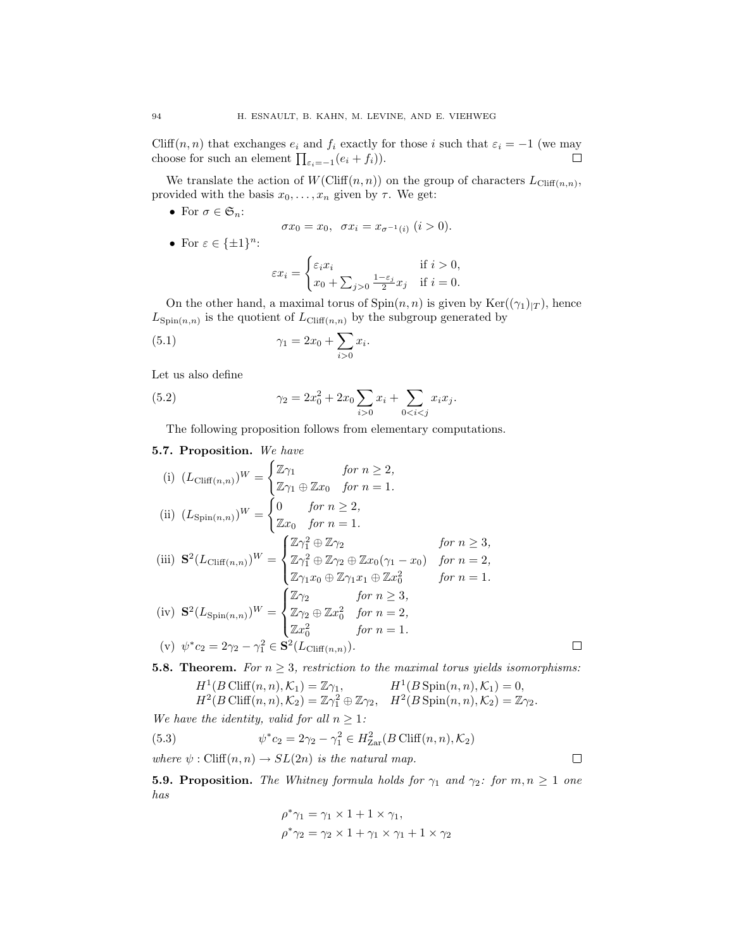Cliff $(n, n)$  that exchanges  $e_i$  and  $f_i$  exactly for those *i* such that  $\varepsilon_i = -1$  (we may  $\Box$ choose for such an element  $\prod_{\varepsilon_i=-1}(e_i+f_i)$ ).

We translate the action of  $W(\text{Cliff}(n, n))$  on the group of characters  $L_{\text{Cliff}(n,n)}$ , provided with the basis  $x_0, \ldots, x_n$  given by  $\tau$ . We get:

• For  $\sigma \in \mathfrak{S}_n$ :

$$
\sigma x_0 = x_0, \ \ \sigma x_i = x_{\sigma^{-1}(i)} \ (i > 0).
$$

*•* For *ε ∈ {±*1*}*<sup>n</sup>:

$$
\varepsilon x_i = \begin{cases} \varepsilon_i x_i & \text{if } i > 0, \\ x_0 + \sum_{j>0} \frac{1-\varepsilon_j}{2} x_j & \text{if } i = 0. \end{cases}
$$

On the other hand, a maximal torus of  $Spin(n, n)$  is given by  $Ker((\gamma_1)_{|T})$ , hence  $L_{\text{Spin}(n,n)}$  is the quotient of  $L_{\text{Cliff}(n,n)}$  by the subgroup generated by

(5.1) 
$$
\gamma_1 = 2x_0 + \sum_{i>0} x_i.
$$

Let us also define

(5.2) 
$$
\gamma_2 = 2x_0^2 + 2x_0 \sum_{i>0} x_i + \sum_{0
$$

The following proposition follows from elementary computations.

# **5.7. Proposition.** *We have*

(i) 
$$
(L_{\text{Cliff}(n,n)})^W = \begin{cases} \mathbb{Z}\gamma_1 & \text{for } n \geq 2, \\ \mathbb{Z}\gamma_1 \oplus \mathbb{Z}x_0 & \text{for } n = 1. \end{cases}
$$
  
\n(ii)  $(L_{\text{Spin}(n,n)})^W = \begin{cases} 0 & \text{for } n \geq 2, \\ \mathbb{Z}x_0 & \text{for } n = 1. \end{cases}$   
\n(iii)  $\mathbf{S}^2(L_{\text{Cliff}(n,n)})^W = \begin{cases} \mathbb{Z}\gamma_1^2 \oplus \mathbb{Z}\gamma_2 & \text{for } n \geq 3, \\ \mathbb{Z}\gamma_1^2 \oplus \mathbb{Z}\gamma_2 \oplus \mathbb{Z}x_0(\gamma_1 - x_0) & \text{for } n = 2, \\ \mathbb{Z}\gamma_1x_0 \oplus \mathbb{Z}\gamma_1x_1 \oplus \mathbb{Z}x_0^2 & \text{for } n = 1. \end{cases}$   
\n(iv)  $\mathbf{S}^2(L_{\text{Spin}(n,n)})^W = \begin{cases} \mathbb{Z}\gamma_2 & \text{for } n \geq 3, \\ \mathbb{Z}\gamma_2 \oplus \mathbb{Z}x_0^2 & \text{for } n = 2, \\ \mathbb{Z}x_0^2 & \text{for } n = 1. \end{cases}$   
\n(v)  $\psi^*c_2 = 2\gamma_2 - \gamma_1^2 \in \mathbf{S}^2(L_{\text{Cliff}(n,n)}).$ 

**5.8. Theorem.** *For*  $n \geq 3$ *, restriction to the maximal torus yields isomorphisms:* 

$$
H^1(B \text{ Cliff}(n, n), \mathcal{K}_1) = \mathbb{Z}\gamma_1, \qquad H^1(B \text{Spin}(n, n), \mathcal{K}_1) = 0,
$$
  

$$
H^2(B \text{ Cliff}(n, n), \mathcal{K}_2) = \mathbb{Z}\gamma_1^2 \oplus \mathbb{Z}\gamma_2, \quad H^2(B \text{Spin}(n, n), \mathcal{K}_2) = \mathbb{Z}\gamma_2.
$$

*We have the identity, valid for all*  $n \geq 1$ *:* 

(5.3) 
$$
\psi^* c_2 = 2\gamma_2 - \gamma_1^2 \in H^2_{\text{Zar}}(B \text{ Cliff}(n, n), \mathcal{K}_2)
$$

*where*  $\psi$  : Cliff $(n, n) \rightarrow SL(2n)$  *is the natural map.* 

**5.9. Proposition.** *The Whitney formula holds for*  $\gamma_1$  *and*  $\gamma_2$ *: for*  $m, n \ge 1$  *one has*

$$
\rho^* \gamma_1 = \gamma_1 \times 1 + 1 \times \gamma_1,
$$
  

$$
\rho^* \gamma_2 = \gamma_2 \times 1 + \gamma_1 \times \gamma_1 + 1 \times \gamma_2
$$

 $\Box$ 

 $\Box$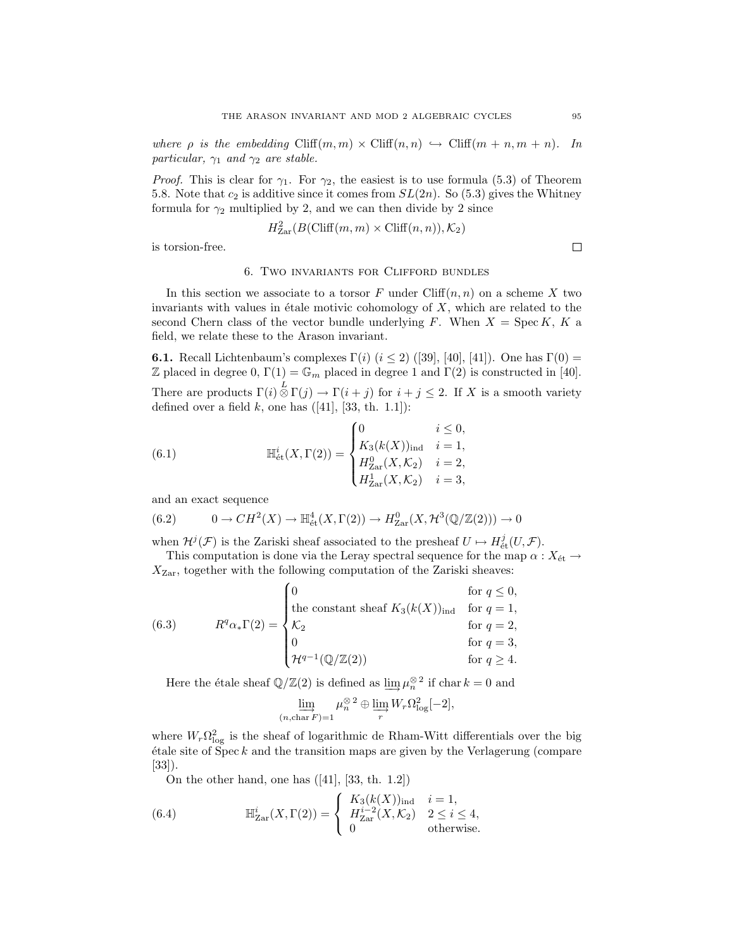*where*  $\rho$  *is the embedding* Cliff $(m, m) \times$  Cliff $(n, n) \hookrightarrow$  Cliff $(m + n, m + n)$ *. In particular,*  $\gamma_1$  *and*  $\gamma_2$  *are stable.* 

*Proof.* This is clear for  $\gamma_1$ . For  $\gamma_2$ , the easiest is to use formula (5.3) of Theorem 5.8. Note that  $c_2$  is additive since it comes from  $SL(2n)$ . So (5.3) gives the Whitney formula for  $\gamma_2$  multiplied by 2, and we can then divide by 2 since

$$
H^2_{\text{Zar}}(B(\text{Cliff}(m, m) \times \text{Cliff}(n, n)), \mathcal{K}_2)
$$

is torsion-free.

#### 6. Two invariants for Clifford bundles

In this section we associate to a torsor  $F$  under  $Cliff(n, n)$  on a scheme  $X$  two invariants with values in étale motivic cohomology of  $X$ , which are related to the second Chern class of the vector bundle underlying  $F$ . When  $X = \text{Spec } K$ ,  $K$  a field, we relate these to the Arason invariant.

**6.1.** Recall Lichtenbaum's complexes  $\Gamma(i)$  ( $i \leq 2$ ) ([39], [40], [41]). One has  $\Gamma(0)$  = Z placed in degree 0,  $\Gamma(1) = \mathbb{G}_m$  placed in degree 1 and  $\Gamma(2)$  is constructed in [40]. There are products  $\Gamma(i) \stackrel{L}{\otimes} \Gamma(j) \to \Gamma(i + j)$  for  $i + j \leq 2$ . If *X* is a smooth variety defined over a field *k*, one has  $([41], [33, th. 1.1])$ :

(6.1) 
$$
\mathbb{H}_{\text{\'et}}^i(X,\Gamma(2)) = \begin{cases} 0 & i \leq 0, \\ K_3(k(X))_{\text{ind}} & i = 1, \\ H_{\text{Zar}}^0(X,\mathcal{K}_2) & i = 2, \\ H_{\text{Zar}}^1(X,\mathcal{K}_2) & i = 3, \end{cases}
$$

and an exact sequence

$$
(6.2) \qquad 0 \to CH^2(X) \to \mathbb{H}^4_{\text{\'et}}(X,\Gamma(2)) \to H^0_{\text{Zar}}(X,\mathcal{H}^3(\mathbb{Q}/\mathbb{Z}(2))) \to 0
$$

when  $\mathcal{H}^{j}(\mathcal{F})$  is the Zariski sheaf associated to the presheaf  $U \mapsto H^j_{\text{\'et}}(U, \mathcal{F})$ .

This computation is done via the Leray spectral sequence for the map  $\alpha$  :  $X_{\text{\'et}} \rightarrow$ *X*Zar, together with the following computation of the Zariski sheaves:

(6.3) 
$$
R^{q} \alpha_{*} \Gamma(2) = \begin{cases} 0 & \text{for } q \leq 0, \\ \text{the constant sheaf } K_{3}(k(X))_{\text{ind}} & \text{for } q = 1, \\ \mathcal{K}_{2} & \text{for } q = 2, \\ 0 & \text{for } q = 3, \\ \mathcal{H}^{q-1}(\mathbb{Q}/\mathbb{Z}(2)) & \text{for } q \geq 4. \end{cases}
$$

Here the étale sheaf  $\mathbb{Q}/\mathbb{Z}(2)$  is defined as  $\lim_{n \to \infty} \mu_n^{\otimes 2}$  if char  $k = 0$  and

$$
\varinjlim_{(n,\text{char } F)=1} \mu_n^{\otimes 2} \oplus \varinjlim_r W_r \Omega_{\log}^2[-2],
$$

where  $W_r \Omega_{\log}^2$  is the sheaf of logarithmic de Rham-Witt differentials over the big  $\acute{e}$ tale site of Spec  $k$  and the transition maps are given by the Verlagerung (compare [33]).

On the other hand, one has ([41], [33, th. 1.2])

(6.4) 
$$
\mathbb{H}_{\text{Zar}}^{i}(X,\Gamma(2)) = \begin{cases} K_{3}(k(X))_{\text{ind}} & i = 1, \\ H_{\text{Zar}}^{i-2}(X,\mathcal{K}_{2}) & 2 \leq i \leq 4, \\ 0 & \text{otherwise.} \end{cases}
$$

 $\Box$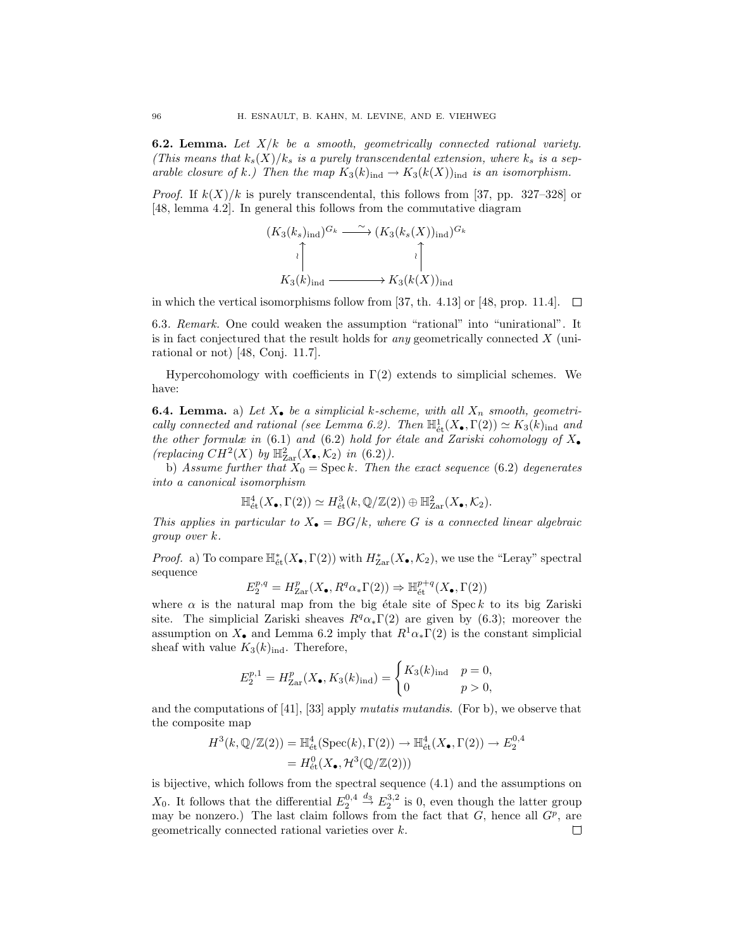**6.2. Lemma.** *Let X/k be a smooth, geometrically connected rational variety. (This means that*  $k_s(X)/k_s$  *is a purely transcendental extension, where*  $k_s$  *is a separable closure of k.)* Then the map  $K_3(k)_{\text{ind}} \to K_3(k(X))_{\text{ind}}$  is an isomorphism.

*Proof.* If  $k(X)/k$  is purely transcendental, this follows from [37, pp. 327–328] or [48, lemma 4.2]. In general this follows from the commutative diagram

$$
(K_3(k_s)_{\text{ind}})^{G_k} \xrightarrow{\sim} (K_3(k_s(X))_{\text{ind}})^{G_k}
$$
\n
$$
\downarrow \qquad \qquad \downarrow
$$
\n
$$
K_3(k)_{\text{ind}} \xrightarrow{\sim} K_3(k(X))_{\text{ind}}
$$

in which the vertical isomorphisms follow from [37, th. 4.13] or [48, prop. 11.4].  $\Box$ 

6.3*. Remark.* One could weaken the assumption "rational" into "unirational". It is in fact conjectured that the result holds for *any* geometrically connected *X* (unirational or not) [48, Conj. 11.7].

Hypercohomology with coefficients in  $\Gamma(2)$  extends to simplicial schemes. We have:

**6.4. Lemma.** a) Let  $X_{\bullet}$  be a simplicial *k*-scheme, with all  $X_n$  smooth, geometri*cally connected and rational (see Lemma 6.2). Then*  $\mathbb{H}^1_{\text{\'et}}(X_\bullet, \Gamma(2)) \simeq K_3(k)_{\text{ind}}$  and *the other formulæ in* (6.1) *and* (6.2) *hold for étale and Zariski cohomology of*  $X_{\bullet}$ *(replacing*  $CH^2(X)$  *by*  $\mathbb{H}_{\text{Zar}}^2(X, \mathcal{K}_2)$  *in* (6.2)*)*.

b) *Assume further that*  $X_0 = \text{Spec } k$ *. Then the exact sequence* (6.2) *degenerates into a canonical isomorphism*

$$
\mathbb{H}^4_{\text{\'et}}(X_{\bullet},\Gamma(2)) \simeq H^3_{\text{\'et}}(k,\mathbb{Q}/\mathbb{Z}(2)) \oplus \mathbb{H}^2_{\text{Zar}}(X_{\bullet},\mathcal{K}_2).
$$

*This applies in particular to*  $X_{\bullet} = BG/k$ *, where G is a connected linear algebraic group over k.*

*Proof.* a) To compare  $\mathbb{H}_{\text{\'et}}^*(X_\bullet, \Gamma(2))$  with  $H_{\text{Zar}}^*(X_\bullet, \mathcal{K}_2)$ , we use the "Leray" spectral sequence

$$
E_2^{p,q} = H^p_{\mathrm{Zar}}(X_\bullet, R^q\alpha_*\Gamma(2)) \Rightarrow \mathbb{H}^{p+q}_{\mathrm{\acute{e}t}}(X_\bullet, \Gamma(2))
$$

where  $\alpha$  is the natural map from the big étale site of Spec  $k$  to its big Zariski site. The simplicial Zariski sheaves  $R^q \alpha_* \Gamma(2)$  are given by (6.3); moreover the assumption on  $X_{\bullet}$  and Lemma 6.2 imply that  $R^1 \alpha_{\ast} \Gamma(2)$  is the constant simplicial sheaf with value  $K_3(k)_{\text{ind}}$ . Therefore,

$$
E_2^{p,1} = H_{\text{Zar}}^p(X_{\bullet}, K_3(k)_{\text{ind}}) = \begin{cases} K_3(k)_{\text{ind}} & p = 0, \\ 0 & p > 0, \end{cases}
$$

and the computations of [41], [33] apply *mutatis mutandis*. (For b), we observe that the composite map

$$
H^3(k, \mathbb{Q}/\mathbb{Z}(2)) = \mathbb{H}^4_{\text{\'et}}(\text{Spec}(k), \Gamma(2)) \to \mathbb{H}^4_{\text{\'et}}(X_{\bullet}, \Gamma(2)) \to E_2^{0,4}
$$
  
=  $H^0_{\text{\'et}}(X_{\bullet}, \mathcal{H}^3(\mathbb{Q}/\mathbb{Z}(2)))$ 

is bijective, which follows from the spectral sequence (4.1) and the assumptions on *X*<sub>0</sub>. It follows that the differential  $E_2^{0,4} \stackrel{d_3}{\rightarrow} E_2^{3,2}$  is 0, even though the latter group may be nonzero.) The last claim follows from the fact that  $G$ , hence all  $G<sup>p</sup>$ , are geometrically connected rational varieties over *k*. $\Box$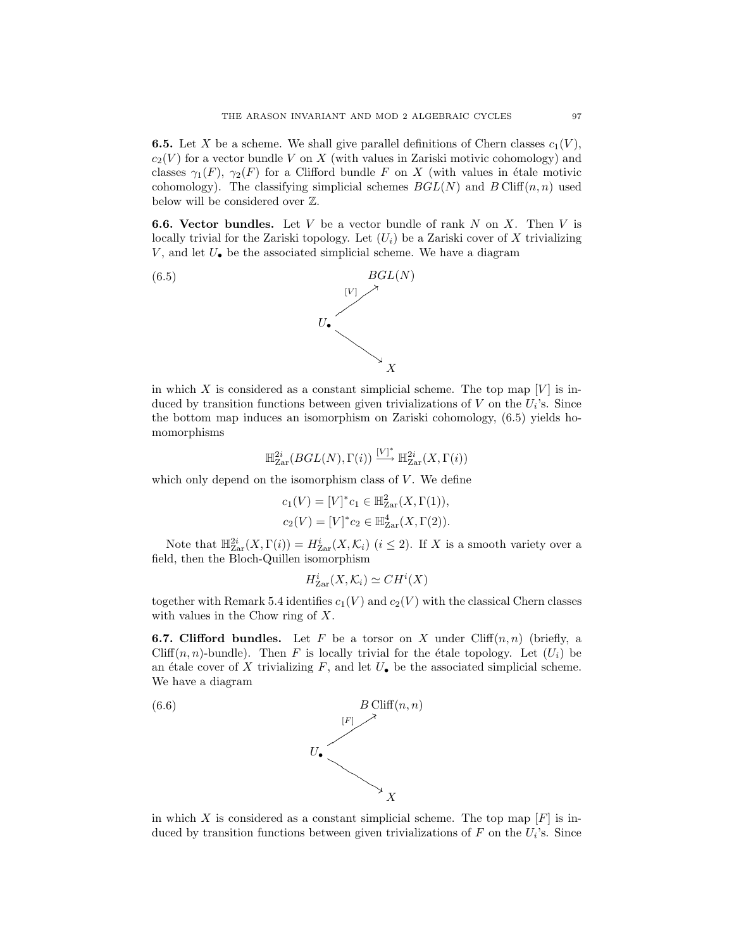**6.5.** Let *X* be a scheme. We shall give parallel definitions of Chern classes  $c_1(V)$ ,  $c_2(V)$  for a vector bundle *V* on *X* (with values in Zariski motivic cohomology) and classes  $\gamma_1(F)$ ,  $\gamma_2(F)$  for a Clifford bundle *F* on *X* (with values in étale motivic cohomology). The classifying simplicial schemes  $BGL(N)$  and  $BCliff(n, n)$  used below will be considered over Z.

**6.6. Vector bundles.** Let *V* be a vector bundle of rank *N* on *X*. Then *V* is locally trivial for the Zariski topology. Let  $(U_i)$  be a Zariski cover of X trivializing *V* , and let *U•* be the associated simplicial scheme. We have a diagram



in which *X* is considered as a constant simplicial scheme. The top map  $[V]$  is induced by transition functions between given trivializations of  $V$  on the  $U_i$ 's. Since the bottom map induces an isomorphism on Zariski cohomology, (6.5) yields homomorphisms

$$
\mathbb{H}_{\rm Zar}^{2i}(\text{BGL}(N),\Gamma(i)) \stackrel{[V]^*}{\longrightarrow} \mathbb{H}_{\rm Zar}^{2i}(X,\Gamma(i))
$$

which only depend on the isomorphism class of *V*. We define

$$
c_1(V) = [V]^* c_1 \in \mathbb{H}^2_{\text{Zar}}(X, \Gamma(1)),
$$
  

$$
c_2(V) = [V]^* c_2 \in \mathbb{H}^4_{\text{Zar}}(X, \Gamma(2)).
$$

Note that  $\mathbb{H}^{2i}_{\text{Zar}}(X,\Gamma(i)) = H^i_{\text{Zar}}(X,\mathcal{K}_i)$  ( $i \leq 2$ ). If X is a smooth variety over a field, then the Bloch-Quillen isomorphism

$$
H_{\text{Zar}}^i(X, \mathcal{K}_i) \simeq CH^i(X)
$$

together with Remark 5.4 identifies  $c_1(V)$  and  $c_2(V)$  with the classical Chern classes with values in the Chow ring of *X*.

**6.7. Clifford bundles.** Let  $F$  be a torsor on  $X$  under Cliff $(n, n)$  (briefly, a Cliff $(n, n)$ -bundle). Then *F* is locally trivial for the étale topology. Let  $(U_i)$  be an étale cover of *X* trivializing  $F$ , and let  $U_{\bullet}$  be the associated simplicial scheme. We have a diagram



in which X is considered as a constant simplicial scheme. The top map  $[F]$  is induced by transition functions between given trivializations of  $F$  on the  $U_i$ 's. Since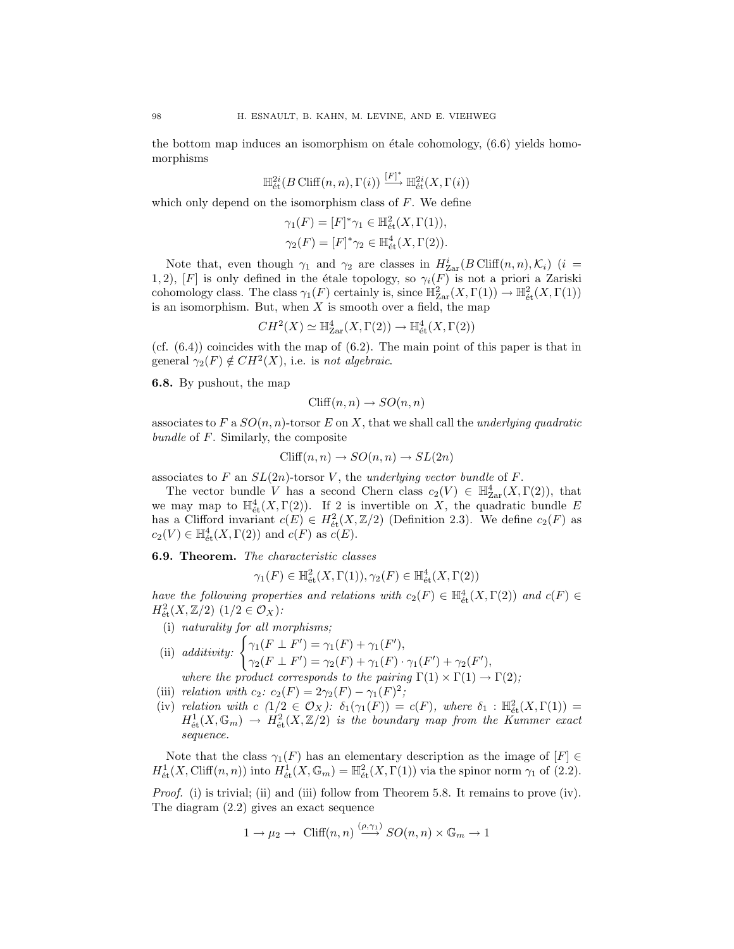the bottom map induces an isomorphism on étale cohomology,  $(6.6)$  yields homomorphisms

$$
\mathbb{H}^{2i}_{\text{\'et}}(B \text{ Cliff}(n,n),\Gamma(i)) \xrightarrow{[F]^*} \mathbb{H}^{2i}_{\text{\'et}}(X,\Gamma(i))
$$

which only depend on the isomorphism class of *F*. We define

$$
\gamma_1(F) = [F]^* \gamma_1 \in \mathbb{H}_{\text{\'et}}^2(X, \Gamma(1)),
$$
  

$$
\gamma_2(F) = [F]^* \gamma_2 \in \mathbb{H}_{\text{\'et}}^4(X, \Gamma(2)).
$$

Note that, even though  $\gamma_1$  and  $\gamma_2$  are classes in  $H^i_{\text{Zar}}(B \text{Cliff}(n, n), \mathcal{K}_i)$  (*i* = 1, 2), [*F*] is only defined in the étale topology, so  $\gamma_i(F)$  is not a priori a Zariski cohomology class. The class  $\gamma_1(F)$  certainly is, since  $\mathbb{H}^2_{\text{Zar}}(X,\Gamma(1)) \to \mathbb{H}^2_{\text{\'et}}(X,\Gamma(1))$ is an isomorphism. But, when *X* is smooth over a field, the map

$$
CH^2(X) \simeq \mathbb{H}_{\rm Zar}^4(X,\Gamma(2)) \to \mathbb{H}_{\rm \acute{e}t}^4(X,\Gamma(2))
$$

 $(cf. (6.4))$  coincides with the map of  $(6.2)$ . The main point of this paper is that in general  $\gamma_2(F) \notin CH^2(X)$ , i.e. is *not algebraic*.

**6.8.** By pushout, the map

$$
\text{Cliff}(n, n) \to SO(n, n)
$$

associates to *F* a *SO*(*n, n*)-torsor *E* on *X*, that we shall call the *underlying quadratic bundle* of *F*. Similarly, the composite

$$
\text{Cliff}(n, n) \to SO(n, n) \to SL(2n)
$$

associates to *F* an *SL*(2*n*)-torsor *V* , the *underlying vector bundle* of *F*.

The vector bundle *V* has a second Chern class  $c_2(V) \in \mathbb{H}_{\text{Zar}}^4(X,\Gamma(2))$ , that we may map to  $\mathbb{H}^4_{\text{\'et}}(X,\Gamma(2))$ . If 2 is invertible on X, the quadratic bundle E has a Clifford invariant  $c(E) \in H^2_{\text{\'et}}(X, \mathbb{Z}/2)$  (Definition 2.3). We define  $c_2(F)$  as  $c_2(V) \in \mathbb{H}_{\text{\'et}}^4(X, \Gamma(2))$  and  $c(F)$  as  $c(E)$ .

**6.9. Theorem.** *The characteristic classes*

$$
\gamma_1(F) \in \mathbb{H}^2_{\text{\'et}}(X,\Gamma(1)), \gamma_2(F) \in \mathbb{H}^4_{\text{\'et}}(X,\Gamma(2))
$$

*have the following properties and relations with*  $c_2(F) \in \mathbb{H}_{\text{\'et}}^4(X,\Gamma(2))$  *and*  $c(F) \in$  $H^2_{\text{\'et}}(X, \mathbb{Z}/2)$   $(1/2 \in \mathcal{O}_X)$ :

- (i) *naturality for all morphisms;*
- (ii) *additivity:*  $\begin{cases} \gamma_1(F \perp F') = \gamma_1(F) + \gamma_1(F')$  $\gamma_2(F \perp F') = \gamma_2(F) + \gamma_1(F) \cdot \gamma_1(F') + \gamma_2(F'),$ *where the product corresponds to the pairing*  $\Gamma(1) \times \Gamma(1) \rightarrow \Gamma(2)$ ;
- (iii) *relation with*  $c_2$ *:*  $c_2(F) = 2\gamma_2(F) \gamma_1(F)^2$ *;*
- (iv) *relation with*  $c$   $(1/2 \in \mathcal{O}_X)$ :  $\delta_1(\gamma_1(F)) = c(F)$ *, where*  $\delta_1 : \mathbb{H}^2_{\text{\'et}}(X,\Gamma(1)) =$  $H^1_{\text{\'et}}(X,\mathbb{G}_m) \rightarrow H^2_{\text{\'et}}(X,\mathbb{Z}/2)$  *is the boundary map from the Kummer exact sequence.*

Note that the class  $\gamma_1(F)$  has an elementary description as the image of  $[F] \in$  $H^1_{\text{\'et}}(X, \text{Cliff}(n, n))$  into  $H^1_{\text{\'et}}(X, \mathbb{G}_m) = \mathbb{H}^2_{\text{\'et}}(X, \Gamma(1))$  via the spinor norm  $\gamma_1$  of (2.2).

*Proof.* (i) is trivial; (ii) and (iii) follow from Theorem 5.8. It remains to prove (iv). The diagram (2.2) gives an exact sequence

$$
1 \to \mu_2 \to \text{Cliff}(n, n) \stackrel{(\rho, \gamma_1)}{\longrightarrow} SO(n, n) \times \mathbb{G}_m \to 1
$$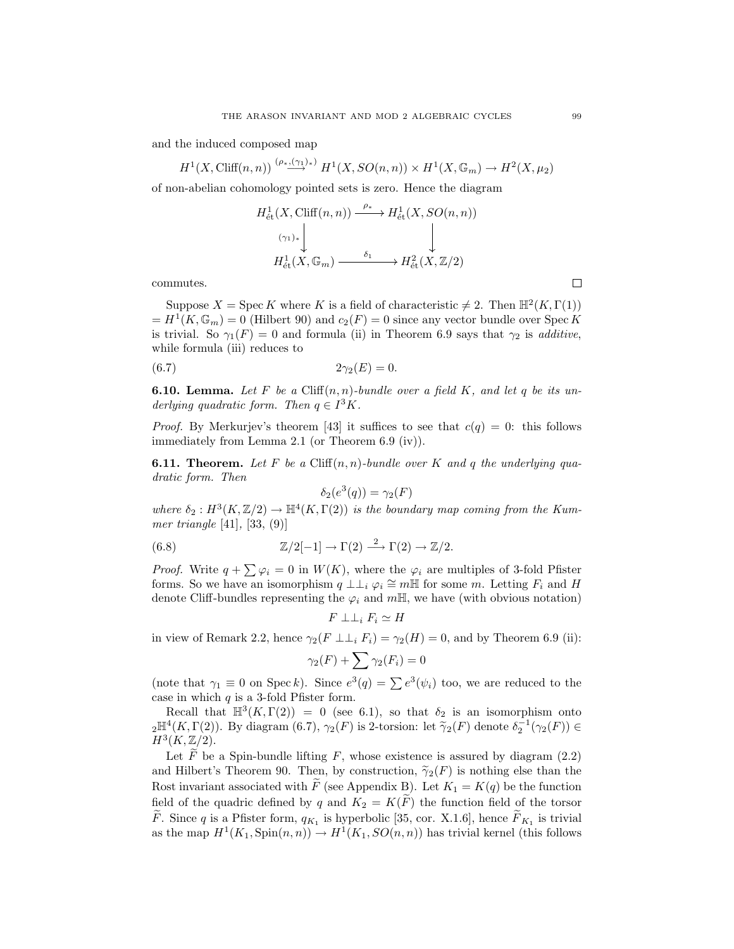and the induced composed map

$$
H^1(X, \text{Cliff}(n, n)) \stackrel{(\rho_*, (\gamma_1)_*)}{\longrightarrow} H^1(X, SO(n, n)) \times H^1(X, \mathbb{G}_m) \to H^2(X, \mu_2)
$$

of non-abelian cohomology pointed sets is zero. Hence the diagram

$$
H^1_{\text{\'et}}(X, \text{Cliff}(n, n)) \xrightarrow{\rho_*} H^1_{\text{\'et}}(X, SO(n, n))
$$
  

$$
\downarrow^{(\gamma_1)_*}
$$
  

$$
H^1_{\text{\'et}}(X, \mathbb{G}_m) \xrightarrow{\delta_1} H^2_{\text{\'et}}(X, \mathbb{Z}/2)
$$

commutes.

Suppose  $X = \text{Spec } K$  where  $K$  is a field of characteristic  $\neq 2$ . Then  $\mathbb{H}^2(K,\Gamma(1))$  $= H^1(K, \mathbb{G}_m) = 0$  (Hilbert 90) and  $c_2(F) = 0$  since any vector bundle over Spec K is trivial. So  $\gamma_1(F) = 0$  and formula (ii) in Theorem 6.9 says that  $\gamma_2$  is *additive*, while formula (iii) reduces to

$$
(6.7) \t\t 2\gamma_2(E) = 0.
$$

**6.10. Lemma.** Let F be a Cliff $(n, n)$ -bundle over a field K, and let q be its un*derlying quadratic form. Then*  $q \in I^3K$ .

*Proof.* By Merkurjev's theorem [43] it suffices to see that  $c(q) = 0$ : this follows immediately from Lemma 2.1 (or Theorem 6.9 (iv)).

**6.11. Theorem.** Let F be a Cliff $(n, n)$ -bundle over K and q the underlying qua*dratic form. Then*

$$
\delta_2(e^3(q)) = \gamma_2(F)
$$

where  $\delta_2: H^3(K,\mathbb{Z}/2) \to \mathbb{H}^4(K,\Gamma(2))$  *is the boundary map coming from the Kummer triangle* [41]*,* [33, (9)]

(6.8) 
$$
\mathbb{Z}/2[-1] \to \Gamma(2) \stackrel{2}{\longrightarrow} \Gamma(2) \to \mathbb{Z}/2.
$$

*Proof.* Write  $q + \sum \varphi_i = 0$  in  $W(K)$ , where the  $\varphi_i$  are multiples of 3-fold Pfister forms. So we have an isomorphism  $q \perp \perp_i \varphi_i \cong m\mathbb{H}$  for some *m*. Letting  $F_i$  and H denote Cliff-bundles representing the  $\varphi_i$  and  $mH$ , we have (with obvious notation)

$$
F \perp \perp_i F_i \simeq H
$$

in view of Remark 2.2, hence  $\gamma_2(F \perp \perp_i F_i) = \gamma_2(H) = 0$ , and by Theorem 6.9 (ii):

$$
\gamma_2(F) + \sum \gamma_2(F_i) = 0
$$

(note that  $\gamma_1 \equiv 0$  on Spec *k*). Since  $e^3(q) = \sum e^3(\psi_i)$  too, we are reduced to the case in which *q* is a 3-fold Pfister form.

Recall that  $\mathbb{H}^3(K,\Gamma(2)) = 0$  (see 6.1), so that  $\delta_2$  is an isomorphism onto  $_2\mathbb{H}^4(K,\Gamma(2))$ . By diagram  $(6.7), \gamma_2(F)$  is 2-torsion: let  $\tilde{\gamma}_2(F)$  denote  $\delta_2^{-1}(\gamma_2(F)) \in$ <br> $H^3(K, \mathbb{Z}/2)$  $H^3(K,\mathbb{Z}/2).$ 

Let  $F$  be a Spin-bundle lifting  $F$ , whose existence is assured by diagram  $(2.2)$ and Hilbert's Theorem 90. Then, by construction,  $\tilde{\gamma}_2(F)$  is nothing else than the Rost invariant associated with  $\tilde{F}$  (see Appendix B). Let  $K_1 = K(q)$  be the function field of the quadric defined by *q* and  $K_2 = K(\tilde{F})$  the function field of the torsor *F*. Since *q* is a Pfister form,  $q_{K_1}$  is hyperbolic [35, cor. X.1.6], hence  $F_{K_1}$  is trivial as the map  $H^1(K_1, \text{Spin}(n, n)) \to H^1(K_1, SO(n, n))$  has trivial kernel (this follows

 $\Box$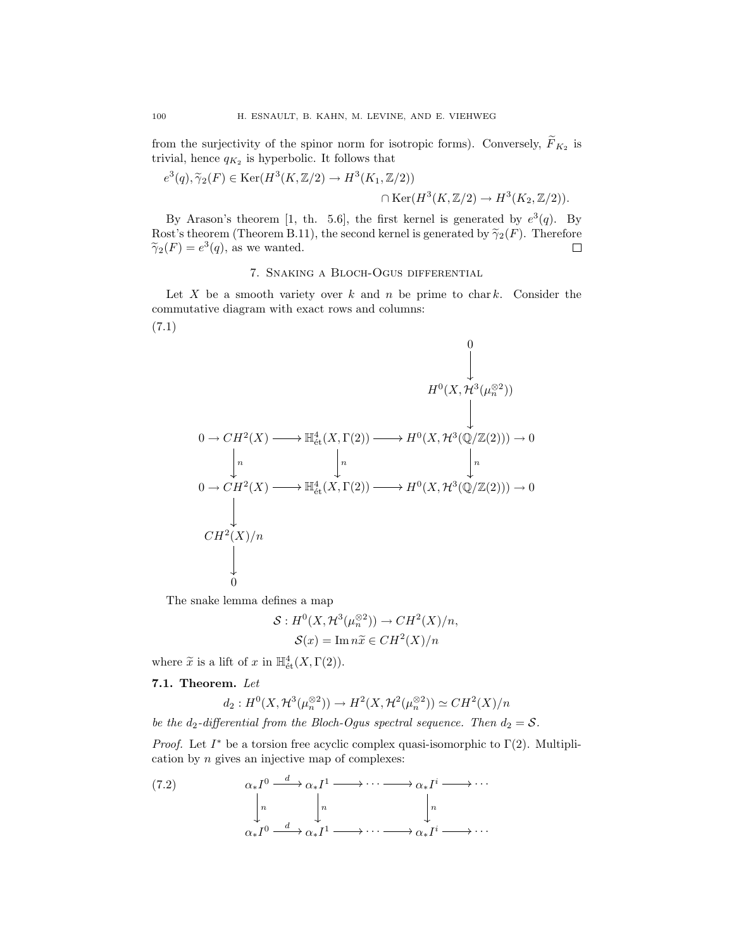from the surjectivity of the spinor norm for isotropic forms). Conversely,  $\widetilde{F}_{K_{2}}$  is trivial, hence  $q_{K_2}$  is hyperbolic. It follows that

$$
e^{3}(q), \widetilde{\gamma}_{2}(F) \in \text{Ker}(H^{3}(K, \mathbb{Z}/2) \to H^{3}(K_{1}, \mathbb{Z}/2))
$$

$$
\cap \text{Ker}(H^{3}(K, \mathbb{Z}/2) \to H^{3}(K_{2}, \mathbb{Z}/2)).
$$

By Arason's theorem [1, th. 5.6], the first kernel is generated by  $e^3(q)$ . By Rost's theorem (Theorem B.11), the second kernel is generated by  $\tilde{\gamma}_2(F)$ . Therefore  $\tilde{\gamma}_2(F) = e^3(q)$ , as we wanted.  $\widetilde{\gamma}_2(F) = e^3(q)$ , as we wanted.

## 7. Snaking a Bloch-Ogus differential

Let  $X$  be a smooth variety over  $k$  and  $n$  be prime to char  $k$ . Consider the commutative diagram with exact rows and columns:

$$
0 \to CH^2(X) \longrightarrow \mathbb{H}^4_{\text{\'et}}(X, \Gamma(2)) \longrightarrow H^0(X, \mathcal{H}^3(\mu_n^{\otimes 2}))
$$
\n
$$
0 \to CH^2(X) \longrightarrow \mathbb{H}^4_{\text{\'et}}(X, \Gamma(2)) \longrightarrow H^0(X, \mathcal{H}^3(\mathbb{Q}/\mathbb{Z}(2))) \to 0
$$
\n
$$
0 \to CH^2(X) \longrightarrow \mathbb{H}^4_{\text{\'et}}(X, \Gamma(2)) \longrightarrow H^0(X, \mathcal{H}^3(\mathbb{Q}/\mathbb{Z}(2))) \to 0
$$
\n
$$
CH^2(X)/n
$$
\n
$$
\downarrow
$$
\n
$$
0
$$

The snake lemma defines a map

$$
S: H^{0}(X, \mathcal{H}^{3}(\mu_{n}^{\otimes 2})) \to CH^{2}(X)/n,
$$
  

$$
S(x) = \operatorname{Im} n\tilde{x} \in CH^{2}(X)/n
$$

where  $\widetilde{x}$  is a lift of  $x$  in  $\mathbb{H}^4_{\text{\'et}}(X,\Gamma(2)).$ 

## **7.1. Theorem.** *Let*

$$
d_2: H^0(X, \mathcal{H}^3(\mu_n^{\otimes 2})) \to H^2(X, \mathcal{H}^2(\mu_n^{\otimes 2})) \simeq CH^2(X)/n
$$

*be the*  $d_2$ -differential from the Bloch-Ogus spectral sequence. Then  $d_2 = S$ .

*Proof.* Let  $I^*$  be a torsion free acyclic complex quasi-isomorphic to  $\Gamma(2)$ . Multiplication by *n* gives an injective map of complexes:

(7.2) 
$$
\alpha_* I^0 \xrightarrow{d} \alpha_* I^1 \longrightarrow \cdots \longrightarrow \alpha_* I^i \longrightarrow \cdots
$$

$$
\downarrow n \qquad \qquad \downarrow n \qquad \qquad \downarrow n
$$

$$
\alpha_* I^0 \xrightarrow{d} \alpha_* I^1 \longrightarrow \cdots \longrightarrow \alpha_* I^i \longrightarrow \cdots
$$

(7.1)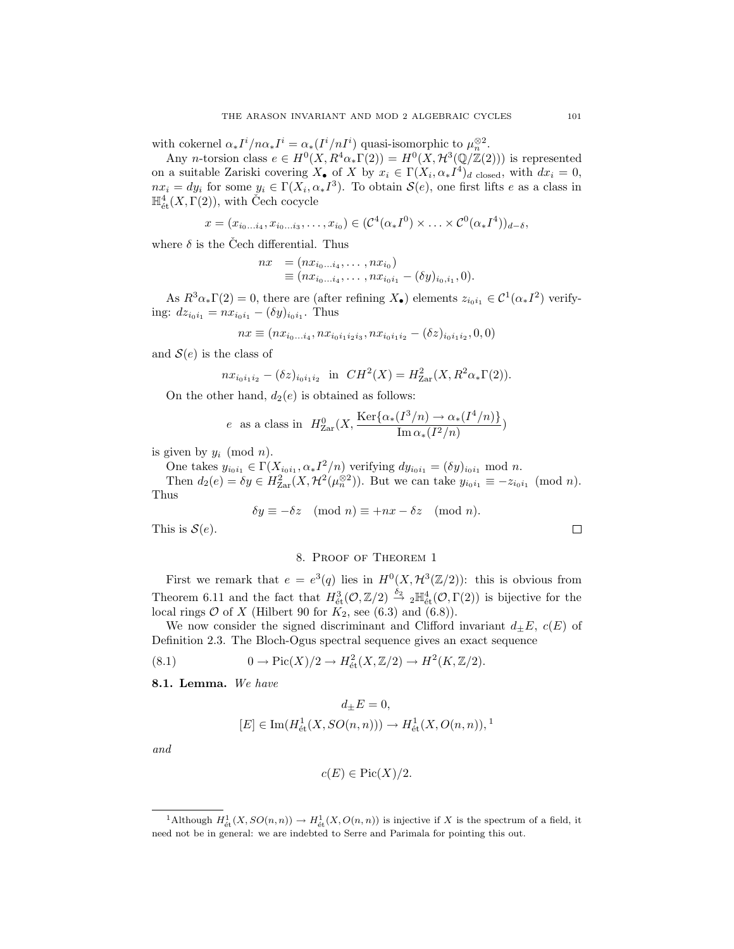with cokernel  $\alpha_* I^i / n \alpha_* I^i = \alpha_* (I^i / n I^i)$  quasi-isomorphic to  $\mu_n^{\otimes 2}$ .

Any *n*-torsion class  $e \in H^0(X, R^4\alpha_*\Gamma(2)) = H^0(X, \mathcal{H}^3(\mathbb{Q}/\mathbb{Z}(2)))$  is represented on a suitable Zariski covering  $X_{\bullet}$  of X by  $x_i \in \Gamma(X_i, \alpha_* I^4)_{d \text{ closed}}$ , with  $dx_i = 0$ ,  $nx_i = dy_i$  for some  $y_i \in \Gamma(X_i, \alpha_* I^3)$ . To obtain  $\mathcal{S}(e)$ , one first lifts *e* as a class in  $\mathbb{H}^4_{\text{\'et}}(X,\Gamma(2)),$  with Čech cocycle

$$
x = (x_{i_0...i_4}, x_{i_0...i_3}, \ldots, x_{i_0}) \in (\mathcal{C}^4(\alpha_* I^0) \times \ldots \times \mathcal{C}^0(\alpha_* I^4))_{d-\delta},
$$

where  $\delta$  is the Čech differential. Thus

$$
nx = (nx_{i_0...i_4}, \dots, nx_{i_0})
$$
  
\n
$$
\equiv (nx_{i_0...i_4}, \dots, nx_{i_0i_1} - (\delta y)_{i_0,i_1}, 0).
$$

As  $R^3\alpha_*\Gamma(2) = 0$ , there are (after refining  $X_{\bullet}$ ) elements  $z_{i_0i_1} \in C^1(\alpha_*I^2)$  verifying:  $dz_{i_0i_1} = nx_{i_0i_1} - (\delta y)_{i_0i_1}$ . Thus

$$
nx \equiv (nx_{i_0...i_4}, nx_{i_0i_1i_2i_3}, nx_{i_0i_1i_2} - (\delta z)_{i_0i_1i_2}, 0, 0)
$$

and  $S(e)$  is the class of

$$
nx_{i_0i_1i_2} - (\delta z)_{i_0i_1i_2} \text{ in } CH^2(X) = H^2_{\text{Zar}}(X, R^2\alpha_*\Gamma(2)).
$$

On the other hand,  $d_2(e)$  is obtained as follows:

$$
e
$$
 as a class in  $H_{\text{Zar}}^0(X, \frac{\text{Ker}\{\alpha_*(I^3/n) \to \alpha_*(I^4/n)\}}{\text{Im}\,\alpha_*(I^2/n)})$ 

is given by  $y_i \pmod{n}$ .

One takes  $y_{i_0i_1} \in \Gamma(X_{i_0i_1}, \alpha_* I^2/n)$  verifying  $dy_{i_0i_1} = (\delta y)_{i_0i_1} \mod n$ .

Then  $d_2(e) = \delta y \in H_{\text{Zar}}^2(X, \mathcal{H}^2(\mu_n^{\otimes 2}))$ . But we can take  $y_{i_0i_1} \equiv -z_{i_0i_1} \pmod{n}$ . Thus

$$
\delta y \equiv -\delta z \pmod{n} \equiv +nx - \delta z \pmod{n}.
$$

This is  $S(e)$ .

## 8. Proof of Theorem 1

First we remark that  $e = e^3(q)$  lies in  $H^0(X, \mathcal{H}^3(\mathbb{Z}/2))$ : this is obvious from Theorem 6.11 and the fact that  $H^3_{\text{\'et}}(\mathcal{O},\mathbb{Z}/2) \stackrel{\delta_2}{\to} {}_2\mathbb{H}^4_{\text{\'et}}(\mathcal{O},\Gamma(2))$  is bijective for the local rings  $O$  of  $X$  (Hilbert 90 for  $K_2$ , see (6.3) and (6.8)).

We now consider the signed discriminant and Clifford invariant  $d_{\pm}E$ ,  $c(E)$  of Definition 2.3. The Bloch-Ogus spectral sequence gives an exact sequence

(8.1) 
$$
0 \to Pic(X)/2 \to H^2_{\text{\'et}}(X,\mathbb{Z}/2) \to H^2(K,\mathbb{Z}/2).
$$

**8.1. Lemma.** *We have*

$$
d_{\pm}E=0,
$$
  

$$
[E]\in \mathrm{Im}(H^1_{\text{\'et}}(X,SO(n,n)))\rightarrow H^1_{\text{\'et}}(X,O(n,n)),^1
$$

*and*

$$
c(E) \in \text{Pic}(X)/2.
$$

<sup>&</sup>lt;sup>1</sup>Although  $H^1_{\text{\'et}}(X, SO(n, n)) \to H^1_{\text{\'et}}(X, O(n, n))$  is injective if *X* is the spectrum of a field, it due to in general: we are indepted to Serre and Perimala for pointing this out need not be in general: we are indebted to Serre and Parimala for pointing this out.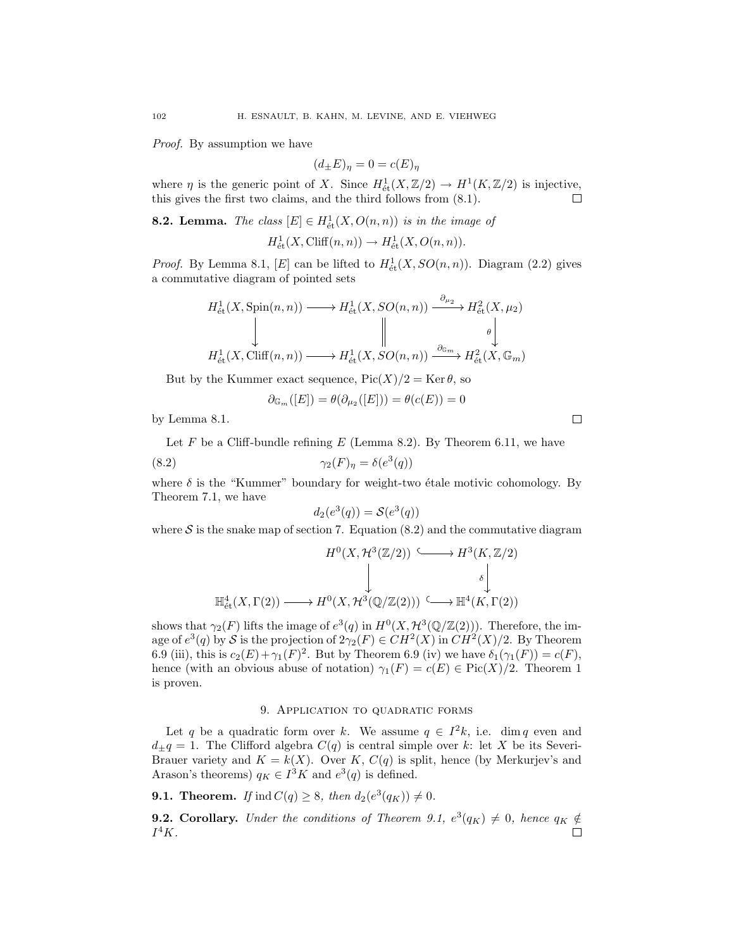*Proof.* By assumption we have

$$
(d_{\pm}E)_{\eta} = 0 = c(E)_{\eta}
$$

where *η* is the generic point of *X*. Since  $H^1_{\text{\'et}}(X, \mathbb{Z}/2) \to H^1(K, \mathbb{Z}/2)$  is injective, this gives the first two claims, and the third follows from (8.1).

**8.2. Lemma.** *The class*  $[E] \in H^1_{\text{\'et}}(X, O(n,n))$  *is in the image of*  $H^1_{\text{\'et}}(X, \text{Cliff}(n, n)) \to H^1_{\text{\'et}}(X, O(n, n)).$ 

*Proof.* By Lemma 8.1, [*E*] can be lifted to  $H^1_{\text{\'et}}(X,SO(n,n))$ . Diagram (2.2) gives a commutative diagram of pointed sets

$$
H^1_{\text{\'et}}(X, \text{Spin}(n, n)) \longrightarrow H^1_{\text{\'et}}(X, SO(n, n)) \xrightarrow{\partial_{\mu_2}} H^2_{\text{\'et}}(X, \mu_2)
$$
  

$$
\downarrow \qquad \qquad \downarrow \qquad \qquad \downarrow \qquad \qquad \downarrow
$$
  

$$
H^1_{\text{\'et}}(X, \text{Cliff}(n, n)) \longrightarrow H^1_{\text{\'et}}(X, SO(n, n)) \xrightarrow{\partial_{\mathbb{G}_m}} H^2_{\text{\'et}}(X, \mathbb{G}_m)
$$

But by the Kummer exact sequence,  $Pic(X)/2 = Ker \theta$ , so

$$
\partial_{\mathbb{G}_m}([E])=\theta(\partial_{\mu_2}([E]))=\theta(c(E))=0
$$

by Lemma 8.1.

Let  $F$  be a Cliff-bundle refining  $E$  (Lemma 8.2). By Theorem 6.11, we have

(8.2) 
$$
\gamma_2(F)_\eta = \delta(e^3(q))
$$

where  $\delta$  is the "Kummer" boundary for weight-two étale motivic cohomology. By Theorem 7.1, we have

$$
d_2(e^3(q)) = \mathcal{S}(e^3(q))
$$

where  $S$  is the snake map of section 7. Equation  $(8.2)$  and the commutative diagram

$$
H^{0}(X, \mathcal{H}^{3}(\mathbb{Z}/2)) \xrightarrow{\qquad} H^{3}(K, \mathbb{Z}/2)
$$
  

$$
\downarrow \qquad \qquad \downarrow \qquad \qquad \downarrow
$$
  

$$
\mathbb{H}^{4}_{\text{\'et}}(X, \Gamma(2)) \longrightarrow H^{0}(X, \mathcal{H}^{3}(\mathbb{Q}/\mathbb{Z}(2))) \xrightarrow{\qquad} \mathbb{H}^{4}(K, \Gamma(2))
$$

shows that  $\gamma_2(F)$  lifts the image of  $e^3(q)$  in  $H^0(X, \mathcal{H}^3(\mathbb{Q}/\mathbb{Z}(2)))$ . Therefore, the image of  $e^3(q)$  by *S* is the projection of  $2\gamma_2(F) \in CH^2(X)$  in  $CH^2(X)/2$ . By Theorem 6.9 (iii), this is  $c_2(E) + \gamma_1(F)^2$ . But by Theorem 6.9 (iv) we have  $\delta_1(\gamma_1(F)) = c(F)$ , hence (with an obvious abuse of notation)  $\gamma_1(F) = c(E) \in Pic(X)/2$ . Theorem 1 is proven.

### 9. Application to quadratic forms

Let *q* be a quadratic form over *k*. We assume  $q \in I^2k$ , i.e. dim *q* even and  $d_{\pm}q = 1$ . The Clifford algebra  $C(q)$  is central simple over *k*: let *X* be its Severi-Brauer variety and  $K = k(X)$ . Over *K*,  $C(q)$  is split, hence (by Merkurjev's and Arason's theorems)  $q_K \in I^3K$  and  $e^3(q)$  is defined.

**9.1. Theorem.** *If* ind  $C(q) \geq 8$ *, then*  $d_2(e^3(q_K)) \neq 0$ *.* 

**9.2. Corollary.** *Under the conditions of Theorem 9.1,*  $e^3(q_K) \neq 0$ *, hence*  $q_K \notin$ *I*<sup>4</sup>*K.* $\Box$ 

 $\Box$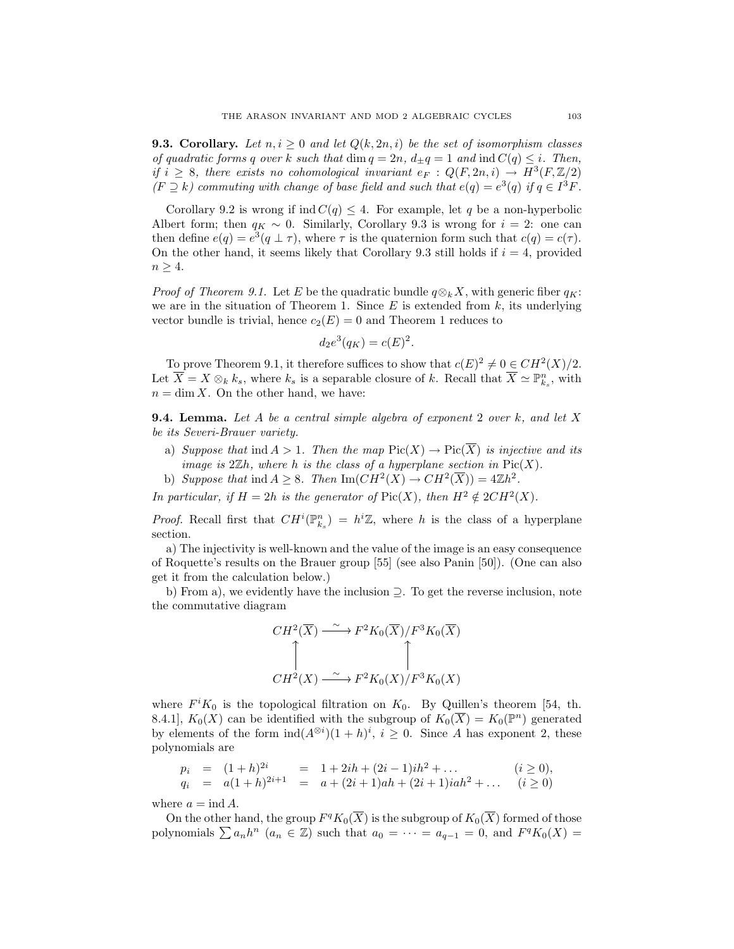**9.3. Corollary.** Let  $n, i \geq 0$  and let  $Q(k, 2n, i)$  be the set of isomorphism classes *of quadratic forms q over k such that* dim  $q = 2n$ *,*  $d_{\pm}q = 1$  *and* ind  $C(q) \leq i$ *. Then, if*  $i \geq 8$ *, there exists no cohomological invariant*  $e_F : Q(F, 2n, i) \rightarrow H^3(F, \mathbb{Z}/2)$  $(F \supset k)$  commuting with change of base field and such that  $e(q) = e^3(q)$  if  $q \in I^3F$ .

Corollary 9.2 is wrong if  $\text{ind } C(q) \leq 4$ . For example, let *q* be a non-hyperbolic Albert form; then  $q_K \sim 0$ . Similarly, Corollary 9.3 is wrong for  $i = 2$ : one can then define  $e(q) = e^3(q \perp \tau)$ , where  $\tau$  is the quaternion form such that  $c(q) = c(\tau)$ . On the other hand, it seems likely that Corollary 9.3 still holds if  $i = 4$ , provided *n ≥* 4.

*Proof of Theorem 9.1.* Let *E* be the quadratic bundle  $q \otimes_k X$ , with generic fiber  $q_K$ : we are in the situation of Theorem 1. Since *E* is extended from *k*, its underlying vector bundle is trivial, hence  $c_2(E) = 0$  and Theorem 1 reduces to

$$
d_2e^3(q_K) = c(E)^2.
$$

To prove Theorem 9.1, it therefore suffices to show that  $c(E)^2 \neq 0 \in CH^2(X)/2$ . Let  $\overline{X} = X \otimes_k k_s$ , where  $k_s$  is a separable closure of *k*. Recall that  $\overline{X} \simeq \mathbb{P}_{k_s}^n$ , with  $n = \dim X$ . On the other hand, we have:

**9.4. Lemma.** *Let A be a central simple algebra of exponent* 2 *over k, and let X be its Severi-Brauer variety.*

- a) *Suppose that*  $\text{ind } A > 1$ *. Then the map*  $\text{Pic}(X) \to \text{Pic}(\overline{X})$  *is injective and its image is*  $2\mathbb{Z}h$ *, where h is the class of a hyperplane section in* Pic $(X)$ *.*
- b) *Suppose that*  $\text{ind } A \geq 8$ *. Then*  $\text{Im}(CH^2(X) \to CH^2(\overline{X})) = 4\mathbb{Z}h^2$ *.*

*In particular, if*  $H = 2h$  *is the generator of*  $Pic(X)$ *, then*  $H^2 \notin 2CH^2(X)$ *.* 

*Proof.* Recall first that  $CH^i(\mathbb{P}_{k_s}^n) = h^i\mathbb{Z}$ , where *h* is the class of a hyperplane section.

a) The injectivity is well-known and the value of the image is an easy consequence of Roquette's results on the Brauer group [55] (see also Panin [50]). (One can also get it from the calculation below.)

b) From a), we evidently have the inclusion *⊇*. To get the reverse inclusion, note the commutative diagram

$$
CH^2(\overline{X}) \xrightarrow{\sim} F^2 K_0(\overline{X})/F^3 K_0(\overline{X})
$$
  
\n
$$
\uparrow
$$
  
\n
$$
CH^2(X) \xrightarrow{\sim} F^2 K_0(X)/F^3 K_0(X)
$$

where  $F^i K_0$  is the topological filtration on  $K_0$ . By Quillen's theorem [54, th. 8.4.1],  $K_0(X)$  can be identified with the subgroup of  $K_0(\overline{X}) = K_0(\mathbb{P}^n)$  generated by elements of the form  $\text{ind}(A^{\otimes i})(1+h)^i$ ,  $i \geq 0$ . Since *A* has exponent 2, these polynomials are

$$
p_i = (1+h)^{2i} = 1 + 2ih + (2i-1)ih^2 + ... \t(i \ge 0),
$$
  
\n
$$
q_i = a(1+h)^{2i+1} = a + (2i+1)ah + (2i+1)iah^2 + ... \t(i \ge 0)
$$

where  $a = \text{ind } A$ .

On the other hand, the group  $F^q K_0(\overline{X})$  is the subgroup of  $K_0(\overline{X})$  formed of those polynomials  $\sum a_n h^n$  ( $a_n \in \mathbb{Z}$ ) such that  $a_0 = \cdots = a_{q-1} = 0$ , and  $F^q K_0(X) =$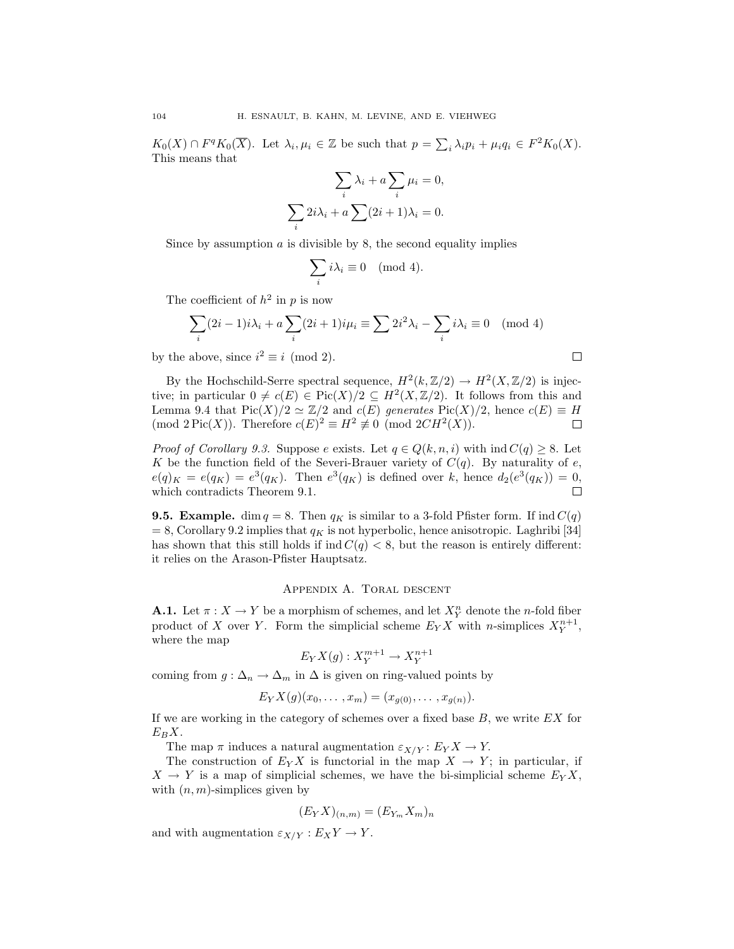$K_0(X) \cap F^q K_0(\overline{X})$ . Let  $\lambda_i, \mu_i \in \mathbb{Z}$  be such that  $p = \sum_i \lambda_i p_i + \mu_i q_i \in F^2 K_0(X)$ . This means that

$$
\sum_{i} \lambda_i + a \sum_{i} \mu_i = 0,
$$
  

$$
\sum_{i} 2i\lambda_i + a \sum_{i} (2i+1)\lambda_i = 0.
$$

Since by assumption *a* is divisible by 8, the second equality implies

$$
\sum_i i\lambda_i \equiv 0 \pmod{4}.
$$

The coefficient of  $h^2$  in p is now

$$
\sum_{i} (2i - 1)i\lambda_i + a \sum_{i} (2i + 1)i\mu_i \equiv \sum_{i} 2i^2 \lambda_i - \sum_{i} i\lambda_i \equiv 0 \pmod{4}
$$

by the above, since  $i^2 \equiv i \pmod{2}$ .

By the Hochschild-Serre spectral sequence,  $H^2(k,\mathbb{Z}/2) \to H^2(X,\mathbb{Z}/2)$  is injective; in particular  $0 \neq c(E) \in Pic(X)/2 \subseteq H^2(X,\mathbb{Z}/2)$ . It follows from this and Lemma 9.4 that  $Pic(X)/2 \simeq \mathbb{Z}/2$  and  $c(E)$  generates  $Pic(X)/2$ , hence  $c(E) \equiv H$  $(\text{mod } 2 \text{Pic}(X))$ . Therefore  $c(E)^2 \equiv H^2 \not\equiv 0 \pmod{2CH^2(X)}$ .  $\Box$ 

*Proof of Corollary 9.3.* Suppose *e* exists. Let  $q \in Q(k, n, i)$  with  $\text{ind } C(q) \geq 8$ . Let *K* be the function field of the Severi-Brauer variety of  $C(q)$ . By naturality of *e*,  $e(q)_K = e(q_K) = e^3(q_K)$ . Then  $e^3(q_K)$  is defined over *k*, hence  $d_2(e^3(q_K)) = 0$ , which contradicts Theorem 9.1.  $\Box$ 

**9.5. Example.** dim  $q = 8$ . Then  $q_K$  is similar to a 3-fold Pfister form. If ind  $C(q)$  $= 8$ , Corollary 9.2 implies that  $q<sub>K</sub>$  is not hyperbolic, hence anisotropic. Laghribi [34] has shown that this still holds if  $\text{ind } C(q) < 8$ , but the reason is entirely different: it relies on the Arason-Pfister Hauptsatz.

### Appendix A. Toral descent

**A.1.** Let  $\pi: X \to Y$  be a morphism of schemes, and let  $X_Y^n$  denote the *n*-fold fiber product of *X* over *Y*. Form the simplicial scheme  $E_Y X$  with *n*-simplices  $X_Y^{n+1}$ , where the map

$$
E_Y X(g) : X_Y^{m+1} \to X_Y^{n+1}
$$

coming from  $g: \Delta_n \to \Delta_m$  in  $\Delta$  is given on ring-valued points by

$$
E_Y X(g)(x_0, \ldots, x_m) = (x_{g(0)}, \ldots, x_{g(n)}).
$$

If we are working in the category of schemes over a fixed base *B*, we write *EX* for  $E_B X$ .

The map  $\pi$  induces a natural augmentation  $\varepsilon_{X/Y} : E_Y X \to Y$ .

The construction of  $E_Y X$  is functorial in the map  $X \to Y$ ; in particular, if  $X \rightarrow Y$  is a map of simplicial schemes, we have the bi-simplicial scheme  $E_Y X$ , with  $(n, m)$ -simplices given by

$$
(E_YX)_{(n,m)} = (E_{Y_m}X_m)_n
$$

and with augmentation  $\varepsilon_{X/Y} : E_X Y \to Y$ .

 $\Box$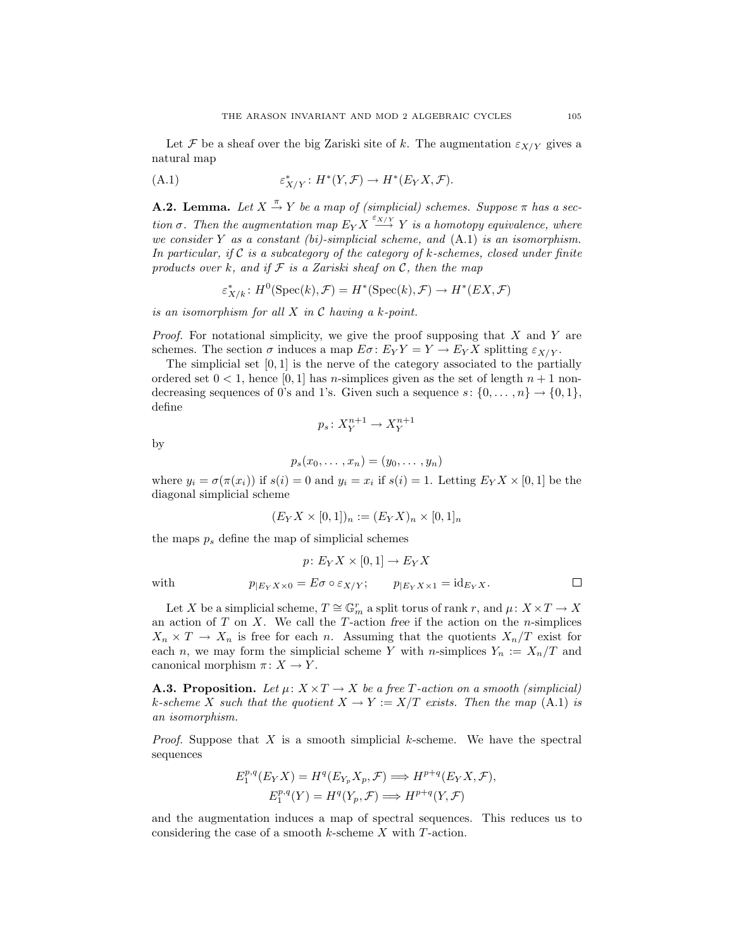Let *F* be a sheaf over the big Zariski site of *k*. The augmentation  $\varepsilon_{X/Y}$  gives a natural map

(A.1) 
$$
\varepsilon^*_{X/Y}: H^*(Y,\mathcal{F}) \to H^*(E_YX,\mathcal{F}).
$$

**A.2. Lemma.** Let  $X \stackrel{\pi}{\rightarrow} Y$  be a map of (simplicial) schemes. Suppose  $\pi$  has a sec*tion*  $\sigma$ . Then the augmentation map  $E_Y X \stackrel{\varepsilon_{X/Y}}{\longrightarrow} Y$  is a homotopy equivalence, where *we consider Y as a constant (bi)-simplicial scheme, and* (A.1) *is an isomorphism. In particular, if C is a subcategory of the category of k-schemes, closed under finite products over k, and if F is a Zariski sheaf on C, then the map*

 $\varepsilon^*_{X/k}$ :  $H^0(\text{Spec}(k), \mathcal{F}) = H^*(\text{Spec}(k), \mathcal{F}) \to H^*(EX, \mathcal{F})$ 

*is an isomorphism for all X in C having a k-point.*

*Proof.* For notational simplicity, we give the proof supposing that *X* and *Y* are schemes. The section  $\sigma$  induces a map  $E\sigma: E_YY = Y \to E_YX$  splitting  $\varepsilon_{X/Y}$ .

The simplicial set [0*,* 1] is the nerve of the category associated to the partially ordered set  $0 < 1$ , hence [0, 1] has *n*-simplices given as the set of length  $n + 1$  nondecreasing sequences of 0's and 1's. Given such a sequence  $s: \{0, \ldots, n\} \rightarrow \{0, 1\}$ , define

$$
p_s \colon X^{n+1}_Y \to X^{n+1}_Y
$$

by

$$
p_s(x_0,\ldots,x_n)=(y_0,\ldots,y_n)
$$

where  $y_i = \sigma(\pi(x_i))$  if  $s(i) = 0$  and  $y_i = x_i$  if  $s(i) = 1$ . Letting  $E_Y X \times [0, 1]$  be the diagonal simplicial scheme

$$
(E_Y X \times [0,1])_n := (E_Y X)_n \times [0,1]_n
$$

the maps *p*<sup>s</sup> define the map of simplicial schemes

$$
p\colon E_YX\times [0,1]\to E_YX
$$
 with 
$$
p_{|E_YX\times 0}=E\sigma\circ \varepsilon_{X/Y};\qquad p_{|E_YX\times 1}=\mathrm{id}_{E_YX}.
$$

Let *X* be a simplicial scheme,  $T \cong \mathbb{G}_m^r$  a split torus of rank *r*, and  $\mu: X \times T \to X$ an action of *T* on *X*. We call the *T* -action *free* if the action on the *n*-simplices  $X_n \times T \to X_n$  is free for each *n*. Assuming that the quotients  $X_n/T$  exist for each *n*, we may form the simplicial scheme *Y* with *n*-simplices  $Y_n := X_n/T$  and canonical morphism  $\pi: X \to Y$ .

**A.3. Proposition.** Let  $\mu: X \times T \to X$  be a free T-action on a smooth (simplicial) *k*-scheme *X* such that the quotient  $X \to Y := X/T$  exists. Then the map (A.1) is *an isomorphism.*

*Proof.* Suppose that *X* is a smooth simplicial *k*-scheme. We have the spectral sequences

$$
E_1^{p,q}(E_YX) = H^q(E_{Y_p}X_p, \mathcal{F}) \Longrightarrow H^{p+q}(E_YX, \mathcal{F}),
$$
  

$$
E_1^{p,q}(Y) = H^q(Y_p, \mathcal{F}) \Longrightarrow H^{p+q}(Y, \mathcal{F})
$$

and the augmentation induces a map of spectral sequences. This reduces us to considering the case of a smooth *k*-scheme *X* with *T* -action.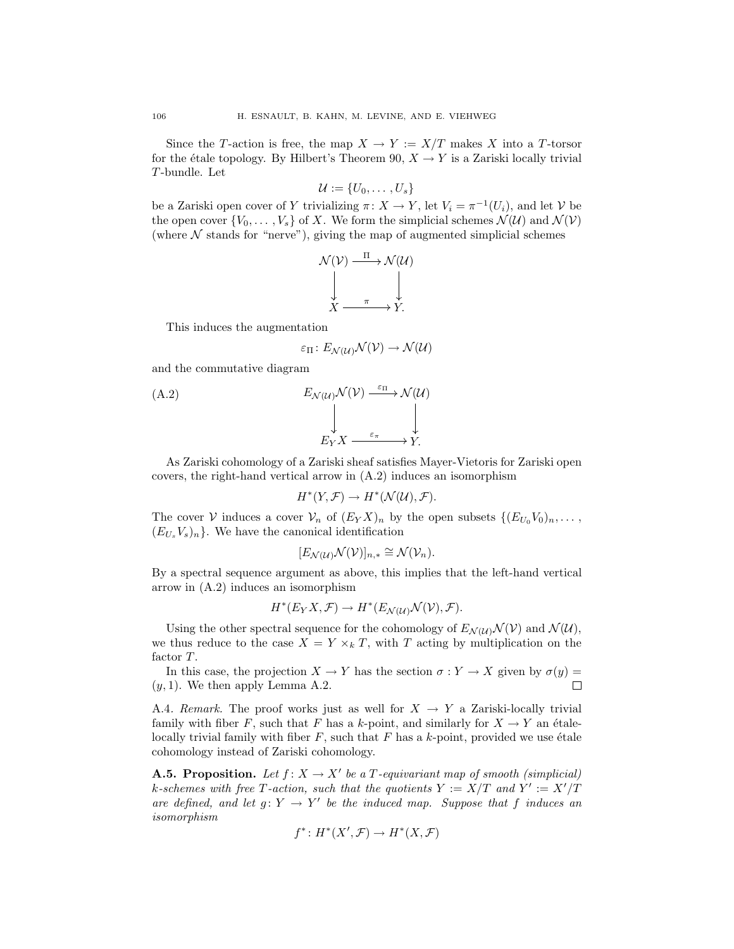Since the *T*-action is free, the map  $X \to Y := X/T$  makes *X* into a *T*-torsor for the étale topology. By Hilbert's Theorem 90,  $X \rightarrow Y$  is a Zariski locally trivial *T* -bundle. Let

$$
\mathcal{U} := \{U_0, \ldots, U_s\}
$$

be a Zariski open cover of *Y* trivializing  $\pi: X \to Y$ , let  $V_i = \pi^{-1}(U_i)$ , and let *V* be the open cover  $\{V_0, \ldots, V_s\}$  of *X*. We form the simplicial schemes  $\mathcal{N}(\mathcal{U})$  and  $\mathcal{N}(\mathcal{V})$ (where  $N$  stands for "nerve"), giving the map of augmented simplicial schemes

$$
\mathcal{N}(\mathcal{V}) \xrightarrow{\Pi} \mathcal{N}(\mathcal{U})
$$

$$
\downarrow \qquad \qquad \downarrow
$$

$$
X \xrightarrow{\pi} Y.
$$

This induces the augmentation

$$
\varepsilon_{\Pi} \colon E_{\mathcal{N}(\mathcal{U})} \mathcal{N}(\mathcal{V}) \to \mathcal{N}(\mathcal{U})
$$

and the commutative diagram

(A.2)  
\n
$$
E_{\mathcal{N}(U)}\mathcal{N}(V) \xrightarrow{\varepsilon_{\Pi}} \mathcal{N}(U)
$$
\n
$$
\downarrow \qquad \qquad \downarrow
$$
\n
$$
E_{Y}X \xrightarrow{\varepsilon_{\pi}} Y.
$$

As Zariski cohomology of a Zariski sheaf satisfies Mayer-Vietoris for Zariski open covers, the right-hand vertical arrow in (A.2) induces an isomorphism

$$
H^*(Y,\mathcal{F}) \to H^*(\mathcal{N}(\mathcal{U}),\mathcal{F}).
$$

The cover *V* induces a cover  $V_n$  of  $(E_Y X)_n$  by the open subsets  $\{(E_{U_0} V_0)_n, \ldots,$  $(E_{U_s} V_s)_n$ . We have the canonical identification

$$
[E_{\mathcal{N}(\mathcal{U})}\mathcal{N}(\mathcal{V})]_{n,*} \cong \mathcal{N}(\mathcal{V}_n).
$$

By a spectral sequence argument as above, this implies that the left-hand vertical arrow in (A.2) induces an isomorphism

$$
H^*(E_Y X, \mathcal{F}) \to H^*(E_{\mathcal{N}(\mathcal{U})} \mathcal{N}(\mathcal{V}), \mathcal{F}).
$$

Using the other spectral sequence for the cohomology of  $E_{\mathcal{N}(U)}\mathcal{N}(V)$  and  $\mathcal{N}(U)$ , we thus reduce to the case  $X = Y \times_k T$ , with *T* acting by multiplication on the factor *T* .

In this case, the projection  $X \to Y$  has the section  $\sigma : Y \to X$  given by  $\sigma(y) =$  $(y, 1)$ . We then apply Lemma A.2.  $\Box$ 

A.4*. Remark.* The proof works just as well for  $X \to Y$  a Zariski-locally trivial family with fiber *F*, such that *F* has a *k*-point, and similarly for  $X \to Y$  an étalelocally trivial family with fiber  $F$ , such that  $F$  has a  $k$ -point, provided we use étale cohomology instead of Zariski cohomology.

**A.5. Proposition.** Let  $f: X \to X'$  be a *T*-equivariant map of smooth (simplicial) *k*-schemes with free T-action, such that the quotients  $Y := X/T$  and  $Y' := X'/T$ *are defined, and let*  $g: Y \to Y'$  *be the induced map. Suppose that*  $f$  *induces an isomorphism*

$$
f^*: H^*(X', \mathcal{F}) \to H^*(X, \mathcal{F})
$$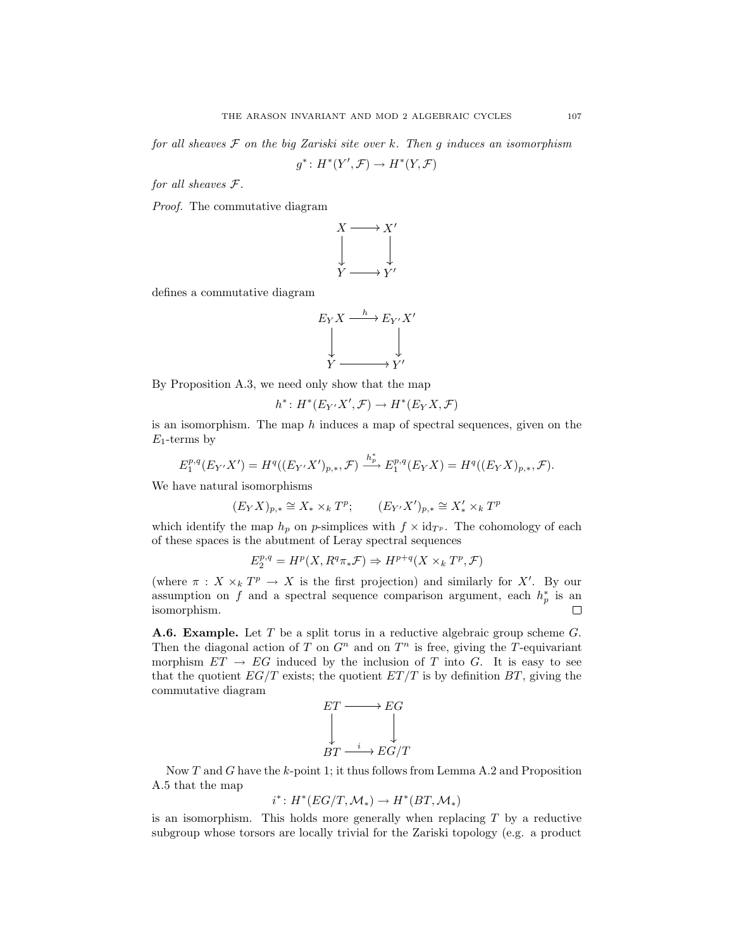*for all sheaves F on the big Zariski site over k. Then g induces an isomorphism*

$$
g^*\colon H^*(Y',\mathcal{F})\to H^*(Y,\mathcal{F})
$$

*for all sheaves F.*

*Proof.* The commutative diagram



defines a commutative diagram

$$
E_Y X \xrightarrow{h} E_{Y'} X'
$$
  
\n
$$
\downarrow \qquad \qquad \downarrow
$$
  
\n
$$
Y \xrightarrow{V'}
$$

By Proposition A.3, we need only show that the map

$$
h^*: H^*(E_{Y'}X', \mathcal{F}) \to H^*(E_YX, \mathcal{F})
$$

is an isomorphism. The map *h* induces a map of spectral sequences, given on the *E*1-terms by

$$
E_1^{p,q}(E_{Y'}X') = H^q((E_{Y'}X')_{p,*}, \mathcal{F}) \xrightarrow{h_p^*} E_1^{p,q}(E_YX) = H^q((E_YX)_{p,*}, \mathcal{F}).
$$

We have natural isomorphisms

$$
(E_YX)_{p,*} \cong X_* \times_k T^p; \qquad (E_{Y'}X')_{p,*} \cong X'_* \times_k T^p
$$

which identify the map  $h_p$  on *p*-simplices with  $f \times id_{T^p}$ . The cohomology of each of these spaces is the abutment of Leray spectral sequences

$$
E_2^{p,q} = H^p(X, R^q \pi_* \mathcal{F}) \Rightarrow H^{p+q}(X \times_k T^p, \mathcal{F})
$$

(where  $\pi$  :  $X \times_k T^p \to X$  is the first projection) and similarly for X<sup>*i*</sup>. By our assumption on *f* and a spectral sequence comparison argument, each  $h_p^*$  is an isomorphism.  $\Box$ 

**A.6. Example.** Let *T* be a split torus in a reductive algebraic group scheme *G*. Then the diagonal action of *T* on  $G<sup>n</sup>$  and on  $T<sup>n</sup>$  is free, giving the *T*-equivariant morphism  $ET \rightarrow EG$  induced by the inclusion of *T* into *G*. It is easy to see that the quotient  $EG/T$  exists; the quotient  $ET/T$  is by definition  $BT$ , giving the commutative diagram



Now *T* and *G* have the *k*-point 1; it thus follows from Lemma A.2 and Proposition A.5 that the map

$$
i^*: H^*(EG/T, \mathcal{M}_*) \to H^*(BT, \mathcal{M}_*)
$$

is an isomorphism. This holds more generally when replacing *T* by a reductive subgroup whose torsors are locally trivial for the Zariski topology (e.g. a product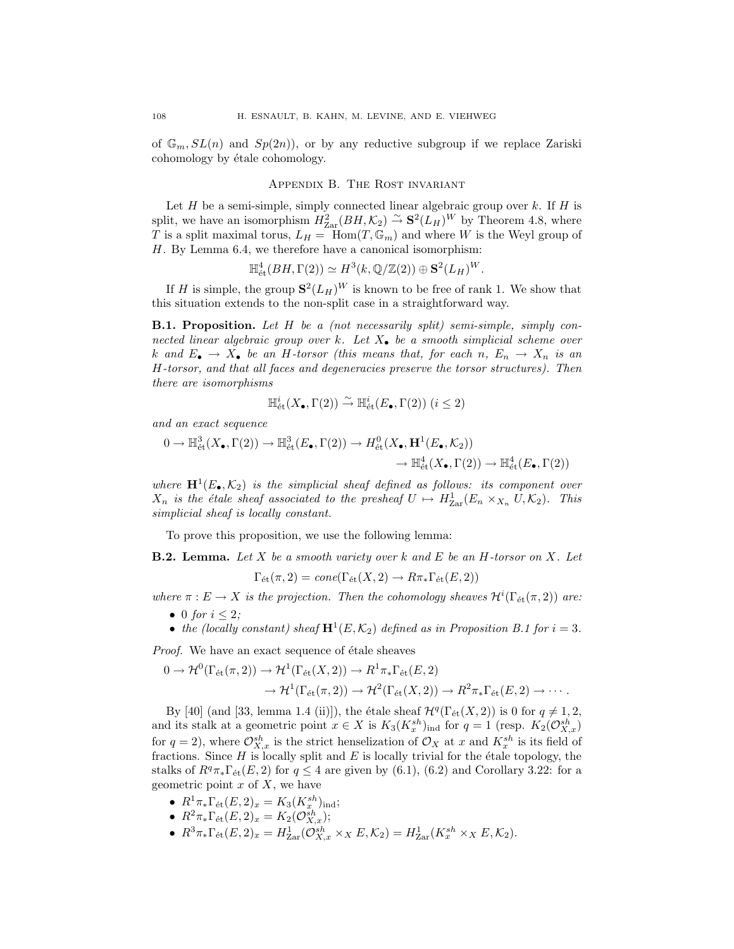of  $\mathbb{G}_m$ ,  $SL(n)$  and  $Sp(2n)$ , or by any reductive subgroup if we replace Zariski cohomology by étale cohomology.

### Appendix B. The Rost invariant

Let *H* be a semi-simple, simply connected linear algebraic group over *k*. If *H* is split, we have an isomorphism  $H_{\text{Zar}}^2(BH,\mathcal{K}_2) \overset{\sim}{\rightarrow} \mathbf{S}^2(L_H)^W$  by Theorem 4.8, where *T* is a split maximal torus,  $L_H = \text{Hom}(T, \mathbb{G}_m)$  and where *W* is the Weyl group of *H*. By Lemma 6.4, we therefore have a canonical isomorphism:

$$
\mathbb{H}^4_{\text{\'et}}(BH, \Gamma(2)) \simeq H^3(k, \mathbb{Q}/\mathbb{Z}(2)) \oplus \mathbf{S}^2(L_H)^W.
$$

If *H* is simple, the group  $S^2(L_H)^W$  is known to be free of rank 1. We show that this situation extends to the non-split case in a straightforward way.

**B.1. Proposition.** *Let H be a (not necessarily split) semi-simple, simply connected linear algebraic group over k. Let X• be a smooth simplicial scheme over k* and  $E_{\bullet} \rightarrow X_{\bullet}$  be an *H-torsor (this means that, for each n,*  $E_n \rightarrow X_n$  *is an H-torsor, and that all faces and degeneracies preserve the torsor structures). Then there are isomorphisms*

$$
\mathbb{H}^i_{\text{\'et}}(X_\bullet,\Gamma(2)) \stackrel{\sim}{\to} \mathbb{H}^i_{\text{\'et}}(E_\bullet,\Gamma(2)) \ (i \leq 2)
$$

*and an exact sequence*

$$
0 \to \mathbb{H}^3_{\text{\'et}}(X_{\bullet}, \Gamma(2)) \to \mathbb{H}^3_{\text{\'et}}(E_{\bullet}, \Gamma(2)) \to H^0_{\text{\'et}}(X_{\bullet}, \mathbf{H}^1(E_{\bullet}, \mathcal{K}_2))
$$

$$
\to \mathbb{H}^4_{\text{\'et}}(X_{\bullet}, \Gamma(2)) \to \mathbb{H}^4_{\text{\'et}}(E_{\bullet}, \Gamma(2))
$$

*where*  $\mathbf{H}^1(E_\bullet, \mathcal{K}_2)$  *is the simplicial sheaf defined as follows: its component over*  $X_n$  *is the étale sheaf associated to the presheaf*  $U \rightarrow H_{\text{Zar}}^1(E_n \times_{X_n} U, \mathcal{K}_2)$ *. This simplicial sheaf is locally constant.*

To prove this proposition, we use the following lemma:

**B.2. Lemma.** *Let X be a smooth variety over k and E be an H-torsor on X. Let*

$$
\Gamma_{\text{\'et}}(\pi,2) = cone(\Gamma_{\text{\'et}}(X,2) \to R\pi_*\Gamma_{\text{\'et}}(E,2))
$$

*where*  $\pi$  :  $E \to X$  *is the projection. Then the cohomology sheaves*  $\mathcal{H}^i(\Gamma_{\text{\'{e}t}}(\pi, 2))$  *are:* 

- *•* 0 *for i ≤* 2*;*
- *the (locally constant) sheaf*  $\mathbf{H}^1(E, \mathcal{K}_2)$  *defined as in Proposition B.1 for*  $i = 3$ *.*

*Proof.* We have an exact sequence of étale sheaves

$$
0 \to \mathcal{H}^0(\Gamma_{\text{\'et}}(\pi,2)) \to \mathcal{H}^1(\Gamma_{\text{\'et}}(X,2)) \to R^1\pi_*\Gamma_{\text{\'et}}(E,2)
$$
  

$$
\to \mathcal{H}^1(\Gamma_{\text{\'et}}(\pi,2)) \to \mathcal{H}^2(\Gamma_{\text{\'et}}(X,2)) \to R^2\pi_*\Gamma_{\text{\'et}}(E,2) \to \cdots.
$$

By [40] (and [33, lemma 1.4 (ii)]), the étale sheaf  $\mathcal{H}^q(\Gamma_{\text{\'{e}t}}(X, 2))$  is 0 for  $q \neq 1, 2$ , and its stalk at a geometric point  $x \in X$  is  $K_3(K_x^{sh})_{\text{ind}}$  for  $q = 1$  (resp.  $K_2(\mathcal{O}_{X,x}^{sh})$ ) for  $q = 2$ ), where  $\mathcal{O}_{X,x}^{sh}$  is the strict henselization of  $\mathcal{O}_X$  at x and  $K_x^{sh}$  is its field of fractions. Since  $H$  is locally split and  $E$  is locally trivial for the étale topology, the stalks of  $R^q\pi_*\Gamma_{\text{\'et}}(E,2)$  for  $q \leq 4$  are given by (6.1), (6.2) and Corollary 3.22: for a geometric point *x* of *X*, we have

- $R^1 \pi_* \Gamma_{\text{\'et}}(E, 2)_x = K_3(K_x^{sh})_{\text{ind}};$
- $R^2 \pi_* \Gamma_{\text{\'et}}(E, 2)_x = K_2(\mathcal{O}_{X,x}^{sh});$
- $\bullet$   $R^3 \pi_* \Gamma_{\text{\'et}}(E, 2)_x = H^1_{\text{Zar}}(\mathcal{O}_{X,x}^{sh} \times_X E, \mathcal{K}_2) = H^1_{\text{Zar}}(K_x^{sh} \times_X E, \mathcal{K}_2).$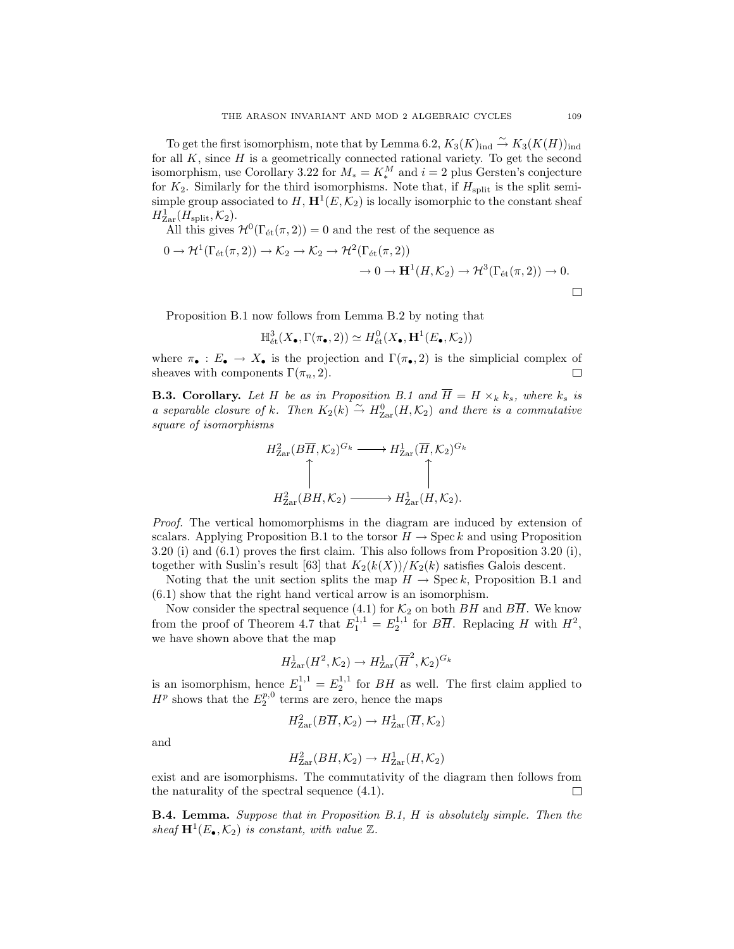To get the first isomorphism, note that by Lemma 6.2,  $K_3(K)_{\text{ind}} \stackrel{\sim}{\rightarrow} K_3(K(H))_{\text{ind}}$ for all  $K$ , since  $H$  is a geometrically connected rational variety. To get the second isomorphism, use Corollary 3.22 for  $M_* = K_*^M$  and  $i = 2$  plus Gersten's conjecture for  $K_2$ . Similarly for the third isomorphisms. Note that, if  $H_{split}$  is the split semisimple group associated to  $H$ ,  $\mathbf{H}^1(E,\mathcal{K}_2)$  is locally isomorphic to the constant sheaf  $H_{\text{Zar}}^1(H_{\text{split}},\mathcal{K}_2).$ 

All this gives  $\mathcal{H}^0(\Gamma_{\text{\'et}}(\pi, 2)) = 0$  and the rest of the sequence as

$$
0 \to \mathcal{H}^1(\Gamma_{\text{\'et}}(\pi, 2)) \to \mathcal{K}_2 \to \mathcal{K}_2 \to \mathcal{H}^2(\Gamma_{\text{\'et}}(\pi, 2))
$$

$$
\to 0 \to \mathbf{H}^1(H, \mathcal{K}_2) \to \mathcal{H}^3(\Gamma_{\text{\'et}}(\pi, 2)) \to 0.
$$

Proposition B.1 now follows from Lemma B.2 by noting that

$$
\mathbb{H}^3_{\text{\'et}}(X_\bullet, \Gamma(\pi_\bullet,2)) \simeq H^0_{\text{\'et}}(X_\bullet,\mathbf{H}^1(E_\bullet,\mathcal{K}_2))
$$

where  $\pi_{\bullet}: E_{\bullet} \to X_{\bullet}$  is the projection and  $\Gamma(\pi_{\bullet}, 2)$  is the simplicial complex of sheaves with components  $\Gamma(\pi_{\bullet}, 2)$ . sheaves with components  $\Gamma(\pi_n, 2)$ .

**B.3. Corollary.** Let *H* be as in Proposition B.1 and  $\overline{H} = H \times_k k_s$ , where  $k_s$  is *a separable closure of k.* Then  $K_2(k) \stackrel{\sim}{\rightarrow} H_{\text{Zar}}^0(H, \mathcal{K}_2)$  and there is a commutative *square of isomorphisms*

$$
H_{\text{Zar}}^{2}(B\overline{H}, \mathcal{K}_{2})^{G_{k}} \longrightarrow H_{\text{Zar}}^{1}(\overline{H}, \mathcal{K}_{2})^{G_{k}}
$$
  

$$
\uparrow \qquad \qquad \uparrow
$$
  

$$
H_{\text{Zar}}^{2}(BH, \mathcal{K}_{2}) \longrightarrow H_{\text{Zar}}^{1}(H, \mathcal{K}_{2}).
$$

*Proof.* The vertical homomorphisms in the diagram are induced by extension of scalars. Applying Proposition B.1 to the torsor  $H \to \text{Spec } k$  and using Proposition 3.20 (i) and (6.1) proves the first claim. This also follows from Proposition 3.20 (i), together with Suslin's result [63] that  $K_2(k(X))/K_2(k)$  satisfies Galois descent.

Noting that the unit section splits the map  $H \to \text{Spec } k$ , Proposition B.1 and (6.1) show that the right hand vertical arrow is an isomorphism.

Now consider the spectral sequence  $(4.1)$  for  $\mathcal{K}_2$  on both  $BH$  and  $BH$ . We know from the proof of Theorem 4.7 that  $E_1^{1,1} = E_2^{1,1}$  for  $B\overline{H}$ . Replacing *H* with  $H^2$ , we have shown above that the map

$$
H^1_{\text{Zar}}(H^2,\mathcal{K}_2) \to H^1_{\text{Zar}}(\overline{H}^2,\mathcal{K}_2)^{G_k}
$$

is an isomorphism, hence  $E_1^{1,1} = E_2^{1,1}$  for *BH* as well. The first claim applied to  $H^p$  shows that the  $E_2^{p,0}$  terms are zero, hence the maps

$$
H^2_{\text{Zar}}(B\overline{H},\mathcal{K}_2) \to H^1_{\text{Zar}}(\overline{H},\mathcal{K}_2)
$$

and

$$
H^2_{\text{Zar}}(BH, \mathcal{K}_2) \to H^1_{\text{Zar}}(H, \mathcal{K}_2)
$$

exist and are isomorphisms. The commutativity of the diagram then follows from the naturality of the spectral sequence (4.1).  $\Box$ 

**B.4. Lemma.** *Suppose that in Proposition B.1, H is absolutely simple. Then the sheaf*  $\mathbf{H}^1(E_\bullet, \mathcal{K}_2)$  *is constant, with value*  $\mathbb{Z}$ *.*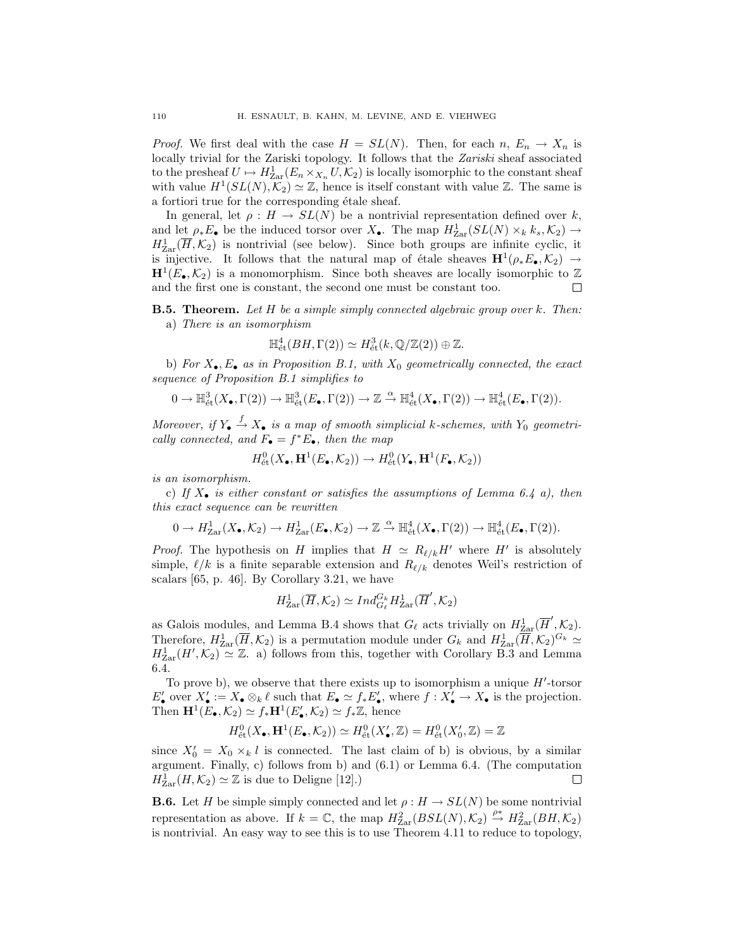*Proof.* We first deal with the case  $H = SL(N)$ . Then, for each  $n, E_n \to X_n$  is locally trivial for the Zariski topology. It follows that the *Zariski* sheaf associated to the presheaf  $U \mapsto H_{\text{Zar}}^1(E_n \times_{X_n} U, \mathcal{K}_2)$  is locally isomorphic to the constant sheaf with value  $H^1(SL(N), \mathcal{K}_2) \simeq \mathbb{Z}$ , hence is itself constant with value  $\mathbb{Z}$ . The same is a fortiori true for the corresponding étale sheaf.

In general, let  $\rho: H \to SL(N)$  be a nontrivial representation defined over *k*, and let  $\rho_* E_\bullet$  be the induced torsor over  $X_\bullet$ . The map  $H^1_{\text{Zar}}(SL(N) \times_k k_s, \mathcal{K}_2) \to$  $H_{\text{Zar}}^1(\overline{H},\mathcal{K}_2)$  is nontrivial (see below). Since both groups are infinite cyclic, it is injective. It follows that the natural map of étale sheaves  $\mathbf{H}^1(\rho_* E_{\bullet}, \mathcal{K}_2) \rightarrow$  $\mathbf{H}^1(E_\bullet, \mathcal{K}_2)$  is a monomorphism. Since both sheaves are locally isomorphic to  $\mathbb Z$  and the first one is constant, the second one must be constant too. and the first one is constant, the second one must be constant too.

**B.5. Theorem.** *Let H be a simple simply connected algebraic group over k. Then:* a) *There is an isomorphism*

$$
\mathbb{H}^4_{\text{\'et}}(BH,\Gamma(2))\simeq H^3_{\text{\'et}}(k,\mathbb{Q}/\mathbb{Z}(2))\oplus \mathbb{Z}.
$$

b) *For X•, E• as in Proposition B.1, with X*<sup>0</sup> *geometrically connected, the exact sequence of Proposition B.1 simplifies to*

$$
0 \to \mathbb{H}^3_{\text{\'et}}(X_\bullet, \Gamma(2)) \to \mathbb{H}^3_{\text{\'et}}(E_\bullet, \Gamma(2)) \to \mathbb{Z} \xrightarrow{\alpha} \mathbb{H}^4_{\text{\'et}}(X_\bullet, \Gamma(2)) \to \mathbb{H}^4_{\text{\'et}}(E_\bullet, \Gamma(2)).
$$

*Moreover, if*  $Y_{\bullet} \xrightarrow{f} X_{\bullet}$  *is a map of smooth simplicial k*-schemes, with  $Y_0$  geometri*cally connected, and*  $F_{\bullet} = f^*E_{\bullet}$ *, then the map* 

$$
H^0_{\text{\'et}}(X_\bullet,{\bf H}^1(E_\bullet,{\mathcal K}_2))\to H^0_{\text{\'et}}(Y_\bullet,{\bf H}^1(F_\bullet,{\mathcal K}_2))
$$

*is an isomorphism.*

c) *If X• is either constant or satisfies the assumptions of Lemma 6.4 a), then this exact sequence can be rewritten*

$$
0 \to H^1_{\text{Zar}}(X_\bullet, \mathcal{K}_2) \to H^1_{\text{Zar}}(E_\bullet, \mathcal{K}_2) \to \mathbb{Z} \xrightarrow{\alpha} \mathbb{H}^4_{\text{\'et}}(X_\bullet, \Gamma(2)) \to \mathbb{H}^4_{\text{\'et}}(E_\bullet, \Gamma(2)).
$$

*Proof.* The hypothesis on *H* implies that  $H \simeq R_{\ell/k}H'$  where *H'* is absolutely simple,  $\ell/k$  is a finite separable extension and  $R_{\ell/k}$  denotes Weil's restriction of scalars [65, p. 46]. By Corollary 3.21, we have

$$
H^1_{\text{Zar}}(\overline{H}, \mathcal{K}_2) \simeq Ind_{G_{\ell}}^{G_k} H^1_{\text{Zar}}(\overline{H}', \mathcal{K}_2)
$$

as Galois modules, and Lemma B.4 shows that  $G_{\ell}$  acts trivially on  $H_{\text{Zar}}^1(\overline{H}', \mathcal{K}_2)$ . Therefore,  $H_{\text{Zar}}^1(\overline{H}, \mathcal{K}_2)$  is a permutation module under  $G_k$  and  $H_{\text{Zar}}^1(\overline{H}, \mathcal{K}_2)^{G_k} \simeq$  $H_{\text{Zar}}^1(H',\mathcal{K}_2) \simeq \mathbb{Z}$ . a) follows from this, together with Corollary B.3 and Lemma 6.4.

To prove b), we observe that there exists up to isomorphism a unique  $H'$ -torsor  $E'_\bullet$  over  $X'_\bullet := X_\bullet \otimes_k \ell$  such that  $E_\bullet \simeq f_* E'_\bullet$ , where  $f : X'_\bullet \to X_\bullet$  is the projection. Then  $\mathbf{H}^1(E_\bullet, \mathcal{K}_2) \simeq f_*\mathbf{H}^1(E'_\bullet, \mathcal{K}_2) \simeq f_*\mathbb{Z}$ , hence

$$
H^0_{\text{\'et}}(X_\bullet,\mathbf{H}^1(E_\bullet,\mathcal{K}_2))\simeq H^0_{\text{\'et}}(X'_\bullet,\mathbb{Z})=H^0_{\text{\'et}}(X'_0,\mathbb{Z})=\mathbb{Z}
$$

since  $X'_0 = X_0 \times_k l$  is connected. The last claim of b) is obvious, by a similar argument. Finally, c) follows from b) and (6.1) or Lemma 6.4. (The computation  $H^1_{\text{Zar}}(H,\mathcal{K}_2) \simeq \mathbb{Z}$  is due to Deligne [12].) □

**B.6.** Let *H* be simple simply connected and let  $\rho: H \to SL(N)$  be some nontrivial representation as above. If  $k = \mathbb{C}$ , the map  $H_{\text{Zar}}^2(BSL(N), \mathcal{K}_2) \stackrel{\rho^*}{\to} H_{\text{Zar}}^2(BH, \mathcal{K}_2)$ is nontrivial. An easy way to see this is to use Theorem 4.11 to reduce to topology,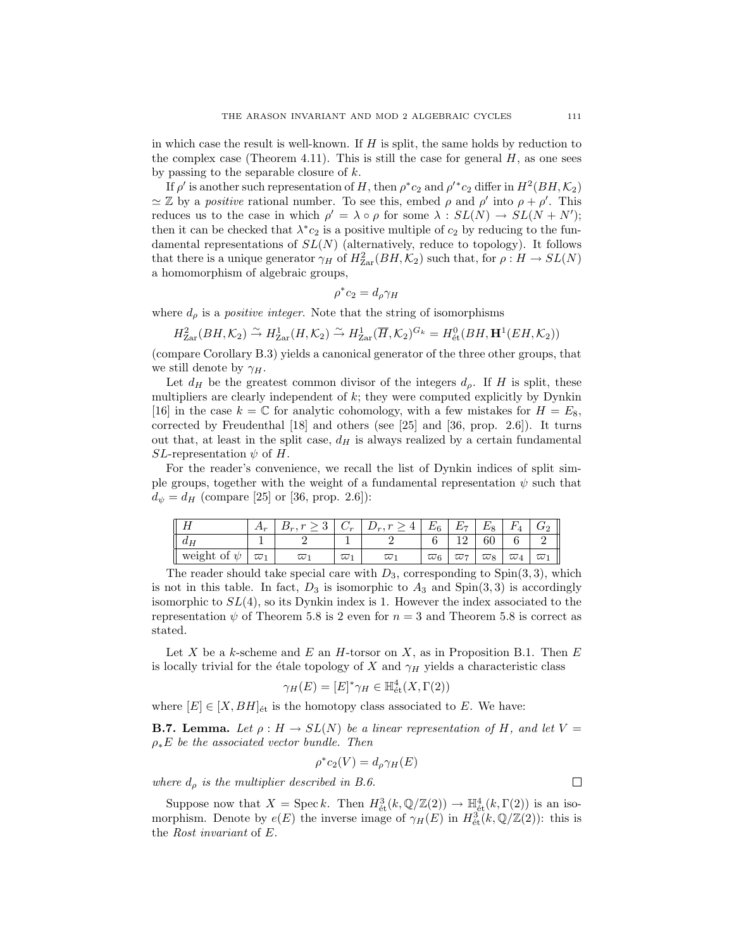in which case the result is well-known. If *H* is split, the same holds by reduction to the complex case (Theorem 4.11). This is still the case for general  $H$ , as one sees by passing to the separable closure of *k*.

If  $\rho'$  is another such representation of *H*, then  $\rho^*c_2$  and  $\rho'^*c_2$  differ in  $H^2(BH, \mathcal{K}_2)$  $\simeq \mathbb{Z}$  by a *positive* rational number. To see this, embed *ρ* and  $\rho'$  into  $\rho + \rho'$ . This reduces us to the case in which  $\rho' = \lambda \circ \rho$  for some  $\lambda : SL(N) \to SL(N + N')$ ; then it can be checked that  $\lambda^* c_2$  is a positive multiple of  $c_2$  by reducing to the fundamental representations of *SL*(*N*) (alternatively, reduce to topology). It follows that there is a unique generator  $\gamma_H$  of  $H_{\text{Zar}}^2(BH, \mathcal{K}_2)$  such that, for  $\rho: H \to SL(N)$ a homomorphism of algebraic groups,

$$
\rho^* c_2 = d_{\rho} \gamma_H
$$

where  $d_{\rho}$  is a *positive integer*. Note that the string of isomorphisms

$$
H_{\text{Zar}}^{2}(BH, \mathcal{K}_{2}) \xrightarrow{\sim} H_{\text{Zar}}^{1}(H, \mathcal{K}_{2}) \xrightarrow{\sim} H_{\text{Zar}}^{1}(\overline{H}, \mathcal{K}_{2})^{G_{k}} = H_{\text{\'et}}^{0}(BH, \mathbf{H}^{1}(EH, \mathcal{K}_{2}))
$$

(compare Corollary B.3) yields a canonical generator of the three other groups, that we still denote by  $\gamma_H$ .

Let  $d_H$  be the greatest common divisor of the integers  $d_\rho$ . If *H* is split, these multipliers are clearly independent of *k*; they were computed explicitly by Dynkin [16] in the case  $k = \mathbb{C}$  for analytic cohomology, with a few mistakes for  $H = E_8$ , corrected by Freudenthal  $\begin{bmatrix} 18 \end{bmatrix}$  and others (see  $\begin{bmatrix} 25 \end{bmatrix}$  and  $\begin{bmatrix} 36, \text{prop. } 2.6 \end{bmatrix}$ ). It turns out that, at least in the split case,  $d_H$  is always realized by a certain fundamental *SL*-representation  $\psi$  of *H*.

For the reader's convenience, we recall the list of Dynkin indices of split simple groups, together with the weight of a fundamental representation  $\psi$  such that  $d_{\psi} = d_H$  (compare [25] or [36, prop. 2.6]):

|                     | $\pi_r$        | $\Omega$<br>$\boldsymbol{r}$ | 'm       | $\boldsymbol{r}$ | $E_{\alpha}$ | $F_{\pi}$  | $E_{\circ}$ | F          | II             |
|---------------------|----------------|------------------------------|----------|------------------|--------------|------------|-------------|------------|----------------|
| Ш<br>$a_H$          |                |                              |          |                  |              |            | $_{60}$     |            |                |
| weight of<br>Ш<br>W | $\omega \cdot$ | W                            | $\omega$ | $\omega$ .       | $\varpi_6$   | $\varpi$ 7 | $\varpi_8$  | $\varpi_4$ | II<br>$\varpi$ |

The reader should take special care with *D*3, corresponding to Spin(3*,* 3), which is not in this table. In fact,  $D_3$  is isomorphic to  $A_3$  and  $Spin(3,3)$  is accordingly isomorphic to *SL*(4), so its Dynkin index is 1. However the index associated to the representation  $\psi$  of Theorem 5.8 is 2 even for  $n=3$  and Theorem 5.8 is correct as stated.

Let *X* be a *k*-scheme and *E* an *H*-torsor on *X*, as in Proposition B.1. Then *E* is locally trivial for the étale topology of *X* and  $\gamma_H$  yields a characteristic class

$$
\gamma_H(E) = [E]^* \gamma_H \in \mathbb{H}^4_{\text{\'et}}(X,\Gamma(2))
$$

where  $[E] \in [X, BH]$ <sub>et</sub> is the homotopy class associated to *E*. We have:

**B.7. Lemma.** Let  $\rho: H \to SL(N)$  be a linear representation of H, and let  $V =$ *ρ∗E be the associated vector bundle. Then*

$$
\rho^* c_2(V) = d_{\rho} \gamma_H(E)
$$

*where*  $d_{\rho}$  *is the multiplier described in B.6.* 

Suppose now that  $X = \text{Spec } k$ . Then  $H^3_{\text{\'et}}(k, \mathbb{Q}/\mathbb{Z}(2)) \to \mathbb{H}^4_{\text{\'et}}(k, \Gamma(2))$  is an isomorphism. Denote by  $e(E)$  the inverse image of  $\gamma_H(E)$  in  $H^3_{\text{\'et}}(k,\mathbb{Q}/\mathbb{Z}(2))$ : this is the *Rost invariant* of *E*.

 $\Box$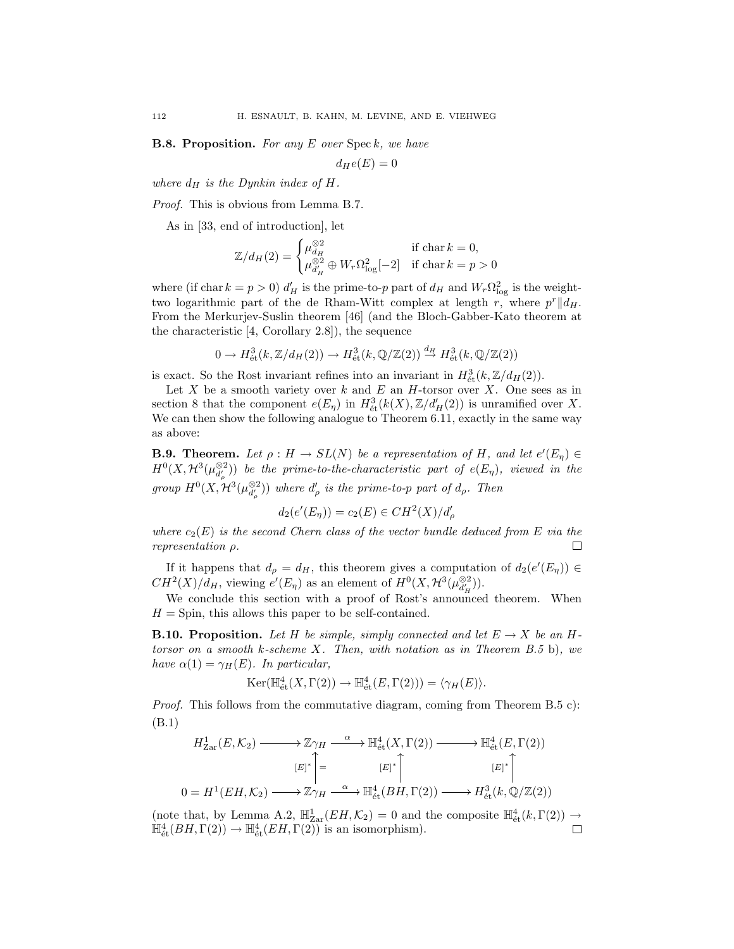**B.8. Proposition.** *For any E over* Spec *k, we have*

$$
d_He(E)=0
$$

*where*  $d_H$  *is the Dynkin index of H.* 

*Proof.* This is obvious from Lemma B.7.

As in [33, end of introduction], let

$$
\mathbb{Z}/d_H(2) = \begin{cases} \mu_{d_H}^{\otimes 2} & \text{if char } k = 0, \\ \mu_{d_H'}^{\otimes 2} \oplus W_r \Omega_{\log}^2[-2] & \text{if char } k = p > 0 \end{cases}
$$

where (if char  $k = p > 0$ )  $d'_{H}$  is the prime-to-*p* part of  $d_{H}$  and  $W_{r} \Omega_{\log}^{2}$  is the weighttwo logarithmic part of the de Rham-Witt complex at length  $r$ , where  $p^r||d_H$ . From the Merkurjev-Suslin theorem [46] (and the Bloch-Gabber-Kato theorem at the characteristic [4, Corollary 2.8]), the sequence

$$
0 \to H^3_{\text{\'et}}(k, \mathbb{Z}/d_H(2)) \to H^3_{\text{\'et}}(k, \mathbb{Q}/\mathbb{Z}(2)) \stackrel{d_H}{\to} H^3_{\text{\'et}}(k, \mathbb{Q}/\mathbb{Z}(2))
$$

is exact. So the Rost invariant refines into an invariant in  $H^3_{\text{\'{e}t}}(k,\mathbb{Z}/d_H(2)).$ 

Let  $X$  be a smooth variety over  $k$  and  $E$  an  $H$ -torsor over  $X$ . One sees as in section 8 that the component  $e(E_{\eta})$  in  $H^3_{\text{\'et}}(k(X), \mathbb{Z}/d'_{\text{H}}(2))$  is unramified over X. We can then show the following analogue to Theorem 6.11, exactly in the same way as above:

**B.9. Theorem.** Let  $\rho: H \to SL(N)$  be a representation of H, and let  $e'(E_\eta) \in$  $H^0(X, \mathcal{H}^3(\mu_{d'_\rho}^{\otimes 2}))$  *be the prime-to-the-characteristic part of*  $e(E_\eta)$ *, viewed in the group*  $H^0(X, \mathcal{H}^3(\mu_{d'_\rho}^{\otimes 2}))$  *where*  $d'_\rho$  *is the prime-to-p part of*  $d_\rho$ *. Then* 

$$
d_2(e'(E_{\eta})) = c_2(E) \in CH^2(X)/d'_{\rho}
$$

*where*  $c_2(E)$  *is the second Chern class of the vector bundle deduced from*  $E$  *via the representation ρ.* П

If it happens that  $d_{\rho} = d_H$ , this theorem gives a computation of  $d_2(e'(E_{\eta})) \in$  $CH^2(X)/d_H$ , viewing  $e'(E_\eta)$  as an element of  $H^0(X, \mathcal{H}^3(\mu_{d'_H}^{\otimes 2}))$ .

We conclude this section with a proof of Rost's announced theorem. When  $H =$  Spin, this allows this paper to be self-contained.

**B.10. Proposition.** Let H be simple, simply connected and let  $E \rightarrow X$  be an H*torsor on a smooth k-scheme X. Then, with notation as in Theorem B.5* b)*, we have*  $\alpha(1) = \gamma_H(E)$ *. In particular,* 

$$
\operatorname{Ker}(\mathbb{H}^4_{\text{\'et}}(X,\Gamma(2)) \to \mathbb{H}^4_{\text{\'et}}(E,\Gamma(2))) = \langle \gamma_H(E) \rangle.
$$

*Proof.* This follows from the commutative diagram, coming from Theorem B.5 c): (B.1)

$$
H_{\text{Zar}}^1(E, \mathcal{K}_2) \longrightarrow \mathbb{Z}\gamma_H \longrightarrow^{\alpha} \mathbb{H}_{\text{\'et}}^4(X, \Gamma(2)) \longrightarrow^{\alpha} \mathbb{H}_{\text{\'et}}^4(E, \Gamma(2))
$$
  
\n
$$
[E]^* \left\uparrow = \qquad [E]^* \left\uparrow \qquad [E]^* \left\uparrow \qquad [E]^* \right\downarrow
$$
  
\n
$$
0 = H^1(EH, \mathcal{K}_2) \longrightarrow \mathbb{Z}\gamma_H \longrightarrow^{\alpha} \mathbb{H}_{\text{\'et}}^4(BH, \Gamma(2)) \longrightarrow H_{\text{\'et}}^3(k, \mathbb{Q}/\mathbb{Z}(2))
$$

(note that, by Lemma A.2,  $\mathbb{H}_{\text{Zar}}^1(EH,\mathcal{K}_2) = 0$  and the composite  $\mathbb{H}_{\text{\'et}}^4(k,\Gamma(2)) \to$  $\mathbb{H}^4_{\text{\'et}}(BH, \Gamma(2)) \to \mathbb{H}^4_{\text{\'et}}(EH, \Gamma(2))$  is an isomorphism).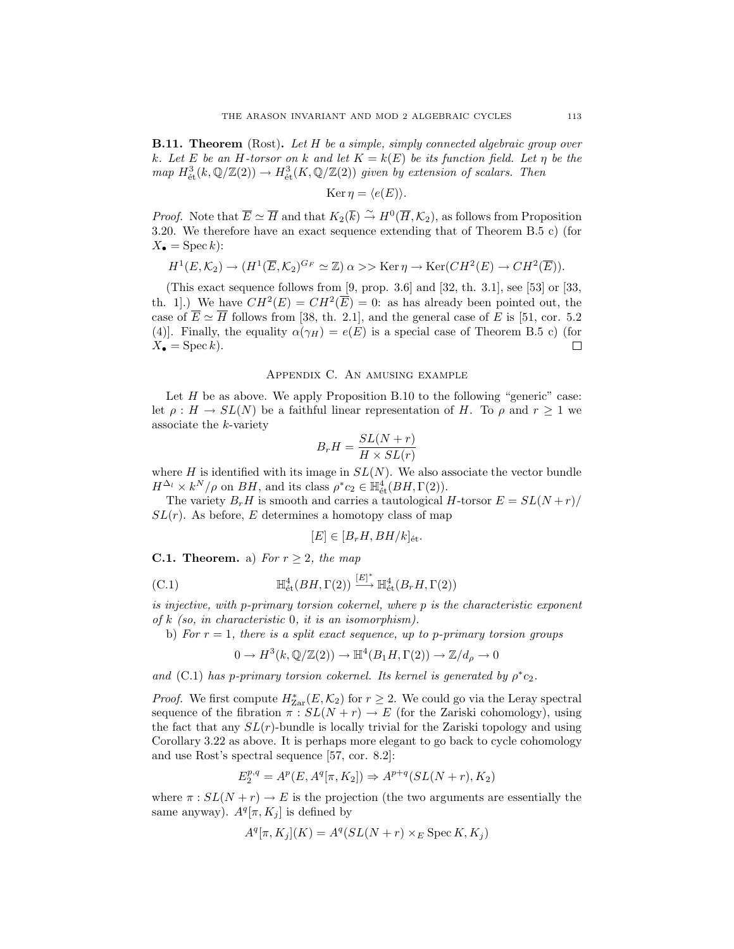**B.11. Theorem** (Rost)**.** *Let H be a simple, simply connected algebraic group over k.* Let *E be an H-torsor on k and let*  $K = k(E)$  *be its function field. Let*  $\eta$  *be the*  $map H^3_{\text{\'et}}(k, \mathbb{Q}/\mathbb{Z}(2)) \to H^3_{\text{\'et}}(K, \mathbb{Q}/\mathbb{Z}(2))$  *given by extension of scalars. Then* 

$$
Ker \eta = \langle e(E) \rangle.
$$

*Proof.* Note that  $\overline{E} \simeq \overline{H}$  and that  $K_2(\overline{k}) \stackrel{\sim}{\to} H^0(\overline{H}, \mathcal{K}_2)$ , as follows from Proposition 3.20. We therefore have an exact sequence extending that of Theorem B.5 c) (for  $X_{\bullet} = \operatorname{Spec} k$ :

$$
H^1(E, \mathcal{K}_2) \to (H^1(\overline{E}, \mathcal{K}_2)^{G_F} \simeq \mathbb{Z}) \, \alpha >> \text{Ker} \, \eta \to \text{Ker}(CH^2(E) \to CH^2(\overline{E})).
$$

(This exact sequence follows from [9, prop. 3.6] and [32, th. 3.1], see [53] or [33, th. 1.) We have  $CH^2(E) = CH^2(\overline{E}) = 0$ : as has already been pointed out, the case of  $\overline{E} \simeq \overline{H}$  follows from [38, th. 2.1], and the general case of *E* is [51, cor. 5.2] (4)]. Finally, the equality  $\alpha(\gamma_H) = e(E)$  is a special case of Theorem B.5 c) (for  $X_{\bullet} = \operatorname{Spec} k$ . 口

## Appendix C. An amusing example

Let *H* be as above. We apply Proposition B.10 to the following "generic" case: let  $\rho: H \to SL(N)$  be a faithful linear representation of *H*. To  $\rho$  and  $r \geq 1$  we associate the *k*-variety

$$
B_r H = \frac{SL(N+r)}{H \times SL(r)}
$$

where  $H$  is identified with its image in  $SL(N)$ . We also associate the vector bundle  $H^{\Delta_l} \times k^N/\rho$  on *BH*, and its class  $\rho^* c_2 \in \mathbb{H}^4_{\text{\'et}}(BH, \Gamma(2)).$ 

The variety  $B_rH$  is smooth and carries a tautological *H*-torsor  $E = SL(N+r)/$  $SL(r)$ . As before, *E* determines a homotopy class of map

$$
[E] \in [B_r H, BH/k]_{\text{\'et}}.
$$

**C.1. Theorem.** a) *For*  $r \geq 2$ *, the map* 

(C.1) 
$$
\mathbb{H}^4_{\text{\'et}}(BH,\Gamma(2)) \stackrel{[E]^*}{\longrightarrow} \mathbb{H}^4_{\text{\'et}}(B_rH,\Gamma(2))
$$

*is injective, with p-primary torsion cokernel, where p is the characteristic exponent of k (so, in characteristic* 0*, it is an isomorphism).*

b) *For*  $r = 1$ *, there is a split exact sequence, up to p-primary torsion groups* 

$$
0 \to H^3(k, \mathbb{Q}/\mathbb{Z}(2)) \to \mathbb{H}^4(B_1H, \Gamma(2)) \to \mathbb{Z}/d_\rho \to 0
$$

*and* (C.1) *has p*-primary torsion cokernel. Its kernel is generated by  $\rho^*c_2$ *.* 

*Proof.* We first compute  $H^*_{\text{Zar}}(E, \mathcal{K}_2)$  for  $r \geq 2$ . We could go via the Leray spectral sequence of the fibration  $\pi : SL(N+r) \to E$  (for the Zariski cohomology), using the fact that any  $SL(r)$ -bundle is locally trivial for the Zariski topology and using Corollary 3.22 as above. It is perhaps more elegant to go back to cycle cohomology and use Rost's spectral sequence [57, cor. 8.2]:

$$
E_2^{p,q}=A^p(E,A^q[\pi,K_2])\Rightarrow A^{p+q}(SL(N+r),K_2)
$$

where  $\pi$ :  $SL(N + r) \rightarrow E$  is the projection (the two arguments are essentially the same anyway).  $A^{q}[\pi, K_{j}]$  is defined by

$$
A^{q}[\pi, K_{j}](K) = A^{q}(SL(N+r) \times_{E} \text{Spec } K, K_{j})
$$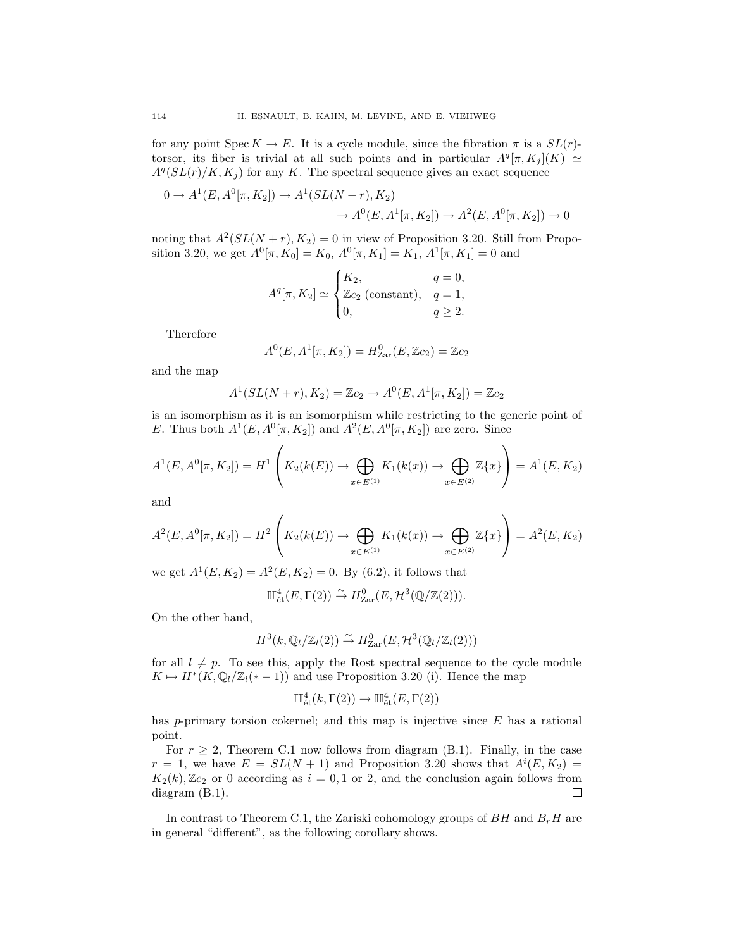for any point  $\text{Spec } K \to E$ . It is a cycle module, since the fibration  $\pi$  is a  $SL(r)$ torsor, its fiber is trivial at all such points and in particular  $A^q[\pi, K_i](K) \simeq$  $A^q(SL(r)/K, K_i)$  for any K. The spectral sequence gives an exact sequence

$$
0 \to A^1(E, A^0[\pi, K_2]) \to A^1(SL(N+r), K_2)
$$
  

$$
\to A^0(E, A^1[\pi, K_2]) \to A^2(E, A^0[\pi, K_2]) \to 0
$$

noting that  $A^2(SL(N+r), K_2) = 0$  in view of Proposition 3.20. Still from Proposition 3.20, we get  $A^0[\pi, K_0] = K_0$ ,  $A^0[\pi, K_1] = K_1$ ,  $A^1[\pi, K_1] = 0$  and

$$
A^{q}[\pi, K_2] \simeq \begin{cases} K_2, & q = 0, \\ \mathbb{Z}c_2 \text{ (constant)}, & q = 1, \\ 0, & q \ge 2. \end{cases}
$$

Therefore

$$
A^{0}(E, A^{1}[\pi, K_2]) = H_{\text{Zar}}^{0}(E, \mathbb{Z}c_2) = \mathbb{Z}c_2
$$

and the map

$$
A^{1}(SL(N+r), K_{2}) = \mathbb{Z}c_{2} \rightarrow A^{0}(E, A^{1}[\pi, K_{2}]) = \mathbb{Z}c_{2}
$$

is an isomorphism as it is an isomorphism while restricting to the generic point of *E*. Thus both  $A^1(E, A^0[\pi, K_2])$  and  $A^2(E, A^0[\pi, K_2])$  are zero. Since

$$
A^{1}(E, A^{0}[\pi, K_{2}]) = H^{1}\left(K_{2}(k(E)) \to \bigoplus_{x \in E^{(1)}} K_{1}(k(x)) \to \bigoplus_{x \in E^{(2)}} \mathbb{Z}\{x\}\right) = A^{1}(E, K_{2})
$$

and

$$
A^{2}(E, A^{0}[\pi, K_{2}]) = H^{2}\left(K_{2}(k(E)) \to \bigoplus_{x \in E^{(1)}} K_{1}(k(x)) \to \bigoplus_{x \in E^{(2)}} \mathbb{Z}\{x\}\right) = A^{2}(E, K_{2})
$$

we get  $A^1(E, K_2) = A^2(E, K_2) = 0$ . By (6.2), it follows that

$$
\mathbb{H}^4_{\text{\'et}}(E,\Gamma(2)) \stackrel{\sim}{\to} H^0_{\text{Zar}}(E,\mathcal{H}^3(\mathbb{Q}/\mathbb{Z}(2))).
$$

On the other hand,

$$
H^3(k, \mathbb{Q}_l/\mathbb{Z}_l(2)) \stackrel{\sim}{\rightarrow} H^0_{\text{Zar}}(E, \mathcal{H}^3(\mathbb{Q}_l/\mathbb{Z}_l(2)))
$$

for all  $l \neq p$ . To see this, apply the Rost spectral sequence to the cycle module  $K \mapsto H^*(K, \mathbb{Q}_l/\mathbb{Z}_l(*-1))$  and use Proposition 3.20 (i). Hence the map

$$
\mathbb{H}^4_{\text{\'et}}(k,\Gamma(2))\to\mathbb{H}^4_{\text{\'et}}(E,\Gamma(2))
$$

has *p*-primary torsion cokernel; and this map is injective since *E* has a rational point.

For  $r \geq 2$ , Theorem C.1 now follows from diagram (B.1). Finally, in the case  $r = 1$ , we have  $E = SL(N + 1)$  and Proposition 3.20 shows that  $A^{i}(E, K_2)$  $K_2(k)$ ,  $\mathbb{Z}c_2$  or 0 according as  $i = 0, 1$  or 2, and the conclusion again follows from diagram (B.1). 口

In contrast to Theorem C.1, the Zariski cohomology groups of  $BH$  and  $B<sub>r</sub>H$  are in general "different", as the following corollary shows.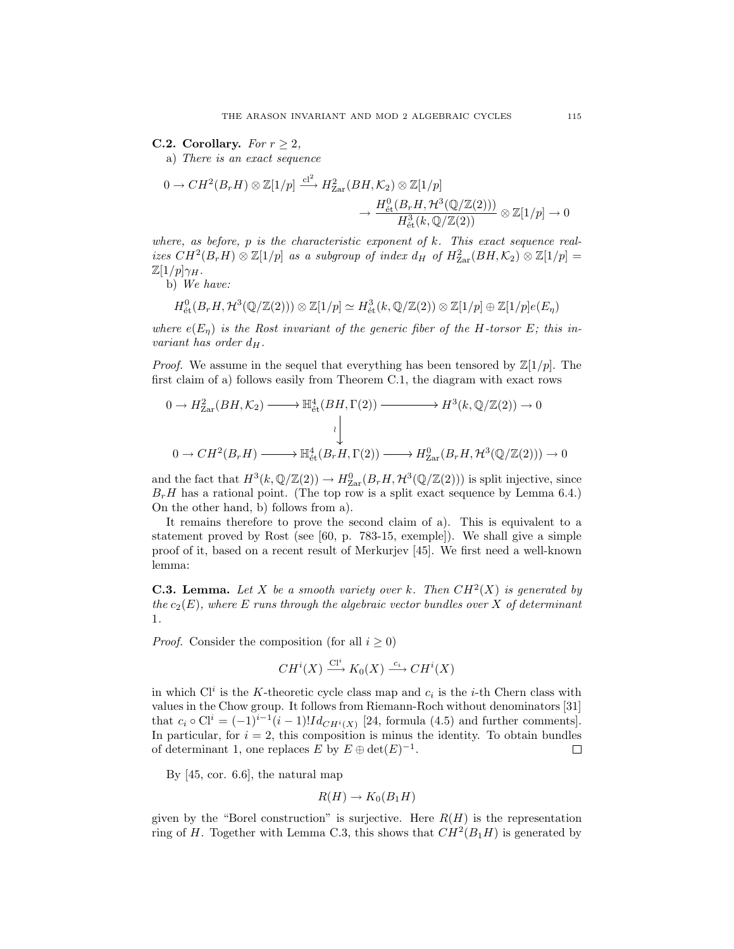**C.2. Corollary.** *For*  $r \geq 2$ *,* 

a) *There is an exact sequence*

$$
0 \to CH^2(B_r H) \otimes \mathbb{Z}[1/p] \xrightarrow{cl^2} H_{\text{Zar}}^2(BH, \mathcal{K}_2) \otimes \mathbb{Z}[1/p] \to \frac{H_{\text{\'et}}^0(B_r H, \mathcal{H}^3(\mathbb{Q}/\mathbb{Z}(2)))}{H_{\text{\'et}}^3(k, \mathbb{Q}/\mathbb{Z}(2))} \otimes \mathbb{Z}[1/p] \to 0
$$

*where, as before, p is the characteristic exponent of k. This exact sequence real-* $\int$ *izes*  $CH^2(B_rH) \otimes \mathbb{Z}[1/p]$  *as a subgroup of index*  $d_H$  *of*  $H^2_{\text{Zar}}(BH, \mathcal{K}_2) \otimes \mathbb{Z}[1/p] =$  $\mathbb{Z}[1/p]\gamma_H$ .

b) *We have:*

$$
H^0_{\text{\'et}}(B_rH, \mathcal{H}^3(\mathbb{Q}/\mathbb{Z}(2))) \otimes \mathbb{Z}[1/p] \simeq H^3_{\text{\'et}}(k, \mathbb{Q}/\mathbb{Z}(2)) \otimes \mathbb{Z}[1/p] \oplus \mathbb{Z}[1/p]e(E_\eta)
$$

*where*  $e(E_n)$  *is the Rost invariant of the generic fiber of the H-torsor E; this invariant has order*  $d_H$ .

*Proof.* We assume in the sequel that everything has been tensored by  $\mathbb{Z}[1/p]$ . The first claim of a) follows easily from Theorem C.1, the diagram with exact rows

$$
0 \to H_{\text{Zar}}^2(BH, \mathcal{K}_2) \longrightarrow \mathbb{H}_{\text{\'et}}^4(BH, \Gamma(2)) \longrightarrow H^3(k, \mathbb{Q}/\mathbb{Z}(2)) \to 0
$$
  

$$
\downarrow
$$
  

$$
0 \to CH^2(B_rH) \longrightarrow \mathbb{H}_{\text{\'et}}^4(B_rH, \Gamma(2)) \longrightarrow H_{\text{Zar}}^0(B_rH, \mathcal{H}^3(\mathbb{Q}/\mathbb{Z}(2))) \to 0
$$

and the fact that  $H^3(k, \mathbb{Q}/\mathbb{Z}(2)) \to H^0_{\text{Zar}}(B_rH, \mathcal{H}^3(\mathbb{Q}/\mathbb{Z}(2)))$  is split injective, since  $B<sub>r</sub>H$  has a rational point. (The top row is a split exact sequence by Lemma 6.4.) On the other hand, b) follows from a).

It remains therefore to prove the second claim of a). This is equivalent to a statement proved by Rost (see [60, p. 783-15, exemple]). We shall give a simple proof of it, based on a recent result of Merkurjev [45]. We first need a well-known lemma:

**C.3. Lemma.** Let *X* be a smooth variety over *k*. Then  $CH^2(X)$  is generated by *the*  $c_2(E)$ *, where E runs through the algebraic vector bundles over X of determinant* 1*.*

*Proof.* Consider the composition (for all  $i \geq 0$ )

$$
CH^i(X) \xrightarrow{\text{Cl}^i} K_0(X) \xrightarrow{c_i} CH^i(X)
$$

in which  $Cl<sup>i</sup>$  is the *K*-theoretic cycle class map and  $c<sub>i</sub>$  is the *i*-th Chern class with values in the Chow group. It follows from Riemann-Roch without denominators [31] that  $c_i \circ \text{Cl}^i = (-1)^{i-1}(i-1)!Id_{CH^i(X)}$  [24, formula (4.5) and further comments]. In particular, for  $i = 2$ , this composition is minus the identity. To obtain bundles of determinant 1, one replaces *E* by  $E \oplus det(E)^{-1}$ . 口

By [45, cor. 6.6], the natural map

$$
R(H) \to K_0(B_1H)
$$

given by the "Borel construction" is surjective. Here  $R(H)$  is the representation ring of *H*. Together with Lemma C.3, this shows that  $CH^2(B_1H)$  is generated by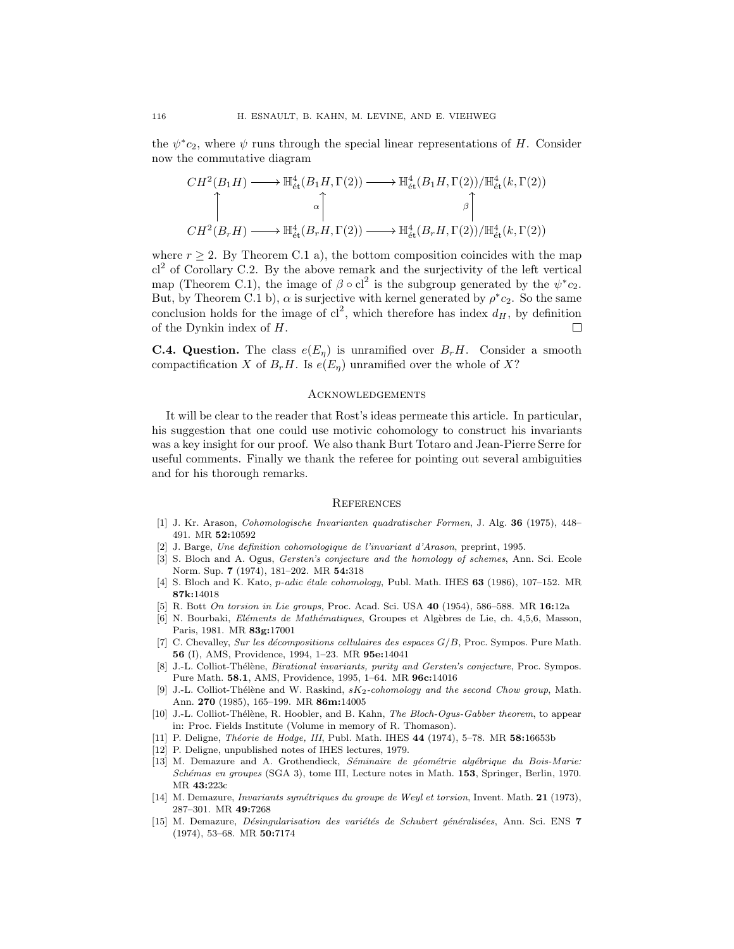the  $\psi^*c_2$ , where  $\psi$  runs through the special linear representations of *H*. Consider now the commutative diagram

$$
CH^2(B_1H) \longrightarrow \mathbb{H}^4_{\text{\'et}}(B_1H, \Gamma(2)) \longrightarrow \mathbb{H}^4_{\text{\'et}}(B_1H, \Gamma(2))/\mathbb{H}^4_{\text{\'et}}(k, \Gamma(2))
$$
  
\n
$$
\uparrow \qquad \qquad \downarrow
$$
  
\n
$$
CH^2(B_rH) \longrightarrow \mathbb{H}^4_{\text{\'et}}(B_rH, \Gamma(2)) \longrightarrow \mathbb{H}^4_{\text{\'et}}(B_rH, \Gamma(2))/\mathbb{H}^4_{\text{\'et}}(k, \Gamma(2))
$$

where  $r \geq 2$ . By Theorem C.1 a), the bottom composition coincides with the map  $cl<sup>2</sup>$  of Corollary C.2. By the above remark and the surjectivity of the left vertical map (Theorem C.1), the image of  $\beta \circ cl^2$  is the subgroup generated by the  $\psi^*c_2$ . But, by Theorem C.1 b),  $\alpha$  is surjective with kernel generated by  $\rho^*c_2$ . So the same conclusion holds for the image of  $cl^2$ , which therefore has index  $d_H$ , by definition of the Dynkin index of *H*.  $\Box$ 

**C.4. Question.** The class  $e(E_n)$  is unramified over  $B_rH$ . Consider a smooth compactification *X* of  $B_rH$ . Is  $e(E_n)$  unramified over the whole of *X*?

### **ACKNOWLEDGEMENTS**

It will be clear to the reader that Rost's ideas permeate this article. In particular, his suggestion that one could use motivic cohomology to construct his invariants was a key insight for our proof. We also thank Burt Totaro and Jean-Pierre Serre for useful comments. Finally we thank the referee for pointing out several ambiguities and for his thorough remarks.

#### **REFERENCES**

- [1] J. Kr. Arason, Cohomologische Invarianten quadratischer Formen, J. Alg. **36** (1975), 448– 491. MR **52:**10592
- [2] J. Barge, Une definition cohomologique de l'invariant d'Arason, preprint, 1995.
- [3] S. Bloch and A. Ogus, Gersten's conjecture and the homology of schemes, Ann. Sci. Ecole Norm. Sup. **7** (1974), 181–202. MR **54:**318
- [4] S. Bloch and K. Kato, *p-adic étale cohomology*, Publ. Math. IHES 63 (1986), 107-152. MR **87k:**14018
- [5] R. Bott On torsion in Lie groups, Proc. Acad. Sci. USA **40** (1954), 586–588. MR **16:**12a
- [6] N. Bourbaki, *Eléments de Mathématiques*, Groupes et Algèbres de Lie, ch. 4,5,6, Masson, Paris, 1981. MR **83g:**17001
- [7] C. Chevalley, Sur les décompositions cellulaires des espaces  $G/B$ , Proc. Sympos. Pure Math. **56** (I), AMS, Providence, 1994, 1–23. MR **95e:**14041
- [8] J.-L. Colliot-Thélène, *Birational invariants, purity and Gersten's conjecture*, Proc. Sympos. Pure Math. **58.1**, AMS, Providence, 1995, 1–64. MR **96c:**14016
- [9] J.-L. Colliot-Thélène and W. Raskind,  $sK_2$ -cohomology and the second Chow group, Math. Ann. **270** (1985), 165–199. MR **86m:**14005
- [10] J.-L. Colliot-Thélène, R. Hoobler, and B. Kahn, The Bloch-Ogus-Gabber theorem, to appear in: Proc. Fields Institute (Volume in memory of R. Thomason).
- [11] P. Deligne, Th´eorie de Hodge, III, Publ. Math. IHES **44** (1974), 5–78. MR **58:**16653b
- [12] P. Deligne, unpublished notes of IHES lectures, 1979.
- [13] M. Demazure and A. Grothendieck, Séminaire de géométrie algébrique du Bois-Marie: Sch´emas en groupes (SGA 3), tome III, Lecture notes in Math. **153**, Springer, Berlin, 1970. MR **43:**223c
- [14] M. Demazure, *Invariants symétriques du groupe de Weyl et torsion*, Invent. Math. **21** (1973), 287–301. MR **49:**7268
- [15] M. Demazure, *Désingularisation des variétés de Schubert généralisées*, Ann. Sci. ENS 7 (1974), 53–68. MR **50:**7174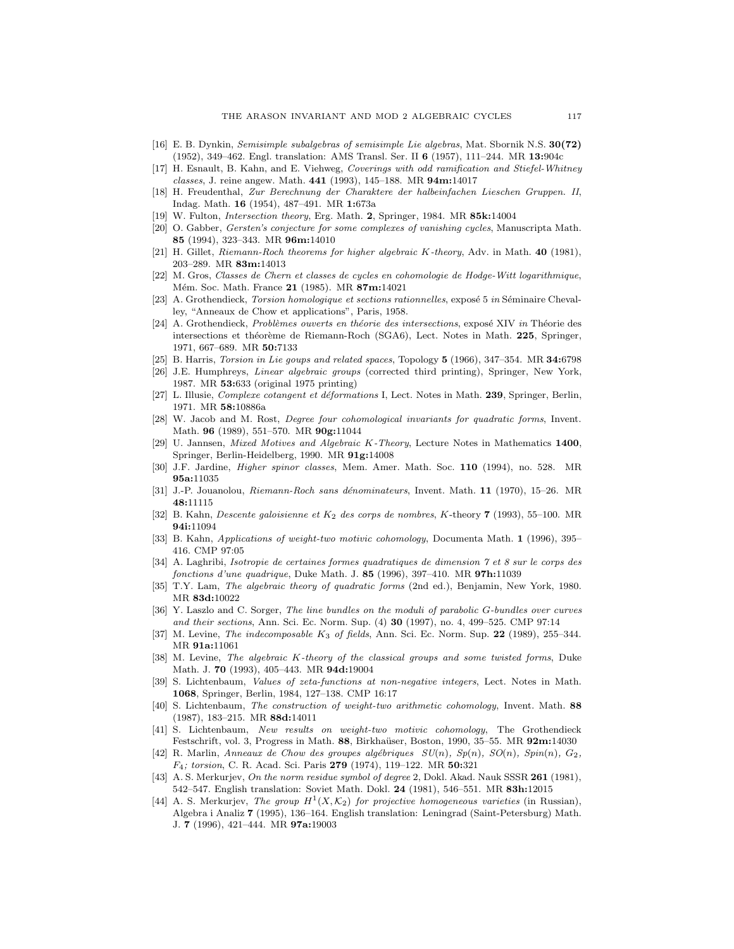- [16] E. B. Dynkin, Semisimple subalgebras of semisimple Lie algebras, Mat. Sbornik N.S. **30(72)** (1952), 349–462. Engl. translation: AMS Transl. Ser. II **6** (1957), 111–244. MR **13:**904c
- [17] H. Esnault, B. Kahn, and E. Viehweg, Coverings with odd ramification and Stiefel-Whitney classes, J. reine angew. Math. **441** (1993), 145–188. MR **94m:**14017
- [18] H. Freudenthal, Zur Berechnung der Charaktere der halbeinfachen Lieschen Gruppen. II, Indag. Math. **16** (1954), 487–491. MR **1:**673a
- [19] W. Fulton, Intersection theory, Erg. Math. **2**, Springer, 1984. MR **85k:**14004
- [20] O. Gabber, Gersten's conjecture for some complexes of vanishing cycles, Manuscripta Math. **85** (1994), 323–343. MR **96m:**14010
- [21] H. Gillet, Riemann-Roch theorems for higher algebraic *K*-theory, Adv. in Math. **40** (1981), 203–289. MR **83m:**14013
- [22] M. Gros, Classes de Chern et classes de cycles en cohomologie de Hodge-Witt logarithmique, M´em. Soc. Math. France **21** (1985). MR **87m:**14021
- [23] A. Grothendieck, Torsion homologique et sections rationnelles, exposé 5 in Séminaire Chevalley, "Anneaux de Chow et applications", Paris, 1958.
- [24] A. Grothendieck, Problèmes ouverts en théorie des intersections, exposé XIV in Théorie des intersections et théorème de Riemann-Roch (SGA6), Lect. Notes in Math. 225, Springer, 1971, 667–689. MR **50:**7133
- [25] B. Harris, Torsion in Lie goups and related spaces, Topology **5** (1966), 347–354. MR **34:**6798
- [26] J.E. Humphreys, Linear algebraic groups (corrected third printing), Springer, New York, 1987. MR **53:**633 (original 1975 printing)
- [27] L. Illusie, *Complexe cotangent et déformations* I, Lect. Notes in Math. **239**, Springer, Berlin, 1971. MR **58:**10886a
- [28] W. Jacob and M. Rost, Degree four cohomological invariants for quadratic forms, Invent. Math. **96** (1989), 551–570. MR **90g:**11044
- [29] U. Jannsen, Mixed Motives and Algebraic *K*-Theory, Lecture Notes in Mathematics **1400**, Springer, Berlin-Heidelberg, 1990. MR **91g:**14008
- [30] J.F. Jardine, Higher spinor classes, Mem. Amer. Math. Soc. **110** (1994), no. 528. MR **95a:**11035
- [31] J.-P. Jouanolou, Riemann-Roch sans d´enominateurs, Invent. Math. **11** (1970), 15–26. MR **48:**11115
- [32] B. Kahn, Descente galoisienne et *<sup>K</sup>*2 des corps de nombres, *<sup>K</sup>*-theory **<sup>7</sup>** (1993), 55–100. MR **94i:**11094
- [33] B. Kahn, Applications of weight-two motivic cohomology, Documenta Math. **1** (1996), 395– 416. CMP 97:05
- [34] A. Laghribi, Isotropie de certaines formes quadratiques de dimension 7 et 8 sur le corps des fonctions d'une quadrique, Duke Math. J. **85** (1996), 397–410. MR **97h:**11039
- [35] T.Y. Lam, The algebraic theory of quadratic forms (2nd ed.), Benjamin, New York, 1980. MR **83d:**10022
- [36] Y. Laszlo and C. Sorger, The line bundles on the moduli of parabolic *G*-bundles over curves and their sections, Ann. Sci. Ec. Norm. Sup. (4) **30** (1997), no. 4, 499–525. CMP 97:14
- [37] M. Levine, The indecomposable *<sup>K</sup>*3 of fields, Ann. Sci. Ec. Norm. Sup. **<sup>22</sup>** (1989), 255–344. MR **91a:**11061
- [38] M. Levine, The algebraic *K*-theory of the classical groups and some twisted forms, Duke Math. J. **70** (1993), 405–443. MR **94d:**19004
- [39] S. Lichtenbaum, Values of zeta-functions at non-negative integers, Lect. Notes in Math. **1068**, Springer, Berlin, 1984, 127–138. CMP 16:17
- [40] S. Lichtenbaum, The construction of weight-two arithmetic cohomology, Invent. Math. **88** (1987), 183–215. MR **88d:**14011
- [41] S. Lichtenbaum, New results on weight-two motivic cohomology, The Grothendieck Festschrift, vol. 3, Progress in Math. **88**, Birkha¨user, Boston, 1990, 35–55. MR **92m:**14030
- [42] R. Marlin, Anneaux de Chow des groupes algébriques  $SU(n)$ ,  $Sp(n)$ ,  $SO(n)$ ,  $Spin(n)$ ,  $G_2$ , *<sup>F</sup>*4; torsion, C. R. Acad. Sci. Paris **<sup>279</sup>** (1974), 119–122. MR **50:**<sup>321</sup>
- [43] A. S. Merkurjev, On the norm residue symbol of degree 2, Dokl. Akad. Nauk SSSR **261** (1981), 542–547. English translation: Soviet Math. Dokl. **24** (1981), 546–551. MR **83h:**12015
- [44] A. S. Merkurjev, *The group*  $H^1(X, \mathcal{K}_2)$  for projective homogeneous varieties (in Russian), Algebra i Analiz **7** (1995), 136–164. English translation: Leningrad (Saint-Petersburg) Math. J. **7** (1996), 421–444. MR **97a:**19003